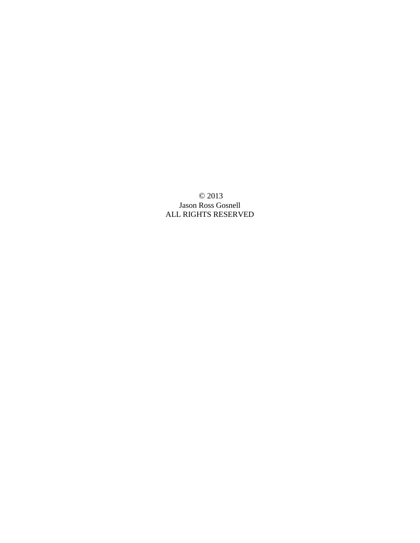© 2013 Jason Ross Gosnell ALL RIGHTS RESERVED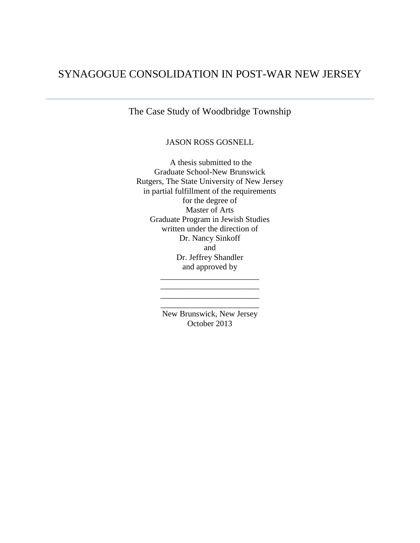# SYNAGOGUE CONSOLIDATION IN POST-WAR NEW JERSEY

The Case Study of Woodbridge Township

JASON ROSS GOSNELL

A thesis submitted to the Graduate School-New Brunswick Rutgers, The State University of New Jersey in partial fulfillment of the requirements for the degree of Master of Arts Graduate Program in Jewish Studies written under the direction of Dr. Nancy Sinkoff and Dr. Jeffrey Shandler and approved by \_\_\_\_\_\_\_\_\_\_\_\_\_\_\_\_\_\_\_\_\_\_\_\_

> New Brunswick, New Jersey October 2013

\_\_\_\_\_\_\_\_\_\_\_\_\_\_\_\_\_\_\_\_\_\_\_\_ \_\_\_\_\_\_\_\_\_\_\_\_\_\_\_\_\_\_\_\_\_\_\_\_ \_\_\_\_\_\_\_\_\_\_\_\_\_\_\_\_\_\_\_\_\_\_\_\_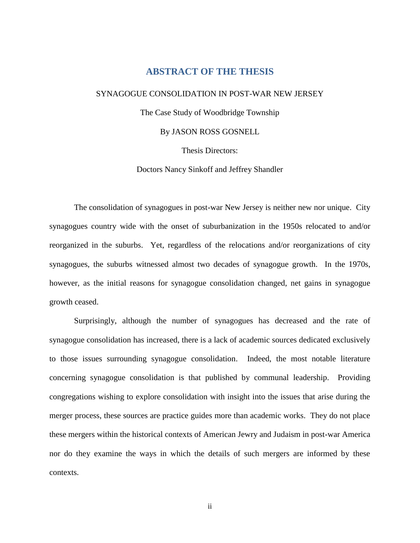## **ABSTRACT OF THE THESIS**

### <span id="page-2-0"></span>SYNAGOGUE CONSOLIDATION IN POST-WAR NEW JERSEY

The Case Study of Woodbridge Township

By JASON ROSS GOSNELL

Thesis Directors:

Doctors Nancy Sinkoff and Jeffrey Shandler

The consolidation of synagogues in post-war New Jersey is neither new nor unique. City synagogues country wide with the onset of suburbanization in the 1950s relocated to and/or reorganized in the suburbs. Yet, regardless of the relocations and/or reorganizations of city synagogues, the suburbs witnessed almost two decades of synagogue growth. In the 1970s, however, as the initial reasons for synagogue consolidation changed, net gains in synagogue growth ceased.

Surprisingly, although the number of synagogues has decreased and the rate of synagogue consolidation has increased, there is a lack of academic sources dedicated exclusively to those issues surrounding synagogue consolidation. Indeed, the most notable literature concerning synagogue consolidation is that published by communal leadership. Providing congregations wishing to explore consolidation with insight into the issues that arise during the merger process, these sources are practice guides more than academic works. They do not place these mergers within the historical contexts of American Jewry and Judaism in post-war America nor do they examine the ways in which the details of such mergers are informed by these contexts.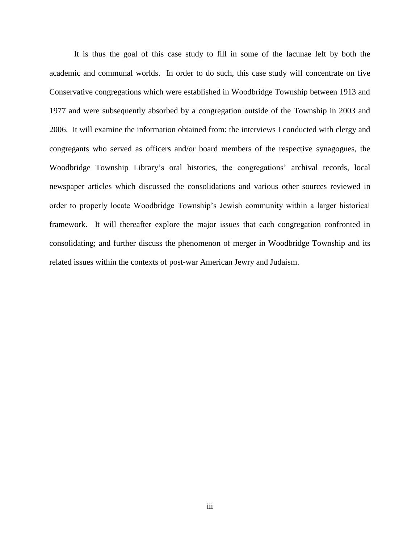It is thus the goal of this case study to fill in some of the lacunae left by both the academic and communal worlds. In order to do such, this case study will concentrate on five Conservative congregations which were established in Woodbridge Township between 1913 and 1977 and were subsequently absorbed by a congregation outside of the Township in 2003 and 2006. It will examine the information obtained from: the interviews I conducted with clergy and congregants who served as officers and/or board members of the respective synagogues, the Woodbridge Township Library's oral histories, the congregations' archival records, local newspaper articles which discussed the consolidations and various other sources reviewed in order to properly locate Woodbridge Township's Jewish community within a larger historical framework. It will thereafter explore the major issues that each congregation confronted in consolidating; and further discuss the phenomenon of merger in Woodbridge Township and its related issues within the contexts of post-war American Jewry and Judaism.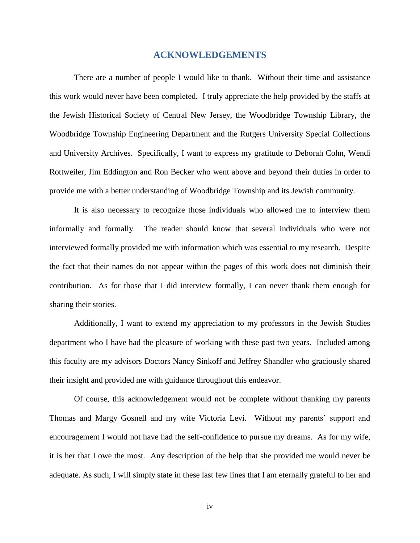## **ACKNOWLEDGEMENTS**

<span id="page-4-0"></span>There are a number of people I would like to thank. Without their time and assistance this work would never have been completed. I truly appreciate the help provided by the staffs at the Jewish Historical Society of Central New Jersey, the Woodbridge Township Library, the Woodbridge Township Engineering Department and the Rutgers University Special Collections and University Archives. Specifically, I want to express my gratitude to Deborah Cohn, Wendi Rottweiler, Jim Eddington and Ron Becker who went above and beyond their duties in order to provide me with a better understanding of Woodbridge Township and its Jewish community.

It is also necessary to recognize those individuals who allowed me to interview them informally and formally. The reader should know that several individuals who were not interviewed formally provided me with information which was essential to my research. Despite the fact that their names do not appear within the pages of this work does not diminish their contribution. As for those that I did interview formally, I can never thank them enough for sharing their stories.

Additionally, I want to extend my appreciation to my professors in the Jewish Studies department who I have had the pleasure of working with these past two years. Included among this faculty are my advisors Doctors Nancy Sinkoff and Jeffrey Shandler who graciously shared their insight and provided me with guidance throughout this endeavor.

Of course, this acknowledgement would not be complete without thanking my parents Thomas and Margy Gosnell and my wife Victoria Levi. Without my parents' support and encouragement I would not have had the self-confidence to pursue my dreams. As for my wife, it is her that I owe the most. Any description of the help that she provided me would never be adequate. As such, I will simply state in these last few lines that I am eternally grateful to her and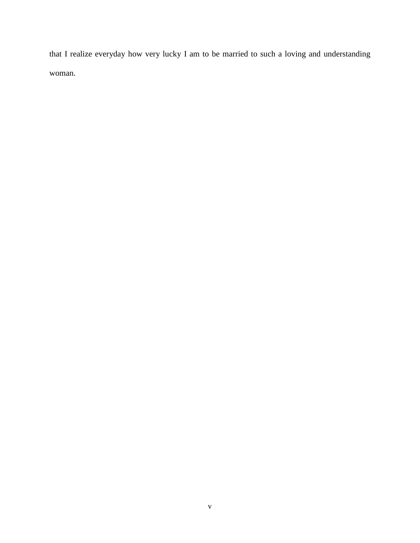that I realize everyday how very lucky I am to be married to such a loving and understanding woman.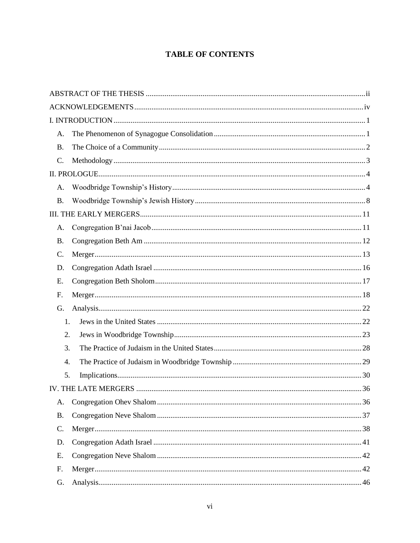## **TABLE OF CONTENTS**

| A.        |  |
|-----------|--|
| <b>B.</b> |  |
| C.        |  |
|           |  |
| A.        |  |
| <b>B.</b> |  |
|           |  |
| A.        |  |
| <b>B.</b> |  |
| C.        |  |
| D.        |  |
| Е.        |  |
| F.        |  |
| G.        |  |
|           |  |
| 1.        |  |
| 2.        |  |
| 3.        |  |
| 4.        |  |
| 5.        |  |
|           |  |
| A.        |  |
| <b>B.</b> |  |
| C.        |  |
| D.        |  |
| Ε.        |  |
| F.        |  |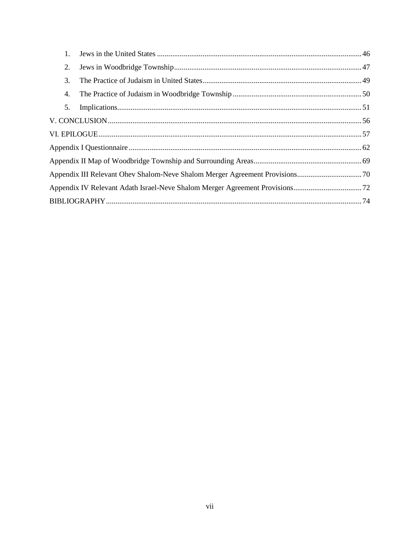| 1. |  |
|----|--|
| 2. |  |
| 3. |  |
| 4. |  |
| 5. |  |
|    |  |
|    |  |
|    |  |
|    |  |
|    |  |
|    |  |
|    |  |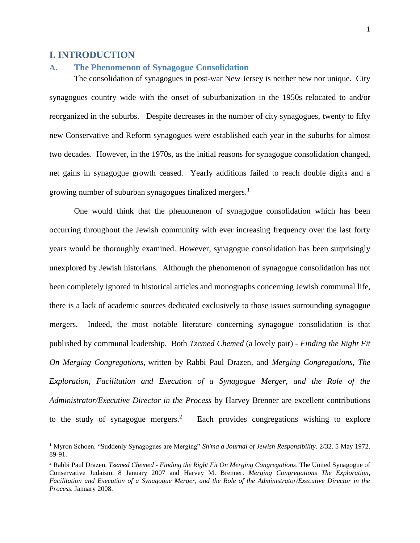## <span id="page-8-0"></span>**I. INTRODUCTION**

 $\overline{\phantom{a}}$ 

## <span id="page-8-1"></span>**A. The Phenomenon of Synagogue Consolidation**

The consolidation of synagogues in post-war New Jersey is neither new nor unique. City synagogues country wide with the onset of suburbanization in the 1950s relocated to and/or reorganized in the suburbs. Despite decreases in the number of city synagogues, twenty to fifty new Conservative and Reform synagogues were established each year in the suburbs for almost two decades. However, in the 1970s, as the initial reasons for synagogue consolidation changed, net gains in synagogue growth ceased. Yearly additions failed to reach double digits and a growing number of suburban synagogues finalized mergers.<sup>1</sup>

One would think that the phenomenon of synagogue consolidation which has been occurring throughout the Jewish community with ever increasing frequency over the last forty years would be thoroughly examined. However, synagogue consolidation has been surprisingly unexplored by Jewish historians. Although the phenomenon of synagogue consolidation has not been completely ignored in historical articles and monographs concerning Jewish communal life, there is a lack of academic sources dedicated exclusively to those issues surrounding synagogue mergers. Indeed, the most notable literature concerning synagogue consolidation is that published by communal leadership. Both *Tzemed Chemed* (a lovely pair) *- Finding the Right Fit On Merging Congregations*, written by Rabbi Paul Drazen, and *Merging Congregations, The Exploration, Facilitation and Execution of a Synagogue Merger, and the Role of the Administrator/Executive Director in the Process* by Harvey Brenner are excellent contributions to the study of synagogue mergers.<sup>2</sup> Each provides congregations wishing to explore

<sup>1</sup> Myron Schoen. "Suddenly Synagogues are Merging" *Sh'ma a Journal of Jewish Responsibility*. 2/32. 5 May 1972. 89-91.

<sup>2</sup> Rabbi Paul Drazen. *Tzemed Chemed - Finding the Right Fit On Merging Congregations*. The United Synagogue of Conservative Judaism. 8 January 2007 and Harvey M. Brenner. *Merging Congregations The Exploration, Facilitation and Execution of a Synagogue Merger, and the Role of the Administrator/Executive Director in the Process*. January 2008.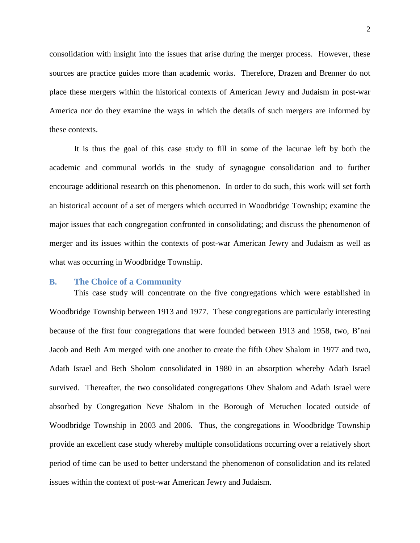consolidation with insight into the issues that arise during the merger process. However, these sources are practice guides more than academic works. Therefore, Drazen and Brenner do not place these mergers within the historical contexts of American Jewry and Judaism in post-war America nor do they examine the ways in which the details of such mergers are informed by these contexts.

It is thus the goal of this case study to fill in some of the lacunae left by both the academic and communal worlds in the study of synagogue consolidation and to further encourage additional research on this phenomenon. In order to do such, this work will set forth an historical account of a set of mergers which occurred in Woodbridge Township; examine the major issues that each congregation confronted in consolidating; and discuss the phenomenon of merger and its issues within the contexts of post-war American Jewry and Judaism as well as what was occurring in Woodbridge Township.

### <span id="page-9-0"></span>**B. The Choice of a Community**

This case study will concentrate on the five congregations which were established in Woodbridge Township between 1913 and 1977. These congregations are particularly interesting because of the first four congregations that were founded between 1913 and 1958, two, B'nai Jacob and Beth Am merged with one another to create the fifth Ohev Shalom in 1977 and two, Adath Israel and Beth Sholom consolidated in 1980 in an absorption whereby Adath Israel survived. Thereafter, the two consolidated congregations Ohev Shalom and Adath Israel were absorbed by Congregation Neve Shalom in the Borough of Metuchen located outside of Woodbridge Township in 2003 and 2006. Thus, the congregations in Woodbridge Township provide an excellent case study whereby multiple consolidations occurring over a relatively short period of time can be used to better understand the phenomenon of consolidation and its related issues within the context of post-war American Jewry and Judaism.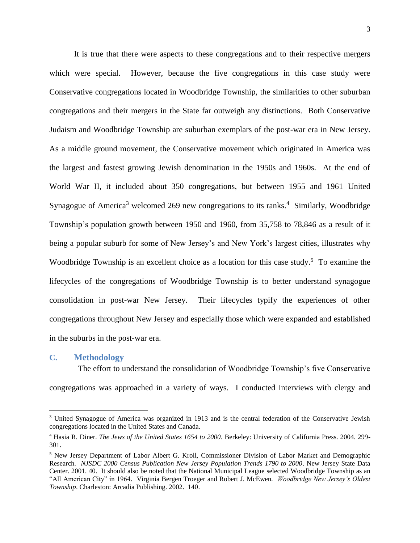It is true that there were aspects to these congregations and to their respective mergers which were special. However, because the five congregations in this case study were Conservative congregations located in Woodbridge Township, the similarities to other suburban congregations and their mergers in the State far outweigh any distinctions. Both Conservative Judaism and Woodbridge Township are suburban exemplars of the post-war era in New Jersey. As a middle ground movement, the Conservative movement which originated in America was the largest and fastest growing Jewish denomination in the 1950s and 1960s. At the end of World War II, it included about 350 congregations, but between 1955 and 1961 United Synagogue of America<sup>3</sup> welcomed 269 new congregations to its ranks.<sup>4</sup> Similarly, Woodbridge Township's population growth between 1950 and 1960, from 35,758 to 78,846 as a result of it being a popular suburb for some of New Jersey's and New York's largest cities, illustrates why Woodbridge Township is an excellent choice as a location for this case study.<sup>5</sup> To examine the lifecycles of the congregations of Woodbridge Township is to better understand synagogue consolidation in post-war New Jersey. Their lifecycles typify the experiences of other congregations throughout New Jersey and especially those which were expanded and established in the suburbs in the post-war era.

#### <span id="page-10-0"></span>**C. Methodology**

 $\overline{\phantom{a}}$ 

 The effort to understand the consolidation of Woodbridge Township's five Conservative congregations was approached in a variety of ways. I conducted interviews with clergy and

<sup>3</sup> United Synagogue of America was organized in 1913 and is the central federation of the Conservative Jewish congregations located in the United States and Canada.

<sup>4</sup> Hasia R. Diner. *The Jews of the United States 1654 to 2000*. Berkeley: University of California Press. 2004. 299- 301.

<sup>5</sup> New Jersey Department of Labor Albert G. Kroll, Commissioner Division of Labor Market and Demographic Research. *NJSDC 2000 Census Publication New Jersey Population Trends 1790 to 2000*. New Jersey State Data Center. 2001. 40. It should also be noted that the National Municipal League selected Woodbridge Township as an "All American City" in 1964. Virginia Bergen Troeger and Robert J. McEwen. *Woodbridge New Jersey's Oldest Township*. Charleston: Arcadia Publishing. 2002. 140.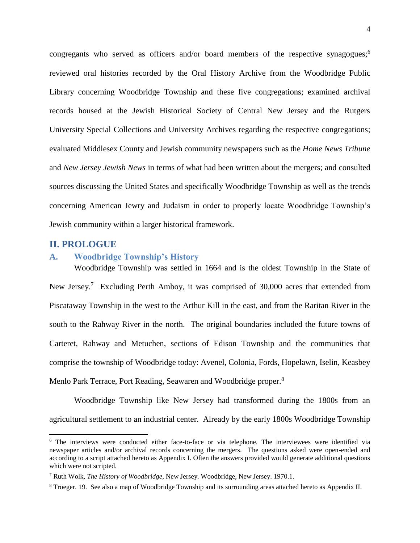congregants who served as officers and/or board members of the respective synagogues;<sup>6</sup> reviewed oral histories recorded by the Oral History Archive from the Woodbridge Public Library concerning Woodbridge Township and these five congregations; examined archival records housed at the Jewish Historical Society of Central New Jersey and the Rutgers University Special Collections and University Archives regarding the respective congregations; evaluated Middlesex County and Jewish community newspapers such as the *Home News Tribune* and *New Jersey Jewish News* in terms of what had been written about the mergers; and consulted sources discussing the United States and specifically Woodbridge Township as well as the trends concerning American Jewry and Judaism in order to properly locate Woodbridge Township's Jewish community within a larger historical framework.

## <span id="page-11-0"></span>**II. PROLOGUE**

l

## <span id="page-11-1"></span>**A. Woodbridge Township's History**

Woodbridge Township was settled in 1664 and is the oldest Township in the State of New Jersey.<sup>7</sup> Excluding Perth Amboy, it was comprised of 30,000 acres that extended from Piscataway Township in the west to the Arthur Kill in the east, and from the Raritan River in the south to the Rahway River in the north. The original boundaries included the future towns of Carteret, Rahway and Metuchen, sections of Edison Township and the communities that comprise the township of Woodbridge today: Avenel, Colonia, Fords, Hopelawn, Iselin, Keasbey Menlo Park Terrace, Port Reading, Seawaren and Woodbridge proper.<sup>8</sup>

Woodbridge Township like New Jersey had transformed during the 1800s from an agricultural settlement to an industrial center. Already by the early 1800s Woodbridge Township

<sup>6</sup> The interviews were conducted either face-to-face or via telephone. The interviewees were identified via newspaper articles and/or archival records concerning the mergers. The questions asked were open-ended and according to a script attached hereto as Appendix I. Often the answers provided would generate additional questions which were not scripted.

<sup>7</sup> Ruth Wolk, *The History of Woodbridge*, New Jersey. Woodbridge, New Jersey. 1970.1.

<sup>8</sup> Troeger. 19. See also a map of Woodbridge Township and its surrounding areas attached hereto as Appendix II.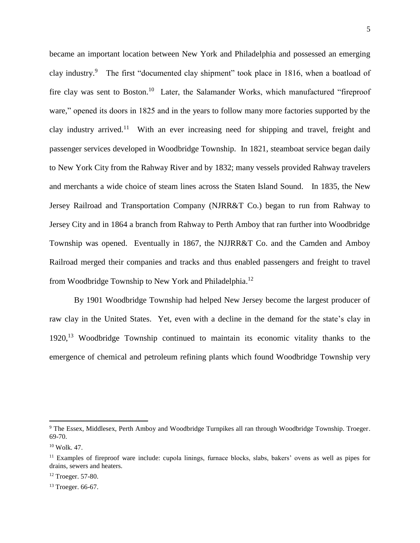became an important location between New York and Philadelphia and possessed an emerging clay industry.<sup>9</sup> The first "documented clay shipment" took place in 1816, when a boatload of fire clay was sent to Boston.<sup>10</sup> Later, the Salamander Works, which manufactured "fireproof ware," opened its doors in 1825 and in the years to follow many more factories supported by the clay industry arrived.<sup>11</sup> With an ever increasing need for shipping and travel, freight and passenger services developed in Woodbridge Township. In 1821, steamboat service began daily to New York City from the Rahway River and by 1832; many vessels provided Rahway travelers and merchants a wide choice of steam lines across the Staten Island Sound. In 1835, the New Jersey Railroad and Transportation Company (NJRR&T Co.) began to run from Rahway to Jersey City and in 1864 a branch from Rahway to Perth Amboy that ran further into Woodbridge Township was opened. Eventually in 1867, the NJJRR&T Co. and the Camden and Amboy Railroad merged their companies and tracks and thus enabled passengers and freight to travel from Woodbridge Township to New York and Philadelphia.<sup>12</sup>

By 1901 Woodbridge Township had helped New Jersey become the largest producer of raw clay in the United States. Yet, even with a decline in the demand for the state's clay in 1920,<sup>13</sup> Woodbridge Township continued to maintain its economic vitality thanks to the emergence of chemical and petroleum refining plants which found Woodbridge Township very

<sup>9</sup> The Essex, Middlesex, Perth Amboy and Woodbridge Turnpikes all ran through Woodbridge Township. Troeger. 69-70.

 $10$  Wolk. 47.

<sup>&</sup>lt;sup>11</sup> Examples of fireproof ware include: cupola linings, furnace blocks, slabs, bakers' ovens as well as pipes for drains, sewers and heaters.

<sup>12</sup> Troeger. 57-80.

<sup>13</sup> Troeger. 66-67.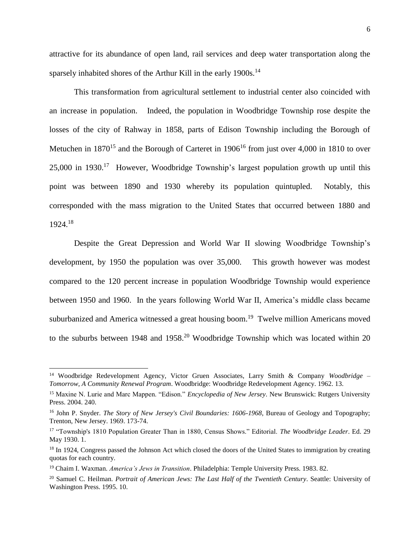attractive for its abundance of open land, rail services and deep water transportation along the sparsely inhabited shores of the Arthur Kill in the early 1900s.<sup>14</sup>

This transformation from agricultural settlement to industrial center also coincided with an increase in population. Indeed, the population in Woodbridge Township rose despite the losses of the city of Rahway in 1858, parts of Edison Township including the Borough of Metuchen in 1870<sup>15</sup> and the Borough of Carteret in 1906<sup>16</sup> from just over 4,000 in 1810 to over  $25,000$  in 1930.<sup>17</sup> However, Woodbridge Township's largest population growth up until this point was between 1890 and 1930 whereby its population quintupled. Notably, this corresponded with the mass migration to the United States that occurred between 1880 and 1924.<sup>18</sup>

Despite the Great Depression and World War II slowing Woodbridge Township's development, by 1950 the population was over 35,000. This growth however was modest compared to the 120 percent increase in population Woodbridge Township would experience between 1950 and 1960. In the years following World War II, America's middle class became suburbanized and America witnessed a great housing boom.<sup>19</sup> Twelve million Americans moved to the suburbs between 1948 and 1958.<sup>20</sup> Woodbridge Township which was located within 20

<sup>14</sup> Woodbridge Redevelopment Agency, Victor Gruen Associates, Larry Smith & Company *Woodbridge – Tomorrow, A Community Renewal Program*. Woodbridge: Woodbridge Redevelopment Agency. 1962. 13.

<sup>15</sup> Maxine N. Lurie and Marc Mappen. "Edison." *Encyclopedia of New Jersey*. New Brunswick: Rutgers University Press. 2004. 240.

<sup>&</sup>lt;sup>16</sup> John P. Snyder. *The Story of New Jersey's Civil Boundaries: 1606-1968*, Bureau of Geology and Topography; Trenton, New Jersey. 1969. 173-74.

<sup>17</sup> "Township's 1810 Population Greater Than in 1880, Census Shows." Editorial. *The Woodbridge Leader*. Ed. 29 May 1930. 1.

<sup>&</sup>lt;sup>18</sup> In 1924, Congress passed the Johnson Act which closed the doors of the United States to immigration by creating quotas for each country.

<sup>19</sup> Chaim I. Waxman. *America's Jews in Transition*. Philadelphia: Temple University Press. 1983. 82.

<sup>&</sup>lt;sup>20</sup> Samuel C. Heilman. *Portrait of American Jews: The Last Half of the Twentieth Century*. Seattle: University of Washington Press. 1995. 10.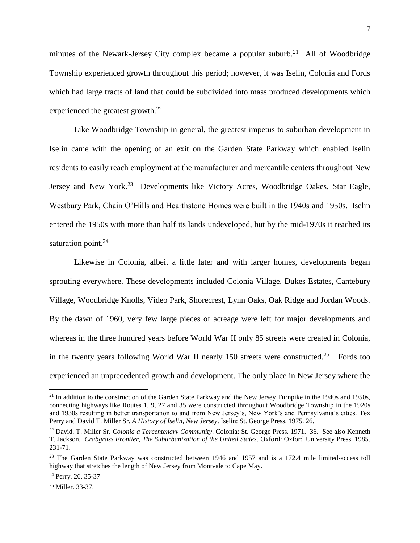minutes of the Newark-Jersey City complex became a popular suburb.<sup>21</sup> All of Woodbridge Township experienced growth throughout this period; however, it was Iselin, Colonia and Fords which had large tracts of land that could be subdivided into mass produced developments which experienced the greatest growth. $^{22}$ 

Like Woodbridge Township in general, the greatest impetus to suburban development in Iselin came with the opening of an exit on the Garden State Parkway which enabled Iselin residents to easily reach employment at the manufacturer and mercantile centers throughout New Jersey and New York.<sup>23</sup> Developments like Victory Acres, Woodbridge Oakes, Star Eagle, Westbury Park, Chain O'Hills and Hearthstone Homes were built in the 1940s and 1950s. Iselin entered the 1950s with more than half its lands undeveloped, but by the mid-1970s it reached its saturation point.<sup>24</sup>

Likewise in Colonia, albeit a little later and with larger homes, developments began sprouting everywhere. These developments included Colonia Village, Dukes Estates, Cantebury Village, Woodbridge Knolls, Video Park, Shorecrest, Lynn Oaks, Oak Ridge and Jordan Woods. By the dawn of 1960, very few large pieces of acreage were left for major developments and whereas in the three hundred years before World War II only 85 streets were created in Colonia, in the twenty years following World War II nearly 150 streets were constructed.<sup>25</sup> Fords too experienced an unprecedented growth and development. The only place in New Jersey where the

 $21$  In addition to the construction of the Garden State Parkway and the New Jersey Turnpike in the 1940s and 1950s, connecting highways like Routes 1, 9, 27 and 35 were constructed throughout Woodbridge Township in the 1920s and 1930s resulting in better transportation to and from New Jersey's, New York's and Pennsylvania's cities. Tex Perry and David T. Miller Sr. *A History of Iselin, New Jersey*. Iselin: St. George Press. 1975. 26.

<sup>22</sup> David. T. Miller Sr. *Colonia a Tercentenary Community*. Colonia: St. George Press. 1971. 36. See also Kenneth T. Jackson. *Crabgrass Frontier, The Suburbanization of the United States*. Oxford: Oxford University Press. 1985. 231-71.

<sup>&</sup>lt;sup>23</sup> The Garden State Parkway was constructed between 1946 and 1957 and is a 172.4 mile limited-access toll highway that stretches the length of New Jersey from Montvale to Cape May.

<sup>24</sup> Perry. 26, 35-37

<sup>25</sup> Miller. 33-37.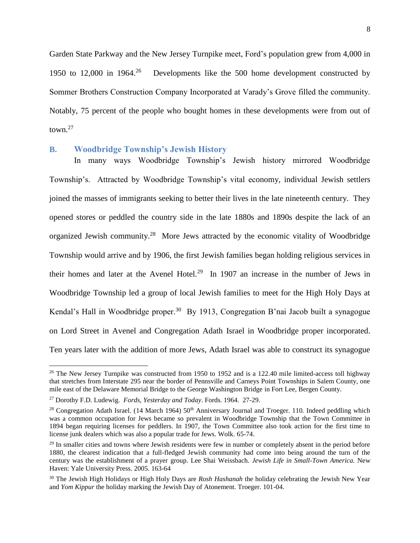Garden State Parkway and the New Jersey Turnpike meet, Ford's population grew from 4,000 in 1950 to 12,000 in 1964.<sup>26</sup> Developments like the 500 home development constructed by Sommer Brothers Construction Company Incorporated at Varady's Grove filled the community. Notably, 75 percent of the people who bought homes in these developments were from out of town. $27$ 

### <span id="page-15-0"></span>**B. Woodbridge Township's Jewish History**

In many ways Woodbridge Township's Jewish history mirrored Woodbridge Township's. Attracted by Woodbridge Township's vital economy, individual Jewish settlers joined the masses of immigrants seeking to better their lives in the late nineteenth century. They opened stores or peddled the country side in the late 1880s and 1890s despite the lack of an organized Jewish community.<sup>28</sup> More Jews attracted by the economic vitality of Woodbridge Township would arrive and by 1906, the first Jewish families began holding religious services in their homes and later at the Avenel Hotel.<sup>29</sup> In 1907 an increase in the number of Jews in Woodbridge Township led a group of local Jewish families to meet for the High Holy Days at Kendal's Hall in Woodbridge proper.<sup>30</sup> By 1913, Congregation B'nai Jacob built a synagogue on Lord Street in Avenel and Congregation Adath Israel in Woodbridge proper incorporated. Ten years later with the addition of more Jews, Adath Israel was able to construct its synagogue

<sup>&</sup>lt;sup>26</sup> The New Jersey Turnpike was constructed from 1950 to 1952 and is a 122.40 mile limited-access toll highway that stretches from Interstate 295 near the border of Pennsville and Carneys Point Townships in Salem County, one mile east of the Delaware Memorial Bridge to the George Washington Bridge in Fort Lee, Bergen County.

<sup>27</sup> Dorothy F.D. Ludewig. *Fords, Yesterday and Today*. Fords. 1964. 27-29.

<sup>&</sup>lt;sup>28</sup> Congregation Adath Israel. (14 March 1964)  $50<sup>th</sup>$  Anniversary Journal and Troeger. 110. Indeed peddling which was a common occupation for Jews became so prevalent in Woodbridge Township that the Town Committee in 1894 began requiring licenses for peddlers. In 1907, the Town Committee also took action for the first time to license junk dealers which was also a popular trade for Jews. Wolk. 65-74.

<sup>&</sup>lt;sup>29</sup> In smaller cities and towns where Jewish residents were few in number or completely absent in the period before 1880, the clearest indication that a full-fledged Jewish community had come into being around the turn of the century was the establishment of a prayer group. Lee Shai Weissbach. *Jewish Life in Small-Town America.* New Haven: Yale University Press. 2005. 163-64

<sup>30</sup> The Jewish High Holidays or High Holy Days are *Rosh Hashanah* the holiday celebrating the Jewish New Year and *Yom Kippur* the holiday marking the Jewish Day of Atonement. Troeger. 101-04.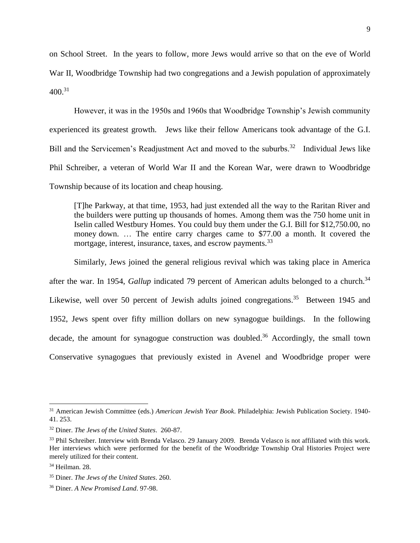on School Street. In the years to follow, more Jews would arrive so that on the eve of World War II, Woodbridge Township had two congregations and a Jewish population of approximately  $400.^{31}$ 

However, it was in the 1950s and 1960s that Woodbridge Township's Jewish community experienced its greatest growth. Jews like their fellow Americans took advantage of the G.I. Bill and the Servicemen's Readjustment Act and moved to the suburbs.<sup>32</sup> Individual Jews like Phil Schreiber, a veteran of World War II and the Korean War, were drawn to Woodbridge Township because of its location and cheap housing.

[T]he Parkway, at that time, 1953, had just extended all the way to the Raritan River and the builders were putting up thousands of homes. Among them was the 750 home unit in Iselin called Westbury Homes. You could buy them under the G.I. Bill for \$12,750.00, no money down. … The entire carry charges came to \$77.00 a month. It covered the mortgage, interest, insurance, taxes, and escrow payments.<sup>33</sup>

Similarly, Jews joined the general religious revival which was taking place in America after the war. In 1954, *Gallup* indicated 79 percent of American adults belonged to a church.<sup>34</sup> Likewise, well over 50 percent of Jewish adults joined congregations.<sup>35</sup> Between 1945 and 1952, Jews spent over fifty million dollars on new synagogue buildings. In the following decade, the amount for synagogue construction was doubled.<sup>36</sup> Accordingly, the small town Conservative synagogues that previously existed in Avenel and Woodbridge proper were

<sup>31</sup> American Jewish Committee (eds.) *American Jewish Year Book*. Philadelphia: Jewish Publication Society. 1940- 41. 253.

<sup>32</sup> Diner. *The Jews of the United States*. 260-87.

<sup>&</sup>lt;sup>33</sup> Phil Schreiber. Interview with Brenda Velasco. 29 January 2009. Brenda Velasco is not affiliated with this work. Her interviews which were performed for the benefit of the Woodbridge Township Oral Histories Project were merely utilized for their content.

<sup>34</sup> Heilman. 28.

<sup>35</sup> Diner. *The Jews of the United States*. 260.

<sup>36</sup> Diner. *A New Promised Land*. 97-98.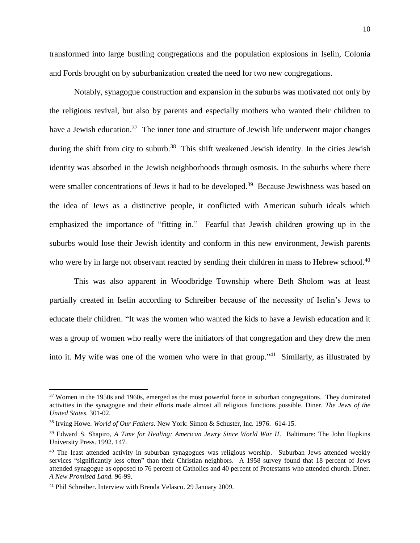transformed into large bustling congregations and the population explosions in Iselin, Colonia and Fords brought on by suburbanization created the need for two new congregations.

Notably, synagogue construction and expansion in the suburbs was motivated not only by the religious revival, but also by parents and especially mothers who wanted their children to have a Jewish education.<sup>37</sup> The inner tone and structure of Jewish life underwent major changes during the shift from city to suburb.<sup>38</sup> This shift weakened Jewish identity. In the cities Jewish identity was absorbed in the Jewish neighborhoods through osmosis. In the suburbs where there were smaller concentrations of Jews it had to be developed.<sup>39</sup> Because Jewishness was based on the idea of Jews as a distinctive people, it conflicted with American suburb ideals which emphasized the importance of "fitting in." Fearful that Jewish children growing up in the suburbs would lose their Jewish identity and conform in this new environment, Jewish parents who were by in large not observant reacted by sending their children in mass to Hebrew school.<sup>40</sup>

This was also apparent in Woodbridge Township where Beth Sholom was at least partially created in Iselin according to Schreiber because of the necessity of Iselin's Jews to educate their children. "It was the women who wanted the kids to have a Jewish education and it was a group of women who really were the initiators of that congregation and they drew the men into it. My wife was one of the women who were in that group."<sup>41</sup> Similarly, as illustrated by

<sup>&</sup>lt;sup>37</sup> Women in the 1950s and 1960s, emerged as the most powerful force in suburban congregations. They dominated activities in the synagogue and their efforts made almost all religious functions possible. Diner. *The Jews of the United States*. 301-02.

<sup>38</sup> Irving Howe. *World of Our Fathers*. New York: Simon & Schuster, Inc. 1976. 614-15.

<sup>&</sup>lt;sup>39</sup> Edward S. Shapiro, *A Time for Healing: American Jewry Since World War II*. Baltimore: The John Hopkins University Press. 1992. 147.

<sup>&</sup>lt;sup>40</sup> The least attended activity in suburban synagogues was religious worship. Suburban Jews attended weekly services "significantly less often" than their Christian neighbors. A 1958 survey found that 18 percent of Jews attended synagogue as opposed to 76 percent of Catholics and 40 percent of Protestants who attended church. Diner. *A New Promised Land.* 96-99.

<sup>41</sup> Phil Schreiber. Interview with Brenda Velasco. 29 January 2009.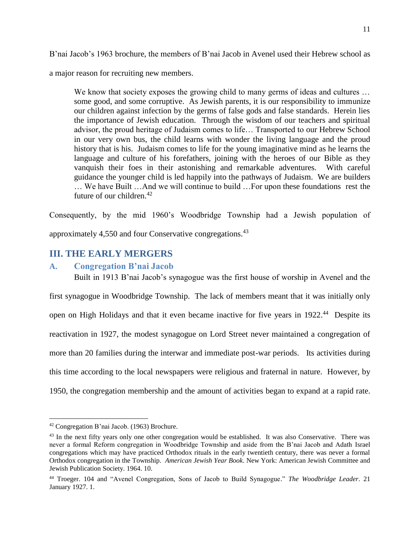B'nai Jacob's 1963 brochure, the members of B'nai Jacob in Avenel used their Hebrew school as

a major reason for recruiting new members.

We know that society exposes the growing child to many germs of ideas and cultures ... some good, and some corruptive. As Jewish parents, it is our responsibility to immunize our children against infection by the germs of false gods and false standards. Herein lies the importance of Jewish education. Through the wisdom of our teachers and spiritual advisor, the proud heritage of Judaism comes to life… Transported to our Hebrew School in our very own bus, the child learns with wonder the living language and the proud history that is his. Judaism comes to life for the young imaginative mind as he learns the language and culture of his forefathers, joining with the heroes of our Bible as they vanquish their foes in their astonishing and remarkable adventures. With careful guidance the younger child is led happily into the pathways of Judaism. We are builders … We have Built …And we will continue to build …For upon these foundations rest the future of our children.<sup>42</sup>

Consequently, by the mid 1960's Woodbridge Township had a Jewish population of approximately 4,550 and four Conservative congregations.<sup>43</sup>

## <span id="page-18-0"></span>**III. THE EARLY MERGERS**

## <span id="page-18-1"></span>**A. Congregation B'nai Jacob**

Built in 1913 B'nai Jacob's synagogue was the first house of worship in Avenel and the first synagogue in Woodbridge Township. The lack of members meant that it was initially only open on High Holidays and that it even became inactive for five years in 1922.<sup>44</sup> Despite its reactivation in 1927, the modest synagogue on Lord Street never maintained a congregation of more than 20 families during the interwar and immediate post-war periods. Its activities during this time according to the local newspapers were religious and fraternal in nature. However, by 1950, the congregation membership and the amount of activities began to expand at a rapid rate.

<sup>42</sup> Congregation B'nai Jacob. (1963) Brochure.

<sup>&</sup>lt;sup>43</sup> In the next fifty years only one other congregation would be established. It was also Conservative. There was never a formal Reform congregation in Woodbridge Township and aside from the B'nai Jacob and Adath Israel congregations which may have practiced Orthodox rituals in the early twentieth century, there was never a formal Orthodox congregation in the Township. *American Jewish Year Book*. New York: American Jewish Committee and Jewish Publication Society. 1964. 10.

<sup>44</sup> Troeger. 104 and "Avenel Congregation, Sons of Jacob to Build Synagogue." *The Woodbridge Leader*. 21 January 1927. 1.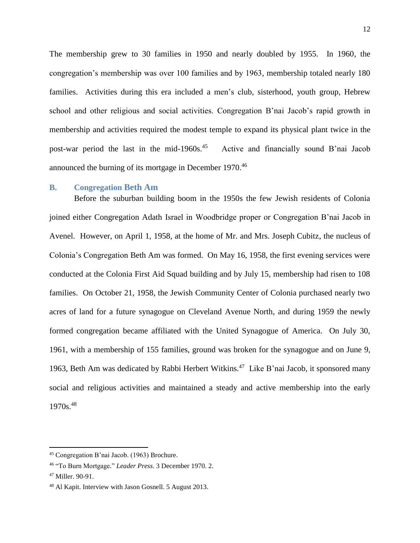The membership grew to 30 families in 1950 and nearly doubled by 1955. In 1960, the congregation's membership was over 100 families and by 1963, membership totaled nearly 180 families. Activities during this era included a men's club, sisterhood, youth group, Hebrew school and other religious and social activities. Congregation B'nai Jacob's rapid growth in membership and activities required the modest temple to expand its physical plant twice in the post-war period the last in the mid-1960s.<sup>45</sup> Active and financially sound B'nai Jacob announced the burning of its mortgage in December 1970.<sup>46</sup>

#### <span id="page-19-0"></span>**B. Congregation Beth Am**

Before the suburban building boom in the 1950s the few Jewish residents of Colonia joined either Congregation Adath Israel in Woodbridge proper or Congregation B'nai Jacob in Avenel. However, on April 1, 1958, at the home of Mr. and Mrs. Joseph Cubitz, the nucleus of Colonia's Congregation Beth Am was formed. On May 16, 1958, the first evening services were conducted at the Colonia First Aid Squad building and by July 15, membership had risen to 108 families. On October 21, 1958, the Jewish Community Center of Colonia purchased nearly two acres of land for a future synagogue on Cleveland Avenue North, and during 1959 the newly formed congregation became affiliated with the United Synagogue of America. On July 30, 1961, with a membership of 155 families, ground was broken for the synagogue and on June 9, 1963, Beth Am was dedicated by Rabbi Herbert Witkins.<sup>47</sup> Like B'nai Jacob, it sponsored many social and religious activities and maintained a steady and active membership into the early  $1970s.<sup>48</sup>$ 

<sup>45</sup> Congregation B'nai Jacob. (1963) Brochure.

<sup>46</sup> "To Burn Mortgage." *Leader Press*. 3 December 1970. 2.

<sup>47</sup> Miller. 90-91.

<sup>48</sup> Al Kapit. Interview with Jason Gosnell. 5 August 2013.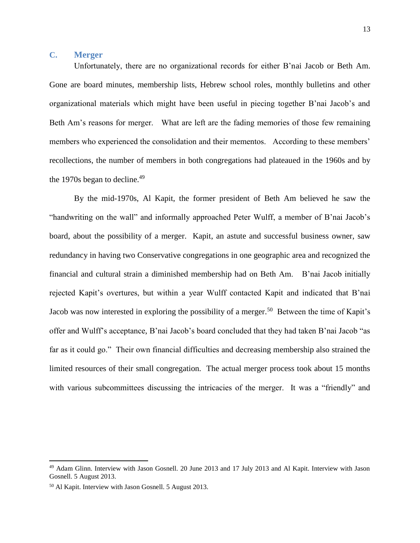## <span id="page-20-0"></span>**C. Merger**

Unfortunately, there are no organizational records for either B'nai Jacob or Beth Am. Gone are board minutes, membership lists, Hebrew school roles, monthly bulletins and other organizational materials which might have been useful in piecing together B'nai Jacob's and Beth Am's reasons for merger. What are left are the fading memories of those few remaining members who experienced the consolidation and their mementos. According to these members' recollections, the number of members in both congregations had plateaued in the 1960s and by the 1970s began to decline. $49$ 

By the mid-1970s, Al Kapit, the former president of Beth Am believed he saw the "handwriting on the wall" and informally approached Peter Wulff, a member of B'nai Jacob's board, about the possibility of a merger. Kapit, an astute and successful business owner, saw redundancy in having two Conservative congregations in one geographic area and recognized the financial and cultural strain a diminished membership had on Beth Am. B'nai Jacob initially rejected Kapit's overtures, but within a year Wulff contacted Kapit and indicated that B'nai Jacob was now interested in exploring the possibility of a merger.<sup>50</sup> Between the time of Kapit's offer and Wulff's acceptance, B'nai Jacob's board concluded that they had taken B'nai Jacob "as far as it could go." Their own financial difficulties and decreasing membership also strained the limited resources of their small congregation. The actual merger process took about 15 months with various subcommittees discussing the intricacies of the merger. It was a "friendly" and

<sup>49</sup> Adam Glinn. Interview with Jason Gosnell. 20 June 2013 and 17 July 2013 and Al Kapit. Interview with Jason Gosnell. 5 August 2013.

<sup>50</sup> Al Kapit. Interview with Jason Gosnell. 5 August 2013.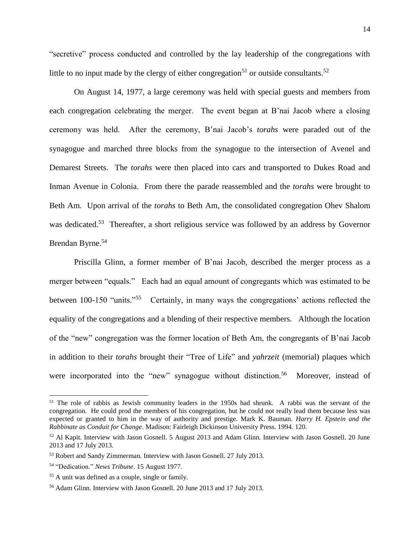"secretive" process conducted and controlled by the lay leadership of the congregations with little to no input made by the clergy of either congregation<sup>51</sup> or outside consultants.<sup>52</sup>

On August 14, 1977, a large ceremony was held with special guests and members from each congregation celebrating the merger. The event began at B'nai Jacob where a closing ceremony was held. After the ceremony, B'nai Jacob's *torahs* were paraded out of the synagogue and marched three blocks from the synagogue to the intersection of Avenel and Demarest Streets. The *torahs* were then placed into cars and transported to Dukes Road and Inman Avenue in Colonia. From there the parade reassembled and the *torahs* were brought to Beth Am. Upon arrival of the *torahs* to Beth Am, the consolidated congregation Ohev Shalom was dedicated.<sup>53</sup> Thereafter, a short religious service was followed by an address by Governor Brendan Byrne.<sup>54</sup>

Priscilla Glinn, a former member of B'nai Jacob, described the merger process as a merger between "equals." Each had an equal amount of congregants which was estimated to be between 100-150 "units."<sup>55</sup> Certainly, in many ways the congregations' actions reflected the equality of the congregations and a blending of their respective members. Although the location of the "new" congregation was the former location of Beth Am, the congregants of B'nai Jacob in addition to their *torahs* brought their "Tree of Life" and *yahrzeit* (memorial) plaques which were incorporated into the "new" synagogue without distinction.<sup>56</sup> Moreover, instead of

<sup>&</sup>lt;sup>51</sup> The role of rabbis as Jewish community leaders in the 1950s had shrunk. A rabbi was the servant of the congregation. He could prod the members of his congregation, but he could not really lead them because less was expected or granted to him in the way of authority and prestige. Mark K. Bauman. *Harry H. Epstein and the Rabbinate as Conduit for Change*. Madison: Fairleigh Dickinson University Press. 1994. 120.

<sup>52</sup> Al Kapit. Interview with Jason Gosnell. 5 August 2013 and Adam Glinn. Interview with Jason Gosnell. 20 June 2013 and 17 July 2013.

<sup>53</sup> Robert and Sandy Zimmerman. Interview with Jason Gosnell. 27 July 2013.

<sup>54</sup> "Dedication." *News Tribune*. 15 August 1977.

<sup>55</sup> A unit was defined as a couple, single or family.

<sup>56</sup> Adam Glinn. Interview with Jason Gosnell. 20 June 2013 and 17 July 2013.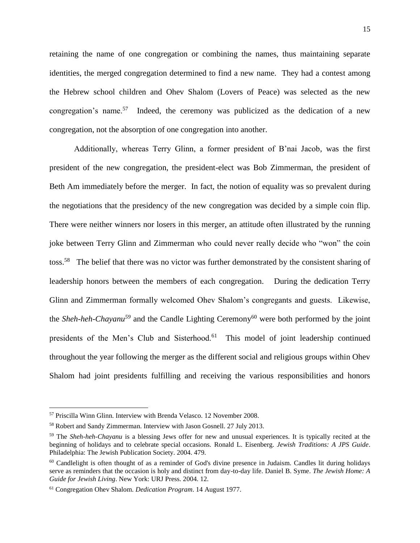retaining the name of one congregation or combining the names, thus maintaining separate identities, the merged congregation determined to find a new name. They had a contest among the Hebrew school children and Ohev Shalom (Lovers of Peace) was selected as the new congregation's name.<sup>57</sup> Indeed, the ceremony was publicized as the dedication of a new congregation, not the absorption of one congregation into another.

Additionally, whereas Terry Glinn, a former president of B'nai Jacob, was the first president of the new congregation, the president-elect was Bob Zimmerman, the president of Beth Am immediately before the merger. In fact, the notion of equality was so prevalent during the negotiations that the presidency of the new congregation was decided by a simple coin flip. There were neither winners nor losers in this merger, an attitude often illustrated by the running joke between Terry Glinn and Zimmerman who could never really decide who "won" the coin toss.<sup>58</sup> The belief that there was no victor was further demonstrated by the consistent sharing of leadership honors between the members of each congregation. During the dedication Terry Glinn and Zimmerman formally welcomed Ohev Shalom's congregants and guests. Likewise, the *Sheh-heh-Chayanu<sup>59</sup>* and the Candle Lighting Ceremony<sup>60</sup> were both performed by the joint presidents of the Men's Club and Sisterhood.<sup>61</sup> This model of joint leadership continued throughout the year following the merger as the different social and religious groups within Ohev Shalom had joint presidents fulfilling and receiving the various responsibilities and honors

<sup>57</sup> Priscilla Winn Glinn. Interview with Brenda Velasco. 12 November 2008.

<sup>58</sup> Robert and Sandy Zimmerman. Interview with Jason Gosnell. 27 July 2013.

<sup>59</sup> The *Sheh-heh-Chayanu* is a blessing Jews offer for new and unusual experiences. It is typically recited at the beginning of holidays and to celebrate special occasions. Ronald L. Eisenberg. *Jewish Traditions: A JPS Guide*. Philadelphia: The Jewish Publication Society. 2004. 479.

 $60$  Candlelight is often thought of as a reminder of God's divine presence in Judaism. Candles lit during holidays serve as reminders that the occasion is holy and distinct from day-to-day life. Daniel B. Syme. *The Jewish Home: A Guide for Jewish Living*. New York: URJ Press. 2004. 12.

<sup>61</sup> Congregation Ohev Shalom. *Dedication Program*. 14 August 1977.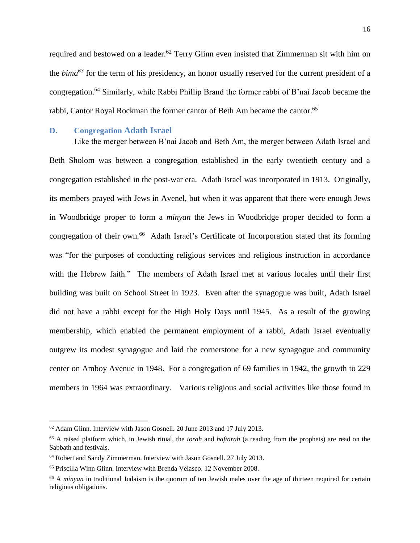required and bestowed on a leader.<sup>62</sup> Terry Glinn even insisted that Zimmerman sit with him on the *bima<sup>63</sup>* for the term of his presidency, an honor usually reserved for the current president of a congregation.<sup>64</sup> Similarly, while Rabbi Phillip Brand the former rabbi of B'nai Jacob became the rabbi, Cantor Royal Rockman the former cantor of Beth Am became the cantor. 65

### <span id="page-23-0"></span>**D. Congregation Adath Israel**

Like the merger between B'nai Jacob and Beth Am, the merger between Adath Israel and Beth Sholom was between a congregation established in the early twentieth century and a congregation established in the post-war era. Adath Israel was incorporated in 1913. Originally, its members prayed with Jews in Avenel, but when it was apparent that there were enough Jews in Woodbridge proper to form a *minyan* the Jews in Woodbridge proper decided to form a congregation of their own.<sup>66</sup> Adath Israel's Certificate of Incorporation stated that its forming was "for the purposes of conducting religious services and religious instruction in accordance with the Hebrew faith." The members of Adath Israel met at various locales until their first building was built on School Street in 1923. Even after the synagogue was built, Adath Israel did not have a rabbi except for the High Holy Days until 1945. As a result of the growing membership, which enabled the permanent employment of a rabbi, Adath Israel eventually outgrew its modest synagogue and laid the cornerstone for a new synagogue and community center on Amboy Avenue in 1948. For a congregation of 69 families in 1942, the growth to 229 members in 1964 was extraordinary. Various religious and social activities like those found in

<sup>62</sup> Adam Glinn. Interview with Jason Gosnell. 20 June 2013 and 17 July 2013.

<sup>63</sup> A raised platform which, in Jewish ritual, the *torah* and *haftarah* (a reading from the prophets) are read on the Sabbath and festivals.

<sup>64</sup> Robert and Sandy Zimmerman. Interview with Jason Gosnell. 27 July 2013.

<sup>65</sup> Priscilla Winn Glinn. Interview with Brenda Velasco. 12 November 2008.

<sup>&</sup>lt;sup>66</sup> A *minyan* in traditional Judaism is the quorum of ten Jewish males over the age of thirteen required for certain religious obligations.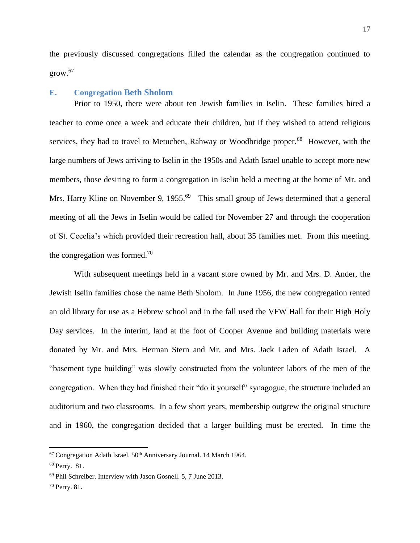the previously discussed congregations filled the calendar as the congregation continued to  $grow.<sup>67</sup>$ 

### <span id="page-24-0"></span>**E. Congregation Beth Sholom**

Prior to 1950, there were about ten Jewish families in Iselin. These families hired a teacher to come once a week and educate their children, but if they wished to attend religious services, they had to travel to Metuchen, Rahway or Woodbridge proper.<sup>68</sup> However, with the large numbers of Jews arriving to Iselin in the 1950s and Adath Israel unable to accept more new members, those desiring to form a congregation in Iselin held a meeting at the home of Mr. and Mrs. Harry Kline on November 9, 1955.<sup>69</sup> This small group of Jews determined that a general meeting of all the Jews in Iselin would be called for November 27 and through the cooperation of St. Cecelia's which provided their recreation hall, about 35 families met. From this meeting, the congregation was formed.<sup>70</sup>

With subsequent meetings held in a vacant store owned by Mr. and Mrs. D. Ander, the Jewish Iselin families chose the name Beth Sholom. In June 1956, the new congregation rented an old library for use as a Hebrew school and in the fall used the VFW Hall for their High Holy Day services. In the interim, land at the foot of Cooper Avenue and building materials were donated by Mr. and Mrs. Herman Stern and Mr. and Mrs. Jack Laden of Adath Israel. A "basement type building" was slowly constructed from the volunteer labors of the men of the congregation. When they had finished their "do it yourself" synagogue, the structure included an auditorium and two classrooms. In a few short years, membership outgrew the original structure and in 1960, the congregation decided that a larger building must be erected. In time the

 $67$  Congregation Adath Israel.  $50<sup>th</sup>$  Anniversary Journal. 14 March 1964.

<sup>68</sup> Perry. 81.

<sup>69</sup> Phil Schreiber. Interview with Jason Gosnell. 5, 7 June 2013.

<sup>70</sup> Perry. 81.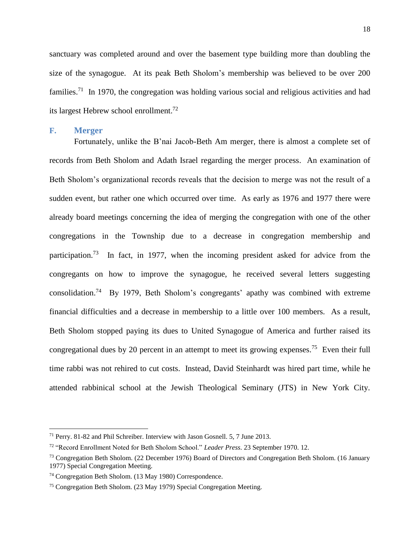sanctuary was completed around and over the basement type building more than doubling the size of the synagogue. At its peak Beth Sholom's membership was believed to be over 200 families.<sup>71</sup> In 1970, the congregation was holding various social and religious activities and had its largest Hebrew school enrollment.<sup>72</sup>

### <span id="page-25-0"></span>**F. Merger**

 $\overline{\phantom{a}}$ 

Fortunately, unlike the B'nai Jacob-Beth Am merger, there is almost a complete set of records from Beth Sholom and Adath Israel regarding the merger process. An examination of Beth Sholom's organizational records reveals that the decision to merge was not the result of a sudden event, but rather one which occurred over time. As early as 1976 and 1977 there were already board meetings concerning the idea of merging the congregation with one of the other congregations in the Township due to a decrease in congregation membership and participation.<sup>73</sup> In fact, in 1977, when the incoming president asked for advice from the congregants on how to improve the synagogue, he received several letters suggesting consolidation.<sup>74</sup> By 1979, Beth Sholom's congregants' apathy was combined with extreme financial difficulties and a decrease in membership to a little over 100 members. As a result, Beth Sholom stopped paying its dues to United Synagogue of America and further raised its congregational dues by 20 percent in an attempt to meet its growing expenses.<sup>75</sup> Even their full time rabbi was not rehired to cut costs. Instead, David Steinhardt was hired part time, while he attended rabbinical school at the Jewish Theological Seminary (JTS) in New York City.

<sup>71</sup> Perry. 81-82 and Phil Schreiber. Interview with Jason Gosnell. 5, 7 June 2013.

<sup>72</sup> "Record Enrollment Noted for Beth Sholom School." *Leader Press*. 23 September 1970. 12.

<sup>73</sup> Congregation Beth Sholom. (22 December 1976) Board of Directors and Congregation Beth Sholom. (16 January 1977) Special Congregation Meeting.

<sup>74</sup> Congregation Beth Sholom. (13 May 1980) Correspondence.

<sup>75</sup> Congregation Beth Sholom. (23 May 1979) Special Congregation Meeting.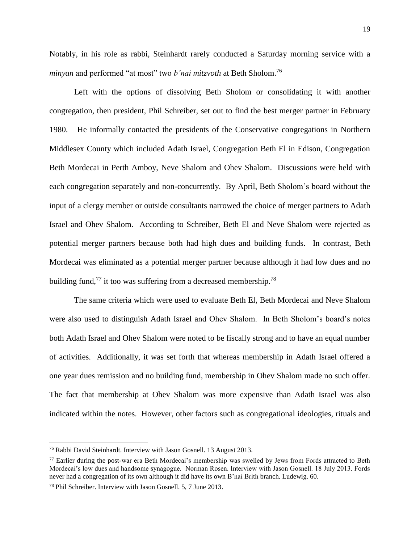Notably, in his role as rabbi, Steinhardt rarely conducted a Saturday morning service with a *minyan* and performed "at most" two *b'nai mitzvoth* at Beth Sholom.<sup>76</sup>

Left with the options of dissolving Beth Sholom or consolidating it with another congregation, then president, Phil Schreiber, set out to find the best merger partner in February 1980. He informally contacted the presidents of the Conservative congregations in Northern Middlesex County which included Adath Israel, Congregation Beth El in Edison, Congregation Beth Mordecai in Perth Amboy, Neve Shalom and Ohev Shalom. Discussions were held with each congregation separately and non-concurrently. By April, Beth Sholom's board without the input of a clergy member or outside consultants narrowed the choice of merger partners to Adath Israel and Ohev Shalom. According to Schreiber, Beth El and Neve Shalom were rejected as potential merger partners because both had high dues and building funds. In contrast, Beth Mordecai was eliminated as a potential merger partner because although it had low dues and no building fund,<sup>77</sup> it too was suffering from a decreased membership.<sup>78</sup>

The same criteria which were used to evaluate Beth El, Beth Mordecai and Neve Shalom were also used to distinguish Adath Israel and Ohev Shalom. In Beth Sholom's board's notes both Adath Israel and Ohev Shalom were noted to be fiscally strong and to have an equal number of activities. Additionally, it was set forth that whereas membership in Adath Israel offered a one year dues remission and no building fund, membership in Ohev Shalom made no such offer. The fact that membership at Ohev Shalom was more expensive than Adath Israel was also indicated within the notes. However, other factors such as congregational ideologies, rituals and

<sup>76</sup> Rabbi David Steinhardt. Interview with Jason Gosnell. 13 August 2013.

<sup>&</sup>lt;sup>77</sup> Earlier during the post-war era Beth Mordecai's membership was swelled by Jews from Fords attracted to Beth Mordecai's low dues and handsome synagogue. Norman Rosen. Interview with Jason Gosnell. 18 July 2013. Fords never had a congregation of its own although it did have its own B'nai Brith branch. Ludewig. 60.

<sup>78</sup> Phil Schreiber. Interview with Jason Gosnell. 5, 7 June 2013.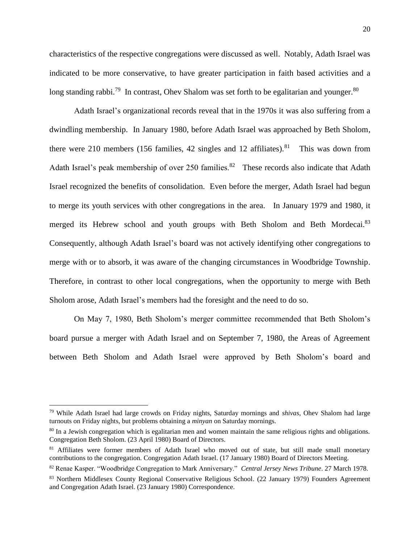characteristics of the respective congregations were discussed as well. Notably, Adath Israel was indicated to be more conservative, to have greater participation in faith based activities and a long standing rabbi.<sup>79</sup> In contrast, Ohev Shalom was set forth to be egalitarian and younger.<sup>80</sup>

Adath Israel's organizational records reveal that in the 1970s it was also suffering from a dwindling membership. In January 1980, before Adath Israel was approached by Beth Sholom, there were 210 members (156 families, 42 singles and 12 affiliates).<sup>81</sup> This was down from Adath Israel's peak membership of over 250 families.<sup>82</sup> These records also indicate that Adath Israel recognized the benefits of consolidation. Even before the merger, Adath Israel had begun to merge its youth services with other congregations in the area. In January 1979 and 1980, it merged its Hebrew school and youth groups with Beth Sholom and Beth Mordecai.<sup>83</sup> Consequently, although Adath Israel's board was not actively identifying other congregations to merge with or to absorb, it was aware of the changing circumstances in Woodbridge Township. Therefore, in contrast to other local congregations, when the opportunity to merge with Beth Sholom arose, Adath Israel's members had the foresight and the need to do so.

On May 7, 1980, Beth Sholom's merger committee recommended that Beth Sholom's board pursue a merger with Adath Israel and on September 7, 1980, the Areas of Agreement between Beth Sholom and Adath Israel were approved by Beth Sholom's board and

<sup>79</sup> While Adath Israel had large crowds on Friday nights, Saturday mornings and *shivas*, Ohev Shalom had large turnouts on Friday nights, but problems obtaining a *minyan* on Saturday mornings.

<sup>80</sup> In a Jewish congregation which is egalitarian men and women maintain the same religious rights and obligations. Congregation Beth Sholom. (23 April 1980) Board of Directors.

<sup>&</sup>lt;sup>81</sup> Affiliates were former members of Adath Israel who moved out of state, but still made small monetary contributions to the congregation. Congregation Adath Israel. (17 January 1980) Board of Directors Meeting.

<sup>82</sup> Renae Kasper. "Woodbridge Congregation to Mark Anniversary." *Central Jersey News Tribune*. 27 March 1978.

<sup>83</sup> Northern Middlesex County Regional Conservative Religious School. (22 January 1979) Founders Agreement and Congregation Adath Israel. (23 January 1980) Correspondence.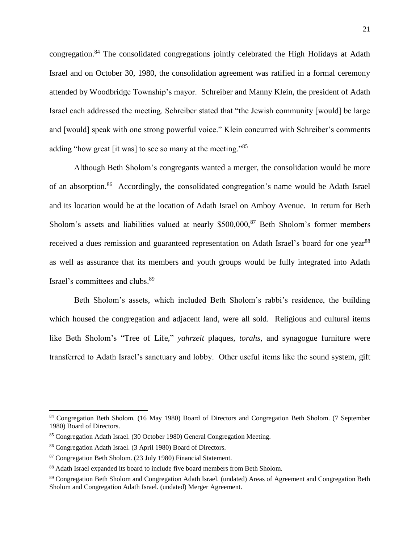congregation.<sup>84</sup> The consolidated congregations jointly celebrated the High Holidays at Adath Israel and on October 30, 1980, the consolidation agreement was ratified in a formal ceremony attended by Woodbridge Township's mayor. Schreiber and Manny Klein, the president of Adath Israel each addressed the meeting. Schreiber stated that "the Jewish community [would] be large and [would] speak with one strong powerful voice." Klein concurred with Schreiber's comments adding "how great [it was] to see so many at the meeting."<sup>85</sup>

Although Beth Sholom's congregants wanted a merger, the consolidation would be more of an absorption.<sup>86</sup> Accordingly, the consolidated congregation's name would be Adath Israel and its location would be at the location of Adath Israel on Amboy Avenue. In return for Beth Sholom's assets and liabilities valued at nearly  $$500,000$ ,  $$^{87}$  Beth Sholom's former members received a dues remission and guaranteed representation on Adath Israel's board for one year<sup>88</sup> as well as assurance that its members and youth groups would be fully integrated into Adath Israel's committees and clubs. 89

Beth Sholom's assets, which included Beth Sholom's rabbi's residence, the building which housed the congregation and adjacent land, were all sold. Religious and cultural items like Beth Sholom's "Tree of Life," *yahrzeit* plaques, *torahs*, and synagogue furniture were transferred to Adath Israel's sanctuary and lobby. Other useful items like the sound system, gift

<sup>84</sup> Congregation Beth Sholom. (16 May 1980) Board of Directors and Congregation Beth Sholom. (7 September 1980) Board of Directors.

<sup>85</sup> Congregation Adath Israel. (30 October 1980) General Congregation Meeting.

<sup>86</sup> Congregation Adath Israel. (3 April 1980) Board of Directors.

<sup>87</sup> Congregation Beth Sholom. (23 July 1980) Financial Statement.

<sup>88</sup> Adath Israel expanded its board to include five board members from Beth Sholom.

<sup>89</sup> Congregation Beth Sholom and Congregation Adath Israel. (undated) Areas of Agreement and Congregation Beth Sholom and Congregation Adath Israel. (undated) Merger Agreement.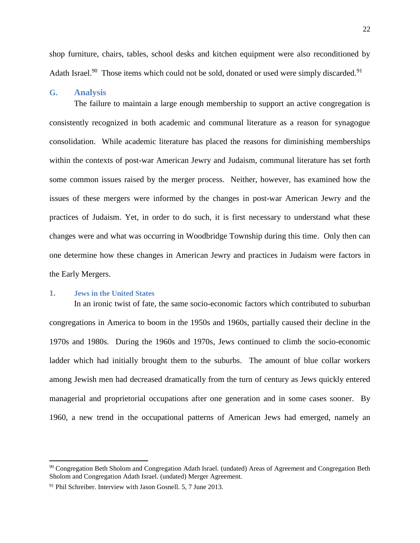shop furniture, chairs, tables, school desks and kitchen equipment were also reconditioned by Adath Israel.<sup>90</sup> Those items which could not be sold, donated or used were simply discarded.<sup>91</sup>

### <span id="page-29-0"></span>**G. Analysis**

The failure to maintain a large enough membership to support an active congregation is consistently recognized in both academic and communal literature as a reason for synagogue consolidation. While academic literature has placed the reasons for diminishing memberships within the contexts of post-war American Jewry and Judaism, communal literature has set forth some common issues raised by the merger process. Neither, however, has examined how the issues of these mergers were informed by the changes in post-war American Jewry and the practices of Judaism. Yet, in order to do such, it is first necessary to understand what these changes were and what was occurring in Woodbridge Township during this time. Only then can one determine how these changes in American Jewry and practices in Judaism were factors in the Early Mergers.

### <span id="page-29-1"></span>**1. Jews in the United States**

 $\overline{a}$ 

In an ironic twist of fate, the same socio-economic factors which contributed to suburban congregations in America to boom in the 1950s and 1960s, partially caused their decline in the 1970s and 1980s. During the 1960s and 1970s, Jews continued to climb the socio-economic ladder which had initially brought them to the suburbs. The amount of blue collar workers among Jewish men had decreased dramatically from the turn of century as Jews quickly entered managerial and proprietorial occupations after one generation and in some cases sooner. By 1960, a new trend in the occupational patterns of American Jews had emerged, namely an

<sup>&</sup>lt;sup>90</sup> Congregation Beth Sholom and Congregation Adath Israel. (undated) Areas of Agreement and Congregation Beth Sholom and Congregation Adath Israel. (undated) Merger Agreement.

<sup>&</sup>lt;sup>91</sup> Phil Schreiber. Interview with Jason Gosnell. 5, 7 June 2013.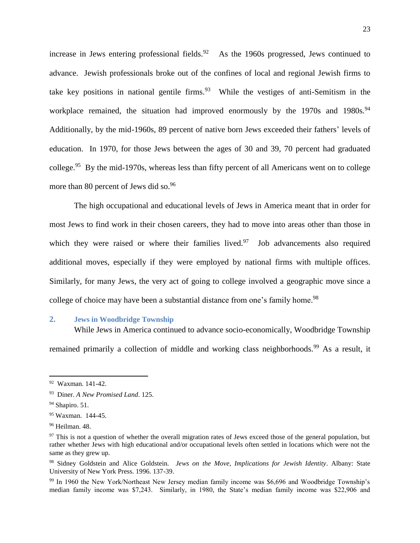increase in Jews entering professional fields. $92$  As the 1960s progressed, Jews continued to advance. Jewish professionals broke out of the confines of local and regional Jewish firms to take key positions in national gentile firms. $93$  While the vestiges of anti-Semitism in the workplace remained, the situation had improved enormously by the 1970s and 1980s.<sup>94</sup> Additionally, by the mid-1960s, 89 percent of native born Jews exceeded their fathers' levels of education. In 1970, for those Jews between the ages of 30 and 39, 70 percent had graduated college.<sup>95</sup> By the mid-1970s, whereas less than fifty percent of all Americans went on to college more than 80 percent of Jews did so.<sup>96</sup>

The high occupational and educational levels of Jews in America meant that in order for most Jews to find work in their chosen careers, they had to move into areas other than those in which they were raised or where their families lived. $97$  Job advancements also required additional moves, especially if they were employed by national firms with multiple offices. Similarly, for many Jews, the very act of going to college involved a geographic move since a college of choice may have been a substantial distance from one's family home.<sup>98</sup>

### <span id="page-30-0"></span>**2. Jews in Woodbridge Township**

While Jews in America continued to advance socio-economically, Woodbridge Township remained primarily a collection of middle and working class neighborhoods.<sup>99</sup> As a result, it

<sup>92</sup> Waxman. 141-42.

<sup>93</sup> Diner. *A New Promised Land*. 125.

 $94$  Shapiro. 51.

<sup>95</sup> Waxman. 144-45.

<sup>96</sup> Heilman. 48.

<sup>&</sup>lt;sup>97</sup> This is not a question of whether the overall migration rates of Jews exceed those of the general population, but rather whether Jews with high educational and/or occupational levels often settled in locations which were not the same as they grew up.

<sup>98</sup> Sidney Goldstein and Alice Goldstein. *Jews on the Move, Implications for Jewish Identity*. Albany: State University of New York Press. 1996. 137-39.

<sup>99</sup> In 1960 the New York/Northeast New Jersey median family income was \$6,696 and Woodbridge Township's median family income was \$7,243. Similarly, in 1980, the State's median family income was \$22,906 and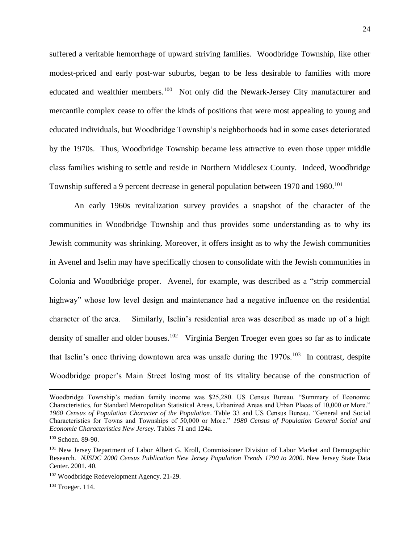suffered a veritable hemorrhage of upward striving families. Woodbridge Township, like other modest-priced and early post-war suburbs, began to be less desirable to families with more educated and wealthier members.<sup>100</sup> Not only did the Newark-Jersey City manufacturer and mercantile complex cease to offer the kinds of positions that were most appealing to young and educated individuals, but Woodbridge Township's neighborhoods had in some cases deteriorated by the 1970s. Thus, Woodbridge Township became less attractive to even those upper middle class families wishing to settle and reside in Northern Middlesex County. Indeed, Woodbridge Township suffered a 9 percent decrease in general population between 1970 and 1980.<sup>101</sup>

An early 1960s revitalization survey provides a snapshot of the character of the communities in Woodbridge Township and thus provides some understanding as to why its Jewish community was shrinking. Moreover, it offers insight as to why the Jewish communities in Avenel and Iselin may have specifically chosen to consolidate with the Jewish communities in Colonia and Woodbridge proper. Avenel, for example, was described as a "strip commercial highway" whose low level design and maintenance had a negative influence on the residential character of the area. Similarly, Iselin's residential area was described as made up of a high density of smaller and older houses.<sup>102</sup> Virginia Bergen Troeger even goes so far as to indicate that Iselin's once thriving downtown area was unsafe during the  $1970s$ .<sup>103</sup> In contrast, despite Woodbridge proper's Main Street losing most of its vitality because of the construction of

Woodbridge Township's median family income was \$25,280. US Census Bureau. "Summary of Economic Characteristics, for Standard Metropolitan Statistical Areas, Urbanized Areas and Urban Places of 10,000 or More." *1960 Census of Population Character of the Population*. Table 33 and US Census Bureau. "General and Social Characteristics for Towns and Townships of 50,000 or More." *1980 Census of Population General Social and Economic Characteristics New Jersey*. Tables 71 and 124a.

<sup>100</sup> Schoen. 89-90.

<sup>101</sup> New Jersey Department of Labor Albert G. Kroll, Commissioner Division of Labor Market and Demographic Research. *NJSDC 2000 Census Publication New Jersey Population Trends 1790 to 2000*. New Jersey State Data Center. 2001. 40.

<sup>102</sup> Woodbridge Redevelopment Agency. 21-29.

<sup>103</sup> Troeger. 114.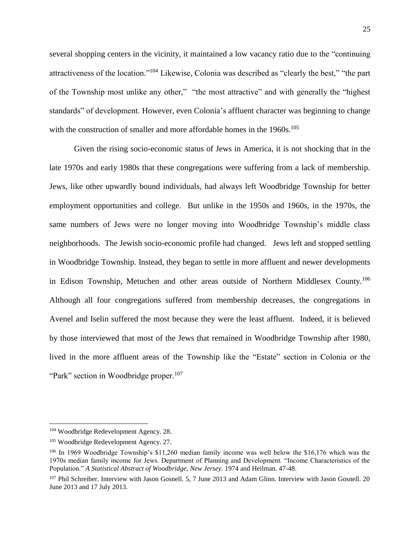several shopping centers in the vicinity, it maintained a low vacancy ratio due to the "continuing attractiveness of the location."<sup>104</sup> Likewise, Colonia was described as "clearly the best," "the part of the Township most unlike any other," "the most attractive" and with generally the "highest standards" of development. However, even Colonia's affluent character was beginning to change with the construction of smaller and more affordable homes in the 1960s.<sup>105</sup>

Given the rising socio-economic status of Jews in America, it is not shocking that in the late 1970s and early 1980s that these congregations were suffering from a lack of membership. Jews, like other upwardly bound individuals, had always left Woodbridge Township for better employment opportunities and college. But unlike in the 1950s and 1960s, in the 1970s, the same numbers of Jews were no longer moving into Woodbridge Township's middle class neighborhoods. The Jewish socio-economic profile had changed. Jews left and stopped settling in Woodbridge Township. Instead, they began to settle in more affluent and newer developments in Edison Township, Metuchen and other areas outside of Northern Middlesex County.<sup>106</sup> Although all four congregations suffered from membership decreases, the congregations in Avenel and Iselin suffered the most because they were the least affluent. Indeed, it is believed by those interviewed that most of the Jews that remained in Woodbridge Township after 1980, lived in the more affluent areas of the Township like the "Estate" section in Colonia or the "Park" section in Woodbridge proper.<sup>107</sup>

<sup>&</sup>lt;sup>104</sup> Woodbridge Redevelopment Agency. 28.

<sup>105</sup> Woodbridge Redevelopment Agency. 27.

<sup>106</sup> In 1969 Woodbridge Township's \$11,260 median family income was well below the \$16,176 which was the 1970s median family income for Jews. Department of Planning and Development. "Income Characteristics of the Population." *A Statistical Abstract of Woodbridge, New Jersey*. 1974 and Heilman. 47-48.

<sup>&</sup>lt;sup>107</sup> Phil Schreiber. Interview with Jason Gosnell. 5, 7 June 2013 and Adam Glinn. Interview with Jason Gosnell. 20 June 2013 and 17 July 2013.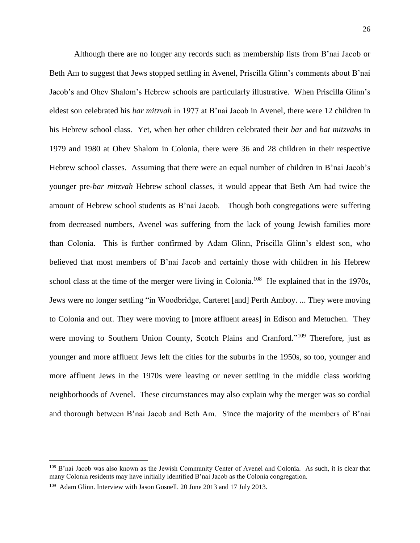Although there are no longer any records such as membership lists from B'nai Jacob or Beth Am to suggest that Jews stopped settling in Avenel, Priscilla Glinn's comments about B'nai Jacob's and Ohev Shalom's Hebrew schools are particularly illustrative. When Priscilla Glinn's eldest son celebrated his *bar mitzvah* in 1977 at B'nai Jacob in Avenel, there were 12 children in his Hebrew school class. Yet, when her other children celebrated their *bar* and *bat mitzvahs* in 1979 and 1980 at Ohev Shalom in Colonia, there were 36 and 28 children in their respective Hebrew school classes. Assuming that there were an equal number of children in B'nai Jacob's younger pre-*bar mitzvah* Hebrew school classes, it would appear that Beth Am had twice the amount of Hebrew school students as B'nai Jacob. Though both congregations were suffering from decreased numbers, Avenel was suffering from the lack of young Jewish families more than Colonia. This is further confirmed by Adam Glinn, Priscilla Glinn's eldest son, who believed that most members of B'nai Jacob and certainly those with children in his Hebrew school class at the time of the merger were living in Colonia.<sup>108</sup> He explained that in the 1970s, Jews were no longer settling "in Woodbridge, Carteret [and] Perth Amboy. ... They were moving to Colonia and out. They were moving to [more affluent areas] in Edison and Metuchen. They were moving to Southern Union County, Scotch Plains and Cranford."<sup>109</sup> Therefore, just as younger and more affluent Jews left the cities for the suburbs in the 1950s, so too, younger and more affluent Jews in the 1970s were leaving or never settling in the middle class working neighborhoods of Avenel. These circumstances may also explain why the merger was so cordial and thorough between B'nai Jacob and Beth Am. Since the majority of the members of B'nai

<sup>108</sup> B'nai Jacob was also known as the Jewish Community Center of Avenel and Colonia. As such, it is clear that many Colonia residents may have initially identified B'nai Jacob as the Colonia congregation.

<sup>&</sup>lt;sup>109</sup> Adam Glinn. Interview with Jason Gosnell. 20 June 2013 and 17 July 2013.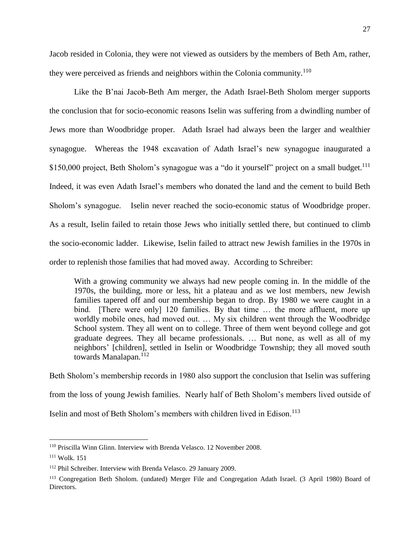Jacob resided in Colonia, they were not viewed as outsiders by the members of Beth Am, rather, they were perceived as friends and neighbors within the Colonia community.<sup>110</sup>

Like the B'nai Jacob-Beth Am merger, the Adath Israel-Beth Sholom merger supports the conclusion that for socio-economic reasons Iselin was suffering from a dwindling number of Jews more than Woodbridge proper. Adath Israel had always been the larger and wealthier synagogue. Whereas the 1948 excavation of Adath Israel's new synagogue inaugurated a \$150,000 project, Beth Sholom's synagogue was a "do it yourself" project on a small budget.<sup>111</sup> Indeed, it was even Adath Israel's members who donated the land and the cement to build Beth Sholom's synagogue. Iselin never reached the socio-economic status of Woodbridge proper. As a result, Iselin failed to retain those Jews who initially settled there, but continued to climb the socio-economic ladder. Likewise, Iselin failed to attract new Jewish families in the 1970s in order to replenish those families that had moved away. According to Schreiber:

With a growing community we always had new people coming in. In the middle of the 1970s, the building, more or less, hit a plateau and as we lost members, new Jewish families tapered off and our membership began to drop. By 1980 we were caught in a bind. [There were only] 120 families. By that time ... the more affluent, more up worldly mobile ones, had moved out. … My six children went through the Woodbridge School system. They all went on to college. Three of them went beyond college and got graduate degrees. They all became professionals. … But none, as well as all of my neighbors' [children], settled in Iselin or Woodbridge Township; they all moved south towards Manalapan.<sup>112</sup>

Beth Sholom's membership records in 1980 also support the conclusion that Iselin was suffering from the loss of young Jewish families. Nearly half of Beth Sholom's members lived outside of Iselin and most of Beth Sholom's members with children lived in Edison.<sup>113</sup>

<sup>110</sup> Priscilla Winn Glinn. Interview with Brenda Velasco. 12 November 2008.

<sup>111</sup> Wolk. 151

<sup>112</sup> Phil Schreiber. Interview with Brenda Velasco. 29 January 2009.

<sup>113</sup> Congregation Beth Sholom. (undated) Merger File and Congregation Adath Israel. (3 April 1980) Board of Directors.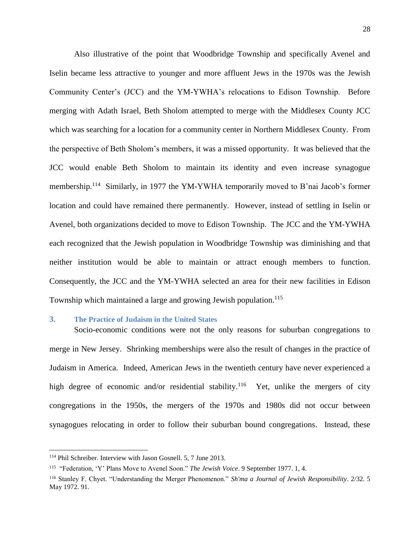Also illustrative of the point that Woodbridge Township and specifically Avenel and Iselin became less attractive to younger and more affluent Jews in the 1970s was the Jewish Community Center's (JCC) and the YM-YWHA's relocations to Edison Township. Before merging with Adath Israel, Beth Sholom attempted to merge with the Middlesex County JCC which was searching for a location for a community center in Northern Middlesex County. From the perspective of Beth Sholom's members, it was a missed opportunity. It was believed that the JCC would enable Beth Sholom to maintain its identity and even increase synagogue membership.<sup>114</sup> Similarly, in 1977 the YM-YWHA temporarily moved to B'nai Jacob's former location and could have remained there permanently. However, instead of settling in Iselin or Avenel, both organizations decided to move to Edison Township. The JCC and the YM-YWHA each recognized that the Jewish population in Woodbridge Township was diminishing and that neither institution would be able to maintain or attract enough members to function. Consequently, the JCC and the YM-YWHA selected an area for their new facilities in Edison Township which maintained a large and growing Jewish population.<sup>115</sup>

### <span id="page-35-0"></span>**3. The Practice of Judaism in the United States**

Socio-economic conditions were not the only reasons for suburban congregations to merge in New Jersey. Shrinking memberships were also the result of changes in the practice of Judaism in America. Indeed, American Jews in the twentieth century have never experienced a high degree of economic and/or residential stability.<sup>116</sup> Yet, unlike the mergers of city congregations in the 1950s, the mergers of the 1970s and 1980s did not occur between synagogues relocating in order to follow their suburban bound congregations. Instead, these

<sup>114</sup> Phil Schreiber. Interview with Jason Gosnell. 5, 7 June 2013.

<sup>115</sup> "Federation, 'Y' Plans Move to Avenel Soon." *The Jewish Voice*. 9 September 1977. 1, 4.

<sup>116</sup> Stanley F. Chyet. "Understanding the Merger Phenomenon." *Sh'ma a Journal of Jewish Responsibility*. 2/32. 5 May 1972. 91.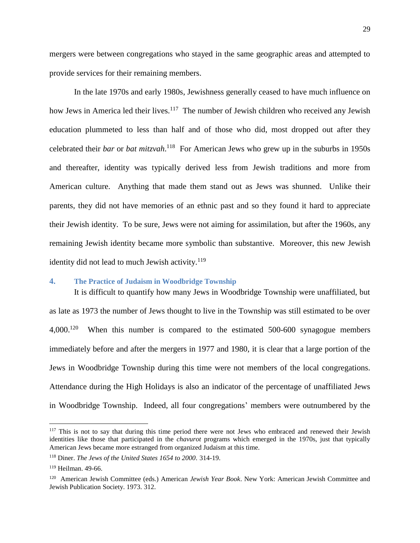mergers were between congregations who stayed in the same geographic areas and attempted to provide services for their remaining members.

In the late 1970s and early 1980s, Jewishness generally ceased to have much influence on how Jews in America led their lives.<sup>117</sup> The number of Jewish children who received any Jewish education plummeted to less than half and of those who did, most dropped out after they celebrated their *bar* or *bat mitzvah*. 118 For American Jews who grew up in the suburbs in 1950s and thereafter, identity was typically derived less from Jewish traditions and more from American culture. Anything that made them stand out as Jews was shunned. Unlike their parents, they did not have memories of an ethnic past and so they found it hard to appreciate their Jewish identity. To be sure, Jews were not aiming for assimilation, but after the 1960s, any remaining Jewish identity became more symbolic than substantive. Moreover, this new Jewish identity did not lead to much Jewish activity.<sup>119</sup>

### **4. The Practice of Judaism in Woodbridge Township**

It is difficult to quantify how many Jews in Woodbridge Township were unaffiliated, but as late as 1973 the number of Jews thought to live in the Township was still estimated to be over  $4,000$ <sup>120</sup> When this number is compared to the estimated 500-600 synagogue members immediately before and after the mergers in 1977 and 1980, it is clear that a large portion of the Jews in Woodbridge Township during this time were not members of the local congregations. Attendance during the High Holidays is also an indicator of the percentage of unaffiliated Jews in Woodbridge Township. Indeed, all four congregations' members were outnumbered by the

<sup>&</sup>lt;sup>117</sup> This is not to say that during this time period there were not Jews who embraced and renewed their Jewish identities like those that participated in the *chavurot* programs which emerged in the 1970s, just that typically American Jews became more estranged from organized Judaism at this time.

<sup>118</sup> Diner. *The Jews of the United States 1654 to 2000*. 314-19.

<sup>119</sup> Heilman. 49-66.

<sup>120</sup> American Jewish Committee (eds.) American *Jewish Year Book*. New York: American Jewish Committee and Jewish Publication Society. 1973. 312.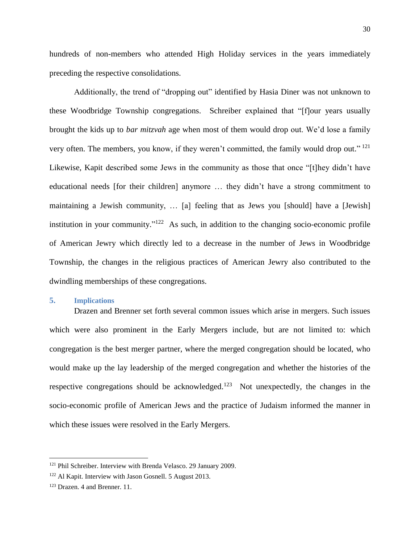hundreds of non-members who attended High Holiday services in the years immediately preceding the respective consolidations.

Additionally, the trend of "dropping out" identified by Hasia Diner was not unknown to these Woodbridge Township congregations. Schreiber explained that "[f]our years usually brought the kids up to *bar mitzvah* age when most of them would drop out. We'd lose a family very often. The members, you know, if they weren't committed, the family would drop out."<sup>121</sup> Likewise, Kapit described some Jews in the community as those that once "[t]hey didn't have educational needs [for their children] anymore … they didn't have a strong commitment to maintaining a Jewish community, … [a] feeling that as Jews you [should] have a [Jewish] institution in your community." $122$  As such, in addition to the changing socio-economic profile of American Jewry which directly led to a decrease in the number of Jews in Woodbridge Township, the changes in the religious practices of American Jewry also contributed to the dwindling memberships of these congregations.

## **5. Implications**

Drazen and Brenner set forth several common issues which arise in mergers. Such issues which were also prominent in the Early Mergers include, but are not limited to: which congregation is the best merger partner, where the merged congregation should be located, who would make up the lay leadership of the merged congregation and whether the histories of the respective congregations should be acknowledged.<sup>123</sup> Not unexpectedly, the changes in the socio-economic profile of American Jews and the practice of Judaism informed the manner in which these issues were resolved in the Early Mergers.

<sup>121</sup> Phil Schreiber. Interview with Brenda Velasco. 29 January 2009.

<sup>122</sup> Al Kapit. Interview with Jason Gosnell. 5 August 2013.

<sup>123</sup> Drazen. 4 and Brenner. 11.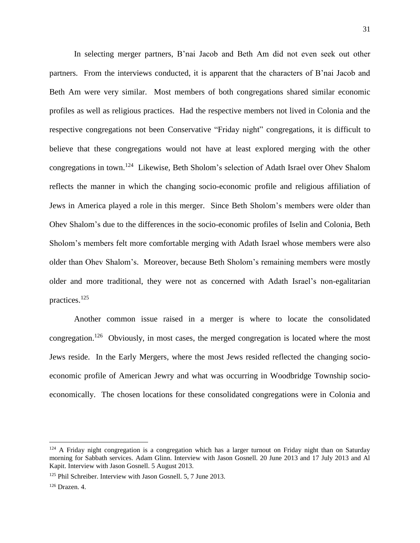In selecting merger partners, B'nai Jacob and Beth Am did not even seek out other partners. From the interviews conducted, it is apparent that the characters of B'nai Jacob and Beth Am were very similar. Most members of both congregations shared similar economic profiles as well as religious practices. Had the respective members not lived in Colonia and the respective congregations not been Conservative "Friday night" congregations, it is difficult to believe that these congregations would not have at least explored merging with the other congregations in town.<sup>124</sup> Likewise, Beth Sholom's selection of Adath Israel over Ohev Shalom reflects the manner in which the changing socio-economic profile and religious affiliation of Jews in America played a role in this merger. Since Beth Sholom's members were older than Ohev Shalom's due to the differences in the socio-economic profiles of Iselin and Colonia, Beth Sholom's members felt more comfortable merging with Adath Israel whose members were also older than Ohev Shalom's. Moreover, because Beth Sholom's remaining members were mostly older and more traditional, they were not as concerned with Adath Israel's non-egalitarian practices.<sup>125</sup>

Another common issue raised in a merger is where to locate the consolidated congregation.<sup>126</sup> Obviously, in most cases, the merged congregation is located where the most Jews reside. In the Early Mergers, where the most Jews resided reflected the changing socioeconomic profile of American Jewry and what was occurring in Woodbridge Township socioeconomically. The chosen locations for these consolidated congregations were in Colonia and

 $124$  A Friday night congregation is a congregation which has a larger turnout on Friday night than on Saturday morning for Sabbath services. Adam Glinn. Interview with Jason Gosnell. 20 June 2013 and 17 July 2013 and Al Kapit. Interview with Jason Gosnell. 5 August 2013.

<sup>&</sup>lt;sup>125</sup> Phil Schreiber. Interview with Jason Gosnell, 5, 7 June 2013.

<sup>126</sup> Drazen. 4.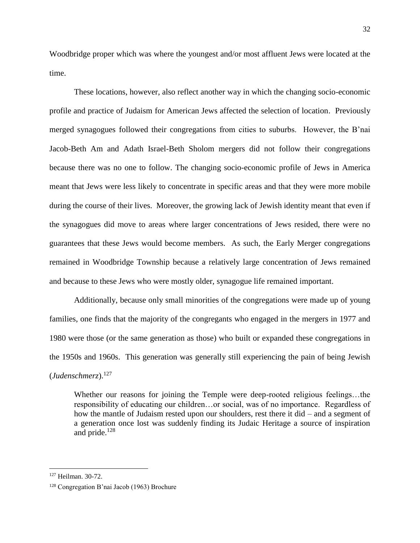Woodbridge proper which was where the youngest and/or most affluent Jews were located at the time.

These locations, however, also reflect another way in which the changing socio-economic profile and practice of Judaism for American Jews affected the selection of location. Previously merged synagogues followed their congregations from cities to suburbs. However, the B'nai Jacob-Beth Am and Adath Israel-Beth Sholom mergers did not follow their congregations because there was no one to follow. The changing socio-economic profile of Jews in America meant that Jews were less likely to concentrate in specific areas and that they were more mobile during the course of their lives. Moreover, the growing lack of Jewish identity meant that even if the synagogues did move to areas where larger concentrations of Jews resided, there were no guarantees that these Jews would become members. As such, the Early Merger congregations remained in Woodbridge Township because a relatively large concentration of Jews remained and because to these Jews who were mostly older, synagogue life remained important.

Additionally, because only small minorities of the congregations were made up of young families, one finds that the majority of the congregants who engaged in the mergers in 1977 and 1980 were those (or the same generation as those) who built or expanded these congregations in the 1950s and 1960s. This generation was generally still experiencing the pain of being Jewish (*Judenschmerz*). 127

Whether our reasons for joining the Temple were deep-rooted religious feelings…the responsibility of educating our children…or social, was of no importance. Regardless of how the mantle of Judaism rested upon our shoulders, rest there it did – and a segment of a generation once lost was suddenly finding its Judaic Heritage a source of inspiration and pride.<sup>128</sup>

<sup>127</sup> Heilman. 30-72.

<sup>128</sup> Congregation B'nai Jacob (1963) Brochure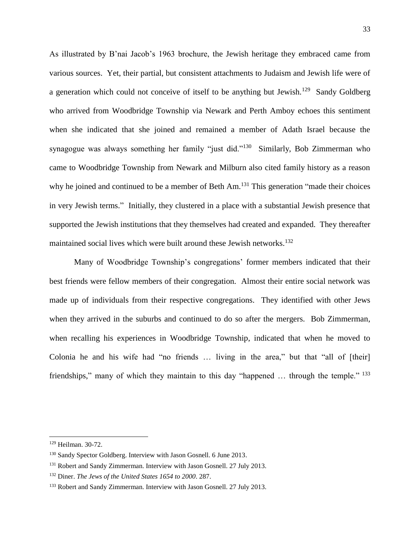As illustrated by B'nai Jacob's 1963 brochure, the Jewish heritage they embraced came from various sources. Yet, their partial, but consistent attachments to Judaism and Jewish life were of a generation which could not conceive of itself to be anything but Jewish.<sup>129</sup> Sandy Goldberg who arrived from Woodbridge Township via Newark and Perth Amboy echoes this sentiment when she indicated that she joined and remained a member of Adath Israel because the synagogue was always something her family "just did."<sup>130</sup> Similarly, Bob Zimmerman who came to Woodbridge Township from Newark and Milburn also cited family history as a reason why he joined and continued to be a member of Beth Am.<sup>131</sup> This generation "made their choices" in very Jewish terms." Initially, they clustered in a place with a substantial Jewish presence that supported the Jewish institutions that they themselves had created and expanded. They thereafter maintained social lives which were built around these Jewish networks.<sup>132</sup>

Many of Woodbridge Township's congregations' former members indicated that their best friends were fellow members of their congregation. Almost their entire social network was made up of individuals from their respective congregations. They identified with other Jews when they arrived in the suburbs and continued to do so after the mergers. Bob Zimmerman, when recalling his experiences in Woodbridge Township, indicated that when he moved to Colonia he and his wife had "no friends … living in the area," but that "all of [their] friendships," many of which they maintain to this day "happened ... through the temple." <sup>133</sup>

<sup>129</sup> Heilman. 30-72.

<sup>130</sup> Sandy Spector Goldberg. Interview with Jason Gosnell. 6 June 2013.

<sup>&</sup>lt;sup>131</sup> Robert and Sandy Zimmerman. Interview with Jason Gosnell. 27 July 2013.

<sup>132</sup> Diner. *The Jews of the United States 1654 to 2000*. 287.

<sup>&</sup>lt;sup>133</sup> Robert and Sandy Zimmerman. Interview with Jason Gosnell. 27 July 2013.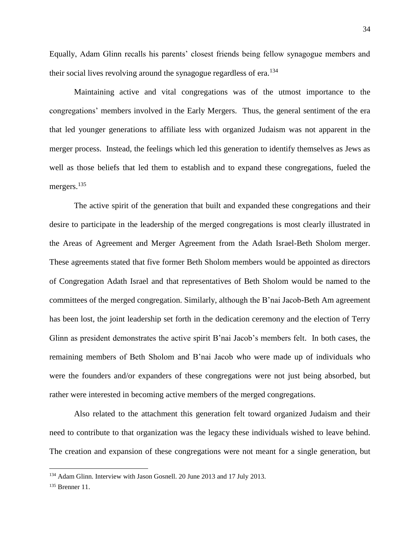Equally, Adam Glinn recalls his parents' closest friends being fellow synagogue members and their social lives revolving around the synagogue regardless of  $era$ .<sup>134</sup>

Maintaining active and vital congregations was of the utmost importance to the congregations' members involved in the Early Mergers. Thus, the general sentiment of the era that led younger generations to affiliate less with organized Judaism was not apparent in the merger process. Instead, the feelings which led this generation to identify themselves as Jews as well as those beliefs that led them to establish and to expand these congregations, fueled the mergers. 135

The active spirit of the generation that built and expanded these congregations and their desire to participate in the leadership of the merged congregations is most clearly illustrated in the Areas of Agreement and Merger Agreement from the Adath Israel-Beth Sholom merger. These agreements stated that five former Beth Sholom members would be appointed as directors of Congregation Adath Israel and that representatives of Beth Sholom would be named to the committees of the merged congregation. Similarly, although the B'nai Jacob-Beth Am agreement has been lost, the joint leadership set forth in the dedication ceremony and the election of Terry Glinn as president demonstrates the active spirit B'nai Jacob's members felt. In both cases, the remaining members of Beth Sholom and B'nai Jacob who were made up of individuals who were the founders and/or expanders of these congregations were not just being absorbed, but rather were interested in becoming active members of the merged congregations.

Also related to the attachment this generation felt toward organized Judaism and their need to contribute to that organization was the legacy these individuals wished to leave behind. The creation and expansion of these congregations were not meant for a single generation, but

<sup>&</sup>lt;sup>134</sup> Adam Glinn. Interview with Jason Gosnell. 20 June 2013 and 17 July 2013.

<sup>135</sup> Brenner 11.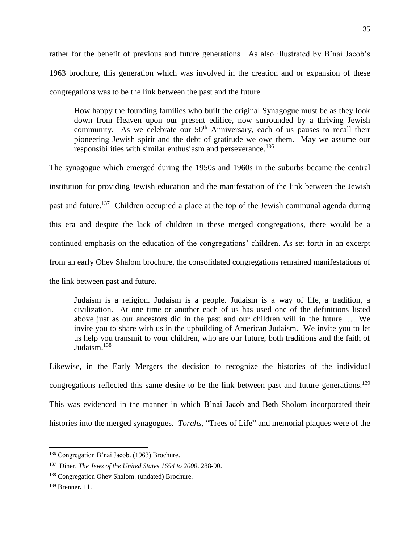rather for the benefit of previous and future generations. As also illustrated by B'nai Jacob's 1963 brochure, this generation which was involved in the creation and or expansion of these congregations was to be the link between the past and the future.

How happy the founding families who built the original Synagogue must be as they look down from Heaven upon our present edifice, now surrounded by a thriving Jewish community. As we celebrate our 50<sup>th</sup> Anniversary, each of us pauses to recall their pioneering Jewish spirit and the debt of gratitude we owe them. May we assume our responsibilities with similar enthusiasm and perseverance.<sup>136</sup>

The synagogue which emerged during the 1950s and 1960s in the suburbs became the central institution for providing Jewish education and the manifestation of the link between the Jewish past and future.<sup>137</sup> Children occupied a place at the top of the Jewish communal agenda during this era and despite the lack of children in these merged congregations, there would be a continued emphasis on the education of the congregations' children. As set forth in an excerpt from an early Ohev Shalom brochure, the consolidated congregations remained manifestations of the link between past and future.

Judaism is a religion. Judaism is a people. Judaism is a way of life, a tradition, a civilization. At one time or another each of us has used one of the definitions listed above just as our ancestors did in the past and our children will in the future. … We invite you to share with us in the upbuilding of American Judaism. We invite you to let us help you transmit to your children, who are our future, both traditions and the faith of Judaism.<sup>138</sup>

Likewise, in the Early Mergers the decision to recognize the histories of the individual congregations reflected this same desire to be the link between past and future generations.<sup>139</sup> This was evidenced in the manner in which B'nai Jacob and Beth Sholom incorporated their histories into the merged synagogues. *Torahs*, "Trees of Life" and memorial plaques were of the

<sup>136</sup> Congregation B'nai Jacob. (1963) Brochure.

<sup>137</sup> Diner. *The Jews of the United States 1654 to 2000*. 288-90.

<sup>138</sup> Congregation Ohev Shalom. (undated) Brochure.

<sup>139</sup> Brenner. 11.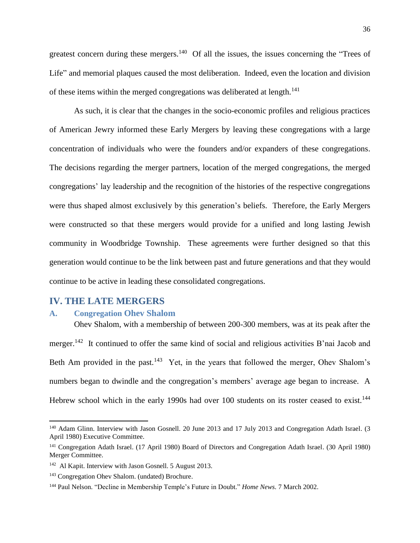greatest concern during these mergers.<sup>140</sup> Of all the issues, the issues concerning the "Trees of Life" and memorial plaques caused the most deliberation. Indeed, even the location and division of these items within the merged congregations was deliberated at length.<sup>141</sup>

As such, it is clear that the changes in the socio-economic profiles and religious practices of American Jewry informed these Early Mergers by leaving these congregations with a large concentration of individuals who were the founders and/or expanders of these congregations. The decisions regarding the merger partners, location of the merged congregations, the merged congregations' lay leadership and the recognition of the histories of the respective congregations were thus shaped almost exclusively by this generation's beliefs. Therefore, the Early Mergers were constructed so that these mergers would provide for a unified and long lasting Jewish community in Woodbridge Township. These agreements were further designed so that this generation would continue to be the link between past and future generations and that they would continue to be active in leading these consolidated congregations.

## **IV. THE LATE MERGERS**

 $\overline{\phantom{a}}$ 

#### **A. Congregation Ohev Shalom**

Ohev Shalom, with a membership of between 200-300 members, was at its peak after the merger.<sup>142</sup> It continued to offer the same kind of social and religious activities B'nai Jacob and Beth Am provided in the past.<sup>143</sup> Yet, in the years that followed the merger, Ohev Shalom's numbers began to dwindle and the congregation's members' average age began to increase. A Hebrew school which in the early 1990s had over 100 students on its roster ceased to exist.<sup>144</sup>

<sup>&</sup>lt;sup>140</sup> Adam Glinn. Interview with Jason Gosnell. 20 June 2013 and 17 July 2013 and Congregation Adath Israel. (3 April 1980) Executive Committee.

<sup>141</sup> Congregation Adath Israel. (17 April 1980) Board of Directors and Congregation Adath Israel. (30 April 1980) Merger Committee.

<sup>&</sup>lt;sup>142</sup> Al Kapit. Interview with Jason Gosnell. 5 August 2013.

<sup>143</sup> Congregation Ohev Shalom. (undated) Brochure.

<sup>144</sup> Paul Nelson. "Decline in Membership Temple's Future in Doubt." *Home News*. 7 March 2002.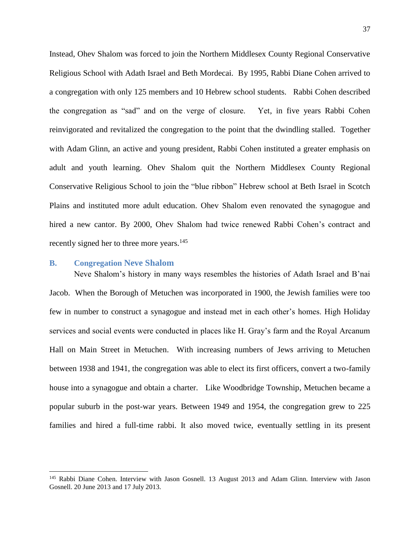Instead, Ohev Shalom was forced to join the Northern Middlesex County Regional Conservative Religious School with Adath Israel and Beth Mordecai. By 1995, Rabbi Diane Cohen arrived to a congregation with only 125 members and 10 Hebrew school students. Rabbi Cohen described the congregation as "sad" and on the verge of closure. Yet, in five years Rabbi Cohen reinvigorated and revitalized the congregation to the point that the dwindling stalled. Together with Adam Glinn, an active and young president, Rabbi Cohen instituted a greater emphasis on adult and youth learning. Ohev Shalom quit the Northern Middlesex County Regional Conservative Religious School to join the "blue ribbon" Hebrew school at Beth Israel in Scotch Plains and instituted more adult education. Ohev Shalom even renovated the synagogue and hired a new cantor. By 2000, Ohev Shalom had twice renewed Rabbi Cohen's contract and recently signed her to three more years.<sup>145</sup>

#### **B. Congregation Neve Shalom**

l

Neve Shalom's history in many ways resembles the histories of Adath Israel and B'nai Jacob. When the Borough of Metuchen was incorporated in 1900, the Jewish families were too few in number to construct a synagogue and instead met in each other's homes. High Holiday services and social events were conducted in places like H. Gray's farm and the Royal Arcanum Hall on Main Street in Metuchen. With increasing numbers of Jews arriving to Metuchen between 1938 and 1941, the congregation was able to elect its first officers, convert a two-family house into a synagogue and obtain a charter. Like Woodbridge Township, Metuchen became a popular suburb in the post-war years. Between 1949 and 1954, the congregation grew to 225 families and hired a full-time rabbi. It also moved twice, eventually settling in its present

<sup>&</sup>lt;sup>145</sup> Rabbi Diane Cohen. Interview with Jason Gosnell. 13 August 2013 and Adam Glinn. Interview with Jason Gosnell. 20 June 2013 and 17 July 2013.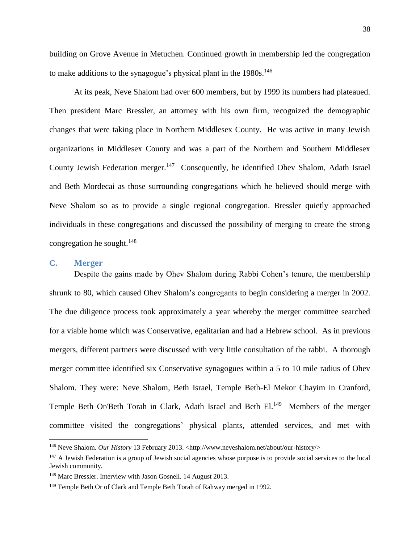building on Grove Avenue in Metuchen. Continued growth in membership led the congregation to make additions to the synagogue's physical plant in the  $1980s$ .<sup>146</sup>

At its peak, Neve Shalom had over 600 members, but by 1999 its numbers had plateaued. Then president Marc Bressler, an attorney with his own firm, recognized the demographic changes that were taking place in Northern Middlesex County. He was active in many Jewish organizations in Middlesex County and was a part of the Northern and Southern Middlesex County Jewish Federation merger.<sup>147</sup> Consequently, he identified Ohev Shalom, Adath Israel and Beth Mordecai as those surrounding congregations which he believed should merge with Neve Shalom so as to provide a single regional congregation. Bressler quietly approached individuals in these congregations and discussed the possibility of merging to create the strong congregation he sought. $^{148}$ 

## **C. Merger**

 $\overline{\phantom{a}}$ 

Despite the gains made by Ohev Shalom during Rabbi Cohen's tenure, the membership shrunk to 80, which caused Ohev Shalom's congregants to begin considering a merger in 2002. The due diligence process took approximately a year whereby the merger committee searched for a viable home which was Conservative, egalitarian and had a Hebrew school. As in previous mergers, different partners were discussed with very little consultation of the rabbi. A thorough merger committee identified six Conservative synagogues within a 5 to 10 mile radius of Ohev Shalom. They were: Neve Shalom, Beth Israel, Temple Beth-El Mekor Chayim in Cranford, Temple Beth Or/Beth Torah in Clark, Adath Israel and Beth El.<sup>149</sup> Members of the merger committee visited the congregations' physical plants, attended services, and met with

<sup>&</sup>lt;sup>146</sup> Neve Shalom. *Our History* 13 February 2013. <http://www.neveshalom.net/about/our-history/>

<sup>&</sup>lt;sup>147</sup> A Jewish Federation is a group of Jewish social agencies whose purpose is to provide social services to the local Jewish community.

<sup>148</sup> Marc Bressler. Interview with Jason Gosnell. 14 August 2013.

<sup>&</sup>lt;sup>149</sup> Temple Beth Or of Clark and Temple Beth Torah of Rahway merged in 1992.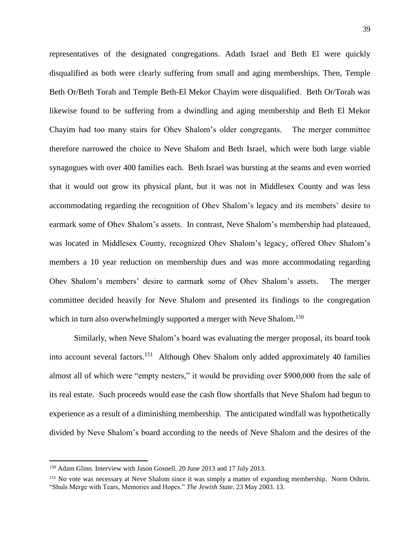representatives of the designated congregations. Adath Israel and Beth El were quickly disqualified as both were clearly suffering from small and aging memberships. Then, Temple Beth Or/Beth Torah and Temple Beth-El Mekor Chayim were disqualified. Beth Or/Torah was likewise found to be suffering from a dwindling and aging membership and Beth El Mekor Chayim had too many stairs for Ohev Shalom's older congregants. The merger committee therefore narrowed the choice to Neve Shalom and Beth Israel, which were both large viable synagogues with over 400 families each. Beth Israel was bursting at the seams and even worried that it would out grow its physical plant, but it was not in Middlesex County and was less accommodating regarding the recognition of Ohev Shalom's legacy and its members' desire to earmark some of Ohev Shalom's assets. In contrast, Neve Shalom's membership had plateaued, was located in Middlesex County, recognized Ohev Shalom's legacy, offered Ohev Shalom's members a 10 year reduction on membership dues and was more accommodating regarding Ohev Shalom's members' desire to earmark some of Ohev Shalom's assets. The merger committee decided heavily for Neve Shalom and presented its findings to the congregation which in turn also overwhelmingly supported a merger with Neve Shalom.<sup>150</sup>

Similarly, when Neve Shalom's board was evaluating the merger proposal, its board took into account several factors.<sup>151</sup> Although Ohev Shalom only added approximately 40 families almost all of which were "empty nesters," it would be providing over \$900,000 from the sale of its real estate. Such proceeds would ease the cash flow shortfalls that Neve Shalom had begun to experience as a result of a diminishing membership. The anticipated windfall was hypothetically divided by Neve Shalom's board according to the needs of Neve Shalom and the desires of the

<sup>&</sup>lt;sup>150</sup> Adam Glinn. Interview with Jason Gosnell. 20 June 2013 and 17 July 2013.

<sup>&</sup>lt;sup>151</sup> No vote was necessary at Neve Shalom since it was simply a matter of expanding membership. Norm Oshrin. "Shuls Merge with Tears, Memories and Hopes." *The Jewish State*. 23 May 2003. 13.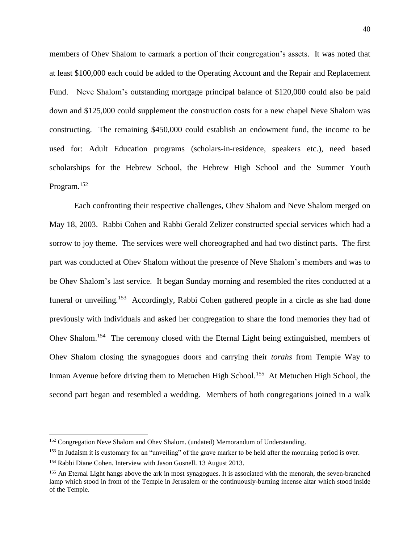members of Ohev Shalom to earmark a portion of their congregation's assets. It was noted that at least \$100,000 each could be added to the Operating Account and the Repair and Replacement Fund. Neve Shalom's outstanding mortgage principal balance of \$120,000 could also be paid down and \$125,000 could supplement the construction costs for a new chapel Neve Shalom was constructing. The remaining \$450,000 could establish an endowment fund, the income to be used for: Adult Education programs (scholars-in-residence, speakers etc.), need based scholarships for the Hebrew School, the Hebrew High School and the Summer Youth Program.<sup>152</sup>

Each confronting their respective challenges, Ohev Shalom and Neve Shalom merged on May 18, 2003. Rabbi Cohen and Rabbi Gerald Zelizer constructed special services which had a sorrow to joy theme. The services were well choreographed and had two distinct parts. The first part was conducted at Ohev Shalom without the presence of Neve Shalom's members and was to be Ohev Shalom's last service. It began Sunday morning and resembled the rites conducted at a funeral or unveiling.<sup>153</sup> Accordingly, Rabbi Cohen gathered people in a circle as she had done previously with individuals and asked her congregation to share the fond memories they had of Ohev Shalom.<sup>154</sup> The ceremony closed with the Eternal Light being extinguished, members of Ohev Shalom closing the synagogues doors and carrying their *torahs* from Temple Way to Inman Avenue before driving them to Metuchen High School.<sup>155</sup> At Metuchen High School, the second part began and resembled a wedding. Members of both congregations joined in a walk

l

<sup>&</sup>lt;sup>152</sup> Congregation Neve Shalom and Ohev Shalom. (undated) Memorandum of Understanding.

<sup>&</sup>lt;sup>153</sup> In Judaism it is customary for an "unveiling" of the grave marker to be held after the mourning period is over.

<sup>154</sup> Rabbi Diane Cohen. Interview with Jason Gosnell. 13 August 2013.

<sup>155</sup> An Eternal Light hangs above the ark in most synagogues. It is associated with the menorah, the seven-branched lamp which stood in front of the Temple in Jerusalem or the continuously-burning incense altar which stood inside of the Temple.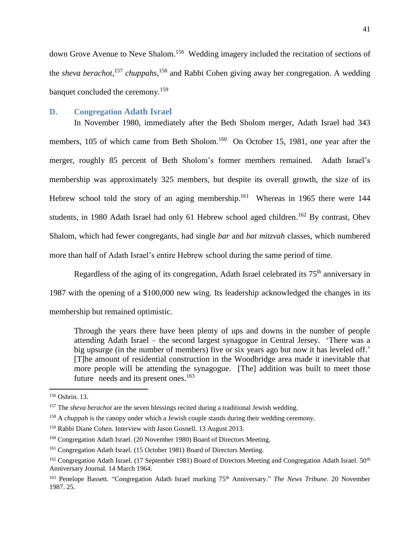down Grove Avenue to Neve Shalom.<sup>156</sup> Wedding imagery included the recitation of sections of the *sheva berachot*, <sup>157</sup> *chuppahs*, <sup>158</sup> and Rabbi Cohen giving away her congregation. A wedding banquet concluded the ceremony.<sup>159</sup>

## **D. Congregation Adath Israel**

In November 1980, immediately after the Beth Sholom merger, Adath Israel had 343 members, 105 of which came from Beth Sholom.<sup>160</sup> On October 15, 1981, one year after the merger, roughly 85 percent of Beth Sholom's former members remained. Adath Israel's membership was approximately 325 members, but despite its overall growth, the size of its Hebrew school told the story of an aging membership.<sup>161</sup> Whereas in 1965 there were 144 students, in 1980 Adath Israel had only 61 Hebrew school aged children.<sup>162</sup> By contrast, Ohev Shalom, which had fewer congregants, had single *bar* and *bat mitzvah* classes, which numbered more than half of Adath Israel's entire Hebrew school during the same period of time.

Regardless of the aging of its congregation, Adath Israel celebrated its 75<sup>th</sup> anniversary in 1987 with the opening of a \$100,000 new wing. Its leadership acknowledged the changes in its membership but remained optimistic.

Through the years there have been plenty of ups and downs in the number of people attending Adath Israel – the second largest synagogue in Central Jersey. 'There was a big upsurge (in the number of members) five or six years ago but now it has leveled off.' [T]he amount of residential construction in the Woodbridge area made it inevitable that more people will be attending the synagogue. [The] addition was built to meet those future needs and its present ones.<sup>163</sup>

l

<sup>156</sup> Oshrin. 13.

<sup>&</sup>lt;sup>157</sup> The *sheva berachot* are the seven blessings recited during a traditional Jewish wedding.

<sup>158</sup> A *chuppah* is the canopy under which a Jewish couple stands during their wedding ceremony.

<sup>&</sup>lt;sup>159</sup> Rabbi Diane Cohen. Interview with Jason Gosnell. 13 August 2013.

<sup>160</sup> Congregation Adath Israel. (20 November 1980) Board of Directors Meeting.

<sup>&</sup>lt;sup>161</sup> Congregation Adath Israel. (15 October 1981) Board of Directors Meeting.

<sup>&</sup>lt;sup>162</sup> Congregation Adath Israel. (17 September 1981) Board of Directors Meeting and Congregation Adath Israel. 50<sup>th</sup> Anniversary Journal. 14 March 1964.

<sup>&</sup>lt;sup>163</sup> Penelope Bassett. "Congregation Adath Israel marking 75<sup>th</sup> Anniversary." *The News Tribune*. 20 November 1987. 25.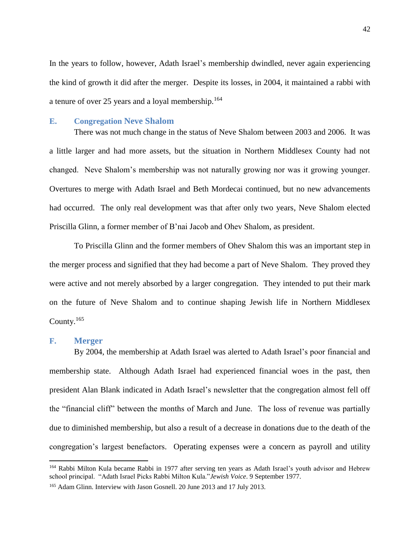In the years to follow, however, Adath Israel's membership dwindled, never again experiencing the kind of growth it did after the merger. Despite its losses, in 2004, it maintained a rabbi with a tenure of over 25 years and a loyal membership.<sup>164</sup>

#### **E. Congregation Neve Shalom**

There was not much change in the status of Neve Shalom between 2003 and 2006. It was a little larger and had more assets, but the situation in Northern Middlesex County had not changed. Neve Shalom's membership was not naturally growing nor was it growing younger. Overtures to merge with Adath Israel and Beth Mordecai continued, but no new advancements had occurred. The only real development was that after only two years, Neve Shalom elected Priscilla Glinn, a former member of B'nai Jacob and Ohev Shalom, as president.

To Priscilla Glinn and the former members of Ohev Shalom this was an important step in the merger process and signified that they had become a part of Neve Shalom. They proved they were active and not merely absorbed by a larger congregation. They intended to put their mark on the future of Neve Shalom and to continue shaping Jewish life in Northern Middlesex County. $165$ 

#### **F. Merger**

 $\overline{a}$ 

By 2004, the membership at Adath Israel was alerted to Adath Israel's poor financial and membership state. Although Adath Israel had experienced financial woes in the past, then president Alan Blank indicated in Adath Israel's newsletter that the congregation almost fell off the "financial cliff" between the months of March and June. The loss of revenue was partially due to diminished membership, but also a result of a decrease in donations due to the death of the congregation's largest benefactors. Operating expenses were a concern as payroll and utility

<sup>164</sup> Rabbi Milton Kula became Rabbi in 1977 after serving ten years as Adath Israel's youth advisor and Hebrew school principal. "Adath Israel Picks Rabbi Milton Kula."*Jewish Voice*. 9 September 1977.

<sup>&</sup>lt;sup>165</sup> Adam Glinn. Interview with Jason Gosnell. 20 June 2013 and 17 July 2013.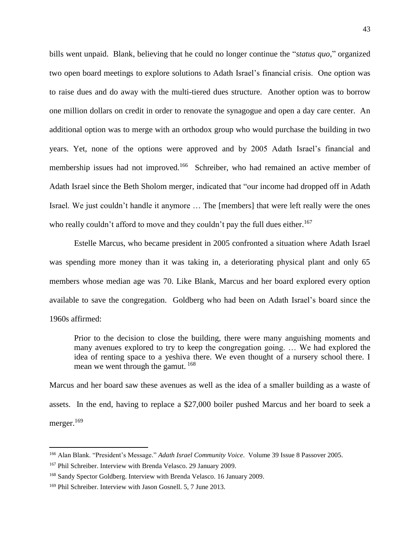bills went unpaid. Blank, believing that he could no longer continue the "*status quo*," organized two open board meetings to explore solutions to Adath Israel's financial crisis. One option was to raise dues and do away with the multi-tiered dues structure. Another option was to borrow one million dollars on credit in order to renovate the synagogue and open a day care center. An additional option was to merge with an orthodox group who would purchase the building in two years. Yet, none of the options were approved and by 2005 Adath Israel's financial and membership issues had not improved.<sup>166</sup> Schreiber, who had remained an active member of Adath Israel since the Beth Sholom merger, indicated that "our income had dropped off in Adath Israel. We just couldn't handle it anymore … The [members] that were left really were the ones who really couldn't afford to move and they couldn't pay the full dues either.<sup>167</sup>

Estelle Marcus, who became president in 2005 confronted a situation where Adath Israel was spending more money than it was taking in, a deteriorating physical plant and only 65 members whose median age was 70. Like Blank, Marcus and her board explored every option available to save the congregation. Goldberg who had been on Adath Israel's board since the 1960s affirmed:

Prior to the decision to close the building, there were many anguishing moments and many avenues explored to try to keep the congregation going. … We had explored the idea of renting space to a yeshiva there. We even thought of a nursery school there. I mean we went through the gamut. <sup>168</sup>

Marcus and her board saw these avenues as well as the idea of a smaller building as a waste of assets. In the end, having to replace a \$27,000 boiler pushed Marcus and her board to seek a merger.<sup>169</sup>

<sup>166</sup> Alan Blank. "President's Message." *Adath Israel Community Voice*. Volume 39 Issue 8 Passover 2005.

<sup>167</sup> Phil Schreiber. Interview with Brenda Velasco. 29 January 2009.

<sup>168</sup> Sandy Spector Goldberg. Interview with Brenda Velasco. 16 January 2009.

<sup>&</sup>lt;sup>169</sup> Phil Schreiber. Interview with Jason Gosnell. 5, 7 June 2013.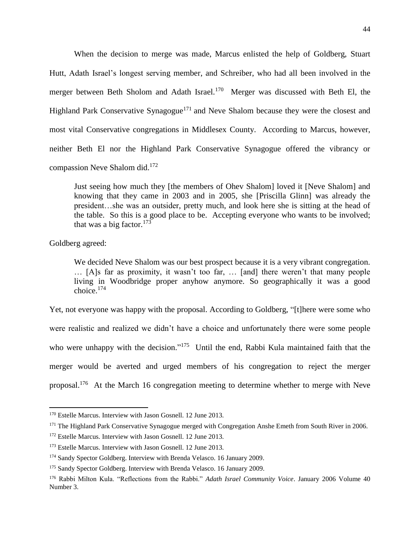When the decision to merge was made, Marcus enlisted the help of Goldberg, Stuart Hutt, Adath Israel's longest serving member, and Schreiber, who had all been involved in the merger between Beth Sholom and Adath Israel.<sup>170</sup> Merger was discussed with Beth El, the Highland Park Conservative Synagogue<sup>171</sup> and Neve Shalom because they were the closest and most vital Conservative congregations in Middlesex County. According to Marcus, however, neither Beth El nor the Highland Park Conservative Synagogue offered the vibrancy or compassion Neve Shalom did. $172$ 

Just seeing how much they [the members of Ohev Shalom] loved it [Neve Shalom] and knowing that they came in 2003 and in 2005, she [Priscilla Glinn] was already the president…she was an outsider, pretty much, and look here she is sitting at the head of the table. So this is a good place to be. Accepting everyone who wants to be involved; that was a big factor.<sup>173</sup>

Goldberg agreed:

l

We decided Neve Shalom was our best prospect because it is a very vibrant congregation. … [A]s far as proximity, it wasn't too far, … [and] there weren't that many people living in Woodbridge proper anyhow anymore. So geographically it was a good choice.<sup>174</sup>

Yet, not everyone was happy with the proposal. According to Goldberg, "[t]here were some who were realistic and realized we didn't have a choice and unfortunately there were some people who were unhappy with the decision."<sup>175</sup> Until the end, Rabbi Kula maintained faith that the merger would be averted and urged members of his congregation to reject the merger proposal.<sup>176</sup> At the March 16 congregation meeting to determine whether to merge with Neve

<sup>&</sup>lt;sup>170</sup> Estelle Marcus. Interview with Jason Gosnell. 12 June 2013.

<sup>&</sup>lt;sup>171</sup> The Highland Park Conservative Synagogue merged with Congregation Anshe Emeth from South River in 2006.

<sup>&</sup>lt;sup>172</sup> Estelle Marcus. Interview with Jason Gosnell. 12 June 2013.

<sup>&</sup>lt;sup>173</sup> Estelle Marcus. Interview with Jason Gosnell. 12 June 2013.

<sup>&</sup>lt;sup>174</sup> Sandy Spector Goldberg. Interview with Brenda Velasco. 16 January 2009.

<sup>&</sup>lt;sup>175</sup> Sandy Spector Goldberg. Interview with Brenda Velasco. 16 January 2009.

<sup>176</sup> Rabbi Milton Kula. "Reflections from the Rabbi." *Adath Israel Community Voice*. January 2006 Volume 40 Number 3.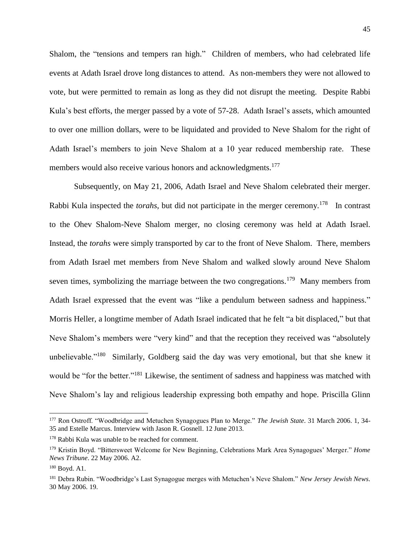Shalom, the "tensions and tempers ran high." Children of members, who had celebrated life events at Adath Israel drove long distances to attend. As non-members they were not allowed to vote, but were permitted to remain as long as they did not disrupt the meeting. Despite Rabbi Kula's best efforts, the merger passed by a vote of 57-28. Adath Israel's assets, which amounted to over one million dollars, were to be liquidated and provided to Neve Shalom for the right of Adath Israel's members to join Neve Shalom at a 10 year reduced membership rate. These members would also receive various honors and acknowledgments.<sup>177</sup>

Subsequently, on May 21, 2006, Adath Israel and Neve Shalom celebrated their merger. Rabbi Kula inspected the *torahs*, but did not participate in the merger ceremony.<sup>178</sup> In contrast to the Ohev Shalom-Neve Shalom merger, no closing ceremony was held at Adath Israel. Instead, the *torahs* were simply transported by car to the front of Neve Shalom. There, members from Adath Israel met members from Neve Shalom and walked slowly around Neve Shalom seven times, symbolizing the marriage between the two congregations.<sup>179</sup> Many members from Adath Israel expressed that the event was "like a pendulum between sadness and happiness." Morris Heller, a longtime member of Adath Israel indicated that he felt "a bit displaced," but that Neve Shalom's members were "very kind" and that the reception they received was "absolutely unbelievable."<sup>180</sup> Similarly, Goldberg said the day was very emotional, but that she knew it would be "for the better."<sup>181</sup> Likewise, the sentiment of sadness and happiness was matched with Neve Shalom's lay and religious leadership expressing both empathy and hope. Priscilla Glinn

<sup>177</sup> Ron Ostroff. "Woodbridge and Metuchen Synagogues Plan to Merge." *The Jewish State*. 31 March 2006. 1, 34- 35 and Estelle Marcus. Interview with Jason R. Gosnell. 12 June 2013.

<sup>178</sup> Rabbi Kula was unable to be reached for comment.

<sup>179</sup> Kristin Boyd. "Bittersweet Welcome for New Beginning, Celebrations Mark Area Synagogues' Merger." *Home News Tribune*. 22 May 2006. A2.

<sup>180</sup> Boyd. A1.

<sup>181</sup> Debra Rubin. "Woodbridge's Last Synagogue merges with Metuchen's Neve Shalom." *New Jersey Jewish News*. 30 May 2006. 19.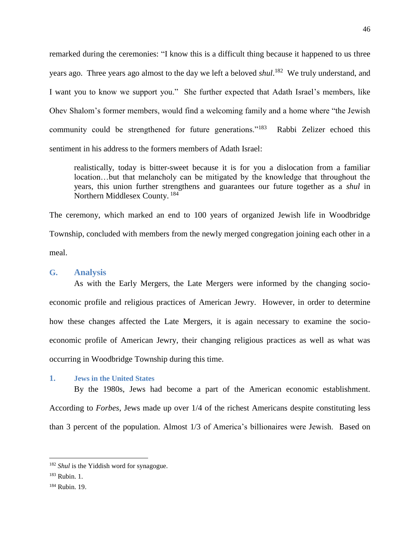remarked during the ceremonies: "I know this is a difficult thing because it happened to us three years ago. Three years ago almost to the day we left a beloved *shul*. 182 We truly understand, and I want you to know we support you." She further expected that Adath Israel's members, like Ohev Shalom's former members, would find a welcoming family and a home where "the Jewish community could be strengthened for future generations."<sup>183</sup> Rabbi Zelizer echoed this sentiment in his address to the formers members of Adath Israel:

realistically, today is bitter-sweet because it is for you a dislocation from a familiar location…but that melancholy can be mitigated by the knowledge that throughout the years, this union further strengthens and guarantees our future together as a *shul* in Northern Middlesex County.<sup>184</sup>

The ceremony, which marked an end to 100 years of organized Jewish life in Woodbridge Township, concluded with members from the newly merged congregation joining each other in a meal.

#### **G. Analysis**

As with the Early Mergers, the Late Mergers were informed by the changing socioeconomic profile and religious practices of American Jewry. However, in order to determine how these changes affected the Late Mergers, it is again necessary to examine the socioeconomic profile of American Jewry, their changing religious practices as well as what was occurring in Woodbridge Township during this time.

## **1. Jews in the United States**

By the 1980s, Jews had become a part of the American economic establishment. According to *Forbes*, Jews made up over 1/4 of the richest Americans despite constituting less than 3 percent of the population. Almost 1/3 of America's billionaires were Jewish. Based on

<sup>182</sup> *Shul* is the Yiddish word for synagogue.

<sup>183</sup> Rubin. 1.

<sup>184</sup> Rubin. 19.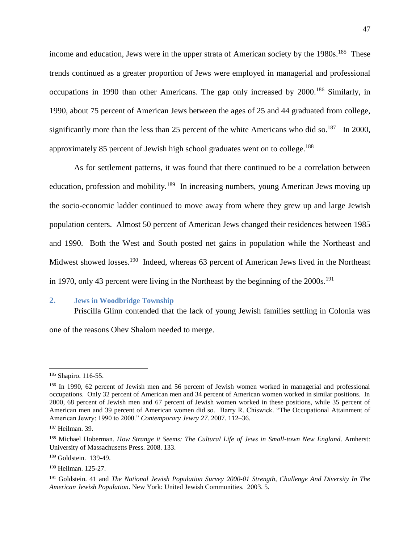income and education, Jews were in the upper strata of American society by the 1980s.<sup>185</sup> These trends continued as a greater proportion of Jews were employed in managerial and professional occupations in 1990 than other Americans. The gap only increased by 2000.<sup>186</sup> Similarly, in 1990, about 75 percent of American Jews between the ages of 25 and 44 graduated from college, significantly more than the less than 25 percent of the white Americans who did so.<sup>187</sup> In 2000, approximately 85 percent of Jewish high school graduates went on to college.<sup>188</sup>

As for settlement patterns, it was found that there continued to be a correlation between education, profession and mobility.<sup>189</sup> In increasing numbers, young American Jews moving up the socio-economic ladder continued to move away from where they grew up and large Jewish population centers. Almost 50 percent of American Jews changed their residences between 1985 and 1990. Both the West and South posted net gains in population while the Northeast and Midwest showed losses.<sup>190</sup> Indeed, whereas 63 percent of American Jews lived in the Northeast in 1970, only 43 percent were living in the Northeast by the beginning of the  $2000s$ .<sup>191</sup>

## **2. Jews in Woodbridge Township**

Priscilla Glinn contended that the lack of young Jewish families settling in Colonia was

one of the reasons Ohev Shalom needed to merge.

<sup>185</sup> Shapiro. 116-55.

<sup>186</sup> In 1990, 62 percent of Jewish men and 56 percent of Jewish women worked in managerial and professional occupations. Only 32 percent of American men and 34 percent of American women worked in similar positions. In 2000, 68 percent of Jewish men and 67 percent of Jewish women worked in these positions, while 35 percent of American men and 39 percent of American women did so. Barry R. Chiswick. "The Occupational Attainment of American Jewry: 1990 to 2000." *Contemporary Jewry 27.* 2007. 112–36.

<sup>187</sup> Heilman. 39.

<sup>188</sup> Michael Hoberman. *How Strange it Seems: The Cultural Life of Jews in Small-town New England*. Amherst: University of Massachusetts Press. 2008. 133.

<sup>189</sup> Goldstein. 139-49.

<sup>190</sup> Heilman. 125-27.

<sup>191</sup> Goldstein. 41 and *The National Jewish Population Survey 2000-01 Strength, Challenge And Diversity In The American Jewish Population*. New York: United Jewish Communities. 2003. 5.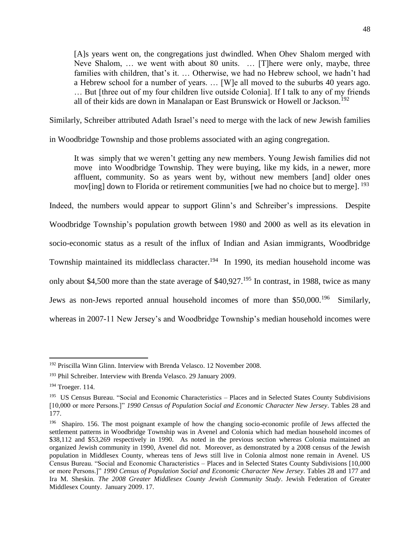[A]s years went on, the congregations just dwindled. When Ohev Shalom merged with Neve Shalom, … we went with about 80 units. … [T]here were only, maybe, three families with children, that's it. … Otherwise, we had no Hebrew school, we hadn't had a Hebrew school for a number of years. … [W]e all moved to the suburbs 40 years ago. … But [three out of my four children live outside Colonia]. If I talk to any of my friends all of their kids are down in Manalapan or East Brunswick or Howell or Jackson.<sup>192</sup>

Similarly, Schreiber attributed Adath Israel's need to merge with the lack of new Jewish families

in Woodbridge Township and those problems associated with an aging congregation.

It was simply that we weren't getting any new members. Young Jewish families did not move into Woodbridge Township. They were buying, like my kids, in a newer, more affluent, community. So as years went by, without new members [and] older ones mov[ing] down to Florida or retirement communities [we had no choice but to merge]. <sup>193</sup>

Indeed, the numbers would appear to support Glinn's and Schreiber's impressions. Despite Woodbridge Township's population growth between 1980 and 2000 as well as its elevation in socio-economic status as a result of the influx of Indian and Asian immigrants, Woodbridge Township maintained its middleclass character.<sup>194</sup> In 1990, its median household income was only about \$4,500 more than the state average of \$40,927.<sup>195</sup> In contrast, in 1988, twice as many Jews as non-Jews reported annual household incomes of more than \$50,000.<sup>196</sup> Similarly, whereas in 2007-11 New Jersey's and Woodbridge Township's median household incomes were

<sup>192</sup> Priscilla Winn Glinn. Interview with Brenda Velasco. 12 November 2008.

<sup>&</sup>lt;sup>193</sup> Phil Schreiber. Interview with Brenda Velasco. 29 January 2009.

<sup>194</sup> Troeger. 114.

<sup>&</sup>lt;sup>195</sup> US Census Bureau. "Social and Economic Characteristics – Places and in Selected States County Subdivisions [10,000 or more Persons.]" *1990 Census of Population Social and Economic Character New Jersey*. Tables 28 and 177.

<sup>&</sup>lt;sup>196</sup> Shapiro. 156. The most poignant example of how the changing socio-economic profile of Jews affected the settlement patterns in Woodbridge Township was in Avenel and Colonia which had median household incomes of \$38,112 and \$53,269 respectively in 1990. As noted in the previous section whereas Colonia maintained an organized Jewish community in 1990, Avenel did not. Moreover, as demonstrated by a 2008 census of the Jewish population in Middlesex County, whereas tens of Jews still live in Colonia almost none remain in Avenel. US Census Bureau. "Social and Economic Characteristics – Places and in Selected States County Subdivisions [10,000 or more Persons.]" *1990 Census of Population Social and Economic Character New Jersey*. Tables 28 and 177 and Ira M. Sheskin. *The 2008 Greater Middlesex County Jewish Community Study*. Jewish Federation of Greater Middlesex County. January 2009. 17.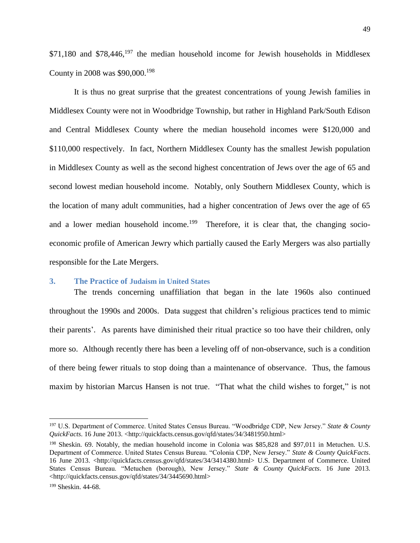$$71,180$  and  $$78,446$ ,  $^{197}$  the median household income for Jewish households in Middlesex County in 2008 was \$90,000.<sup>198</sup>

It is thus no great surprise that the greatest concentrations of young Jewish families in Middlesex County were not in Woodbridge Township, but rather in Highland Park/South Edison and Central Middlesex County where the median household incomes were \$120,000 and \$110,000 respectively. In fact, Northern Middlesex County has the smallest Jewish population in Middlesex County as well as the second highest concentration of Jews over the age of 65 and second lowest median household income. Notably, only Southern Middlesex County, which is the location of many adult communities, had a higher concentration of Jews over the age of 65 and a lower median household income.<sup>199</sup> Therefore, it is clear that, the changing socioeconomic profile of American Jewry which partially caused the Early Mergers was also partially responsible for the Late Mergers.

## **3. The Practice of Judaism in United States**

The trends concerning unaffiliation that began in the late 1960s also continued throughout the 1990s and 2000s. Data suggest that children's religious practices tend to mimic their parents'. As parents have diminished their ritual practice so too have their children, only more so. Although recently there has been a leveling off of non-observance, such is a condition of there being fewer rituals to stop doing than a maintenance of observance. Thus, the famous maxim by historian Marcus Hansen is not true. "That what the child wishes to forget," is not

<sup>197</sup> U.S. Department of Commerce. United States Census Bureau. "Woodbridge CDP, New Jersey." *State & County QuickFacts*. 16 June 2013. <http://quickfacts.census.gov/qfd/states/34/3481950.html>

<sup>198</sup> Sheskin. 69. Notably, the median household income in Colonia was \$85,828 and \$97,011 in Metuchen. U.S. Department of Commerce. United States Census Bureau. "Colonia CDP, New Jersey." *State & County QuickFacts*. 16 June 2013. <http://quickfacts.census.gov/qfd/states/34/3414380.html> U.S. Department of Commerce. United States Census Bureau. "Metuchen (borough), New Jersey." *State & County QuickFacts*. 16 June 2013. <http://quickfacts.census.gov/qfd/states/34/3445690.html>

<sup>199</sup> Sheskin. 44-68.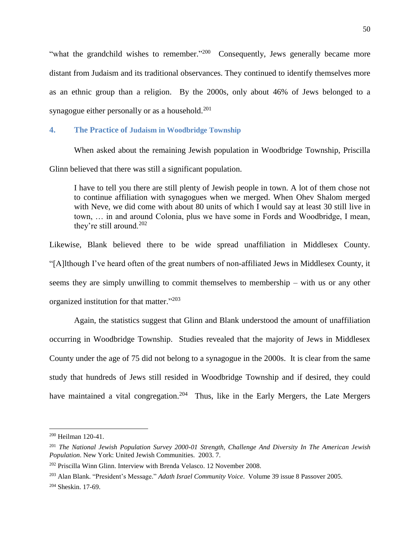"what the grandchild wishes to remember."<sup>200</sup> Consequently, Jews generally became more distant from Judaism and its traditional observances. They continued to identify themselves more as an ethnic group than a religion. By the 2000s, only about 46% of Jews belonged to a synagogue either personally or as a household.<sup>201</sup>

## **4. The Practice of Judaism in Woodbridge Township**

When asked about the remaining Jewish population in Woodbridge Township, Priscilla Glinn believed that there was still a significant population.

I have to tell you there are still plenty of Jewish people in town. A lot of them chose not to continue affiliation with synagogues when we merged. When Ohev Shalom merged with Neve, we did come with about 80 units of which I would say at least 30 still live in town, … in and around Colonia, plus we have some in Fords and Woodbridge, I mean, they're still around.<sup>202</sup>

Likewise, Blank believed there to be wide spread unaffiliation in Middlesex County. "[A]lthough I've heard often of the great numbers of non-affiliated Jews in Middlesex County, it seems they are simply unwilling to commit themselves to membership – with us or any other organized institution for that matter." 203

Again, the statistics suggest that Glinn and Blank understood the amount of unaffiliation occurring in Woodbridge Township. Studies revealed that the majority of Jews in Middlesex County under the age of 75 did not belong to a synagogue in the 2000s. It is clear from the same study that hundreds of Jews still resided in Woodbridge Township and if desired, they could have maintained a vital congregation.<sup>204</sup> Thus, like in the Early Mergers, the Late Mergers

<sup>200</sup> Heilman 120-41.

<sup>201</sup> *The National Jewish Population Survey 2000-01 Strength, Challenge And Diversity In The American Jewish Population*. New York: United Jewish Communities. 2003. 7.

<sup>202</sup> Priscilla Winn Glinn. Interview with Brenda Velasco. 12 November 2008.

<sup>203</sup> Alan Blank. "President's Message." *Adath Israel Community Voice*. Volume 39 issue 8 Passover 2005.

<sup>204</sup> Sheskin. 17-69.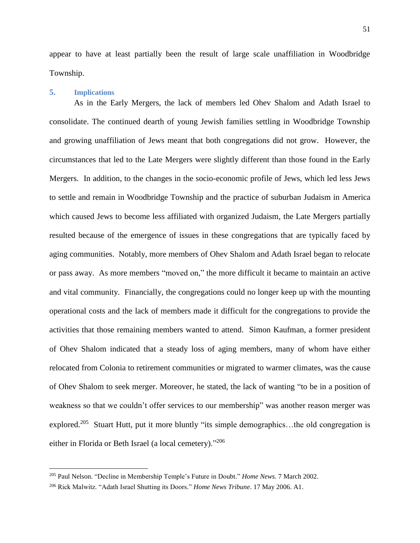appear to have at least partially been the result of large scale unaffiliation in Woodbridge Township.

#### **5. Implications**

 $\overline{\phantom{a}}$ 

As in the Early Mergers, the lack of members led Ohev Shalom and Adath Israel to consolidate. The continued dearth of young Jewish families settling in Woodbridge Township and growing unaffiliation of Jews meant that both congregations did not grow. However, the circumstances that led to the Late Mergers were slightly different than those found in the Early Mergers. In addition, to the changes in the socio-economic profile of Jews, which led less Jews to settle and remain in Woodbridge Township and the practice of suburban Judaism in America which caused Jews to become less affiliated with organized Judaism, the Late Mergers partially resulted because of the emergence of issues in these congregations that are typically faced by aging communities. Notably, more members of Ohev Shalom and Adath Israel began to relocate or pass away. As more members "moved on," the more difficult it became to maintain an active and vital community. Financially, the congregations could no longer keep up with the mounting operational costs and the lack of members made it difficult for the congregations to provide the activities that those remaining members wanted to attend. Simon Kaufman, a former president of Ohev Shalom indicated that a steady loss of aging members, many of whom have either relocated from Colonia to retirement communities or migrated to warmer climates, was the cause of Ohev Shalom to seek merger. Moreover, he stated, the lack of wanting "to be in a position of weakness so that we couldn't offer services to our membership" was another reason merger was explored.<sup>205</sup> Stuart Hutt, put it more bluntly "its simple demographics...the old congregation is either in Florida or Beth Israel (a local cemetery)."<sup>206</sup>

<sup>205</sup> Paul Nelson. "Decline in Membership Temple's Future in Doubt." *Home News*. 7 March 2002.

<sup>206</sup> Rick Malwitz. "Adath Israel Shutting its Doors." *Home News Tribune*. 17 May 2006. A1.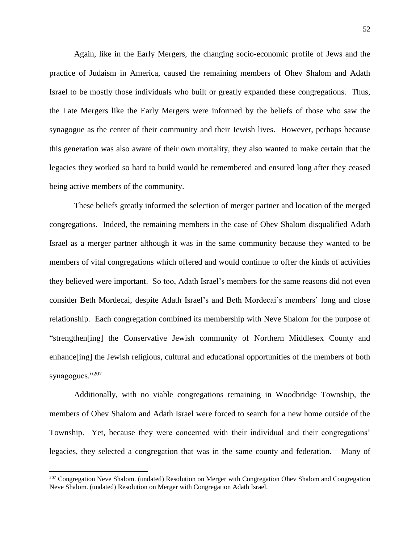Again, like in the Early Mergers, the changing socio-economic profile of Jews and the practice of Judaism in America, caused the remaining members of Ohev Shalom and Adath Israel to be mostly those individuals who built or greatly expanded these congregations. Thus, the Late Mergers like the Early Mergers were informed by the beliefs of those who saw the synagogue as the center of their community and their Jewish lives. However, perhaps because this generation was also aware of their own mortality, they also wanted to make certain that the legacies they worked so hard to build would be remembered and ensured long after they ceased being active members of the community.

These beliefs greatly informed the selection of merger partner and location of the merged congregations. Indeed, the remaining members in the case of Ohev Shalom disqualified Adath Israel as a merger partner although it was in the same community because they wanted to be members of vital congregations which offered and would continue to offer the kinds of activities they believed were important. So too, Adath Israel's members for the same reasons did not even consider Beth Mordecai, despite Adath Israel's and Beth Mordecai's members' long and close relationship. Each congregation combined its membership with Neve Shalom for the purpose of "strengthen[ing] the Conservative Jewish community of Northern Middlesex County and enhance[ing] the Jewish religious, cultural and educational opportunities of the members of both synagogues."207

Additionally, with no viable congregations remaining in Woodbridge Township, the members of Ohev Shalom and Adath Israel were forced to search for a new home outside of the Township. Yet, because they were concerned with their individual and their congregations' legacies, they selected a congregation that was in the same county and federation. Many of

l

<sup>&</sup>lt;sup>207</sup> Congregation Neve Shalom. (undated) Resolution on Merger with Congregation Ohev Shalom and Congregation Neve Shalom. (undated) Resolution on Merger with Congregation Adath Israel.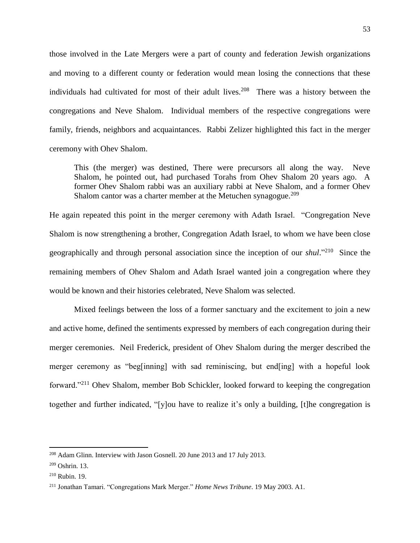those involved in the Late Mergers were a part of county and federation Jewish organizations and moving to a different county or federation would mean losing the connections that these individuals had cultivated for most of their adult lives.<sup>208</sup> There was a history between the congregations and Neve Shalom. Individual members of the respective congregations were family, friends, neighbors and acquaintances. Rabbi Zelizer highlighted this fact in the merger ceremony with Ohev Shalom.

This (the merger) was destined, There were precursors all along the way. Neve Shalom, he pointed out, had purchased Torahs from Ohev Shalom 20 years ago. A former Ohev Shalom rabbi was an auxiliary rabbi at Neve Shalom, and a former Ohev Shalom cantor was a charter member at the Metuchen synagogue.<sup>209</sup>

He again repeated this point in the merger ceremony with Adath Israel. "Congregation Neve Shalom is now strengthening a brother, Congregation Adath Israel, to whom we have been close geographically and through personal association since the inception of our *shul*."<sup>210</sup> Since the remaining members of Ohev Shalom and Adath Israel wanted join a congregation where they would be known and their histories celebrated, Neve Shalom was selected.

Mixed feelings between the loss of a former sanctuary and the excitement to join a new and active home, defined the sentiments expressed by members of each congregation during their merger ceremonies. Neil Frederick, president of Ohev Shalom during the merger described the merger ceremony as "beg[inning] with sad reminiscing, but end[ing] with a hopeful look forward."<sup>211</sup> Ohev Shalom, member Bob Schickler, looked forward to keeping the congregation together and further indicated, "[y]ou have to realize it's only a building, [t]he congregation is

<sup>&</sup>lt;sup>208</sup> Adam Glinn. Interview with Jason Gosnell. 20 June 2013 and 17 July 2013.

 $209$  Oshrin. 13.

<sup>210</sup> Rubin. 19.

<sup>211</sup> Jonathan Tamari. "Congregations Mark Merger." *Home News Tribune*. 19 May 2003. A1.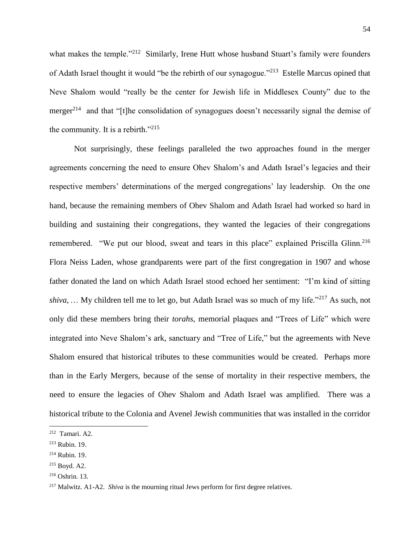what makes the temple."<sup>212</sup> Similarly, Irene Hutt whose husband Stuart's family were founders of Adath Israel thought it would "be the rebirth of our synagogue."<sup>213</sup> Estelle Marcus opined that Neve Shalom would "really be the center for Jewish life in Middlesex County" due to the merger<sup>214</sup> and that "[t]he consolidation of synagogues doesn't necessarily signal the demise of the community. It is a rebirth."<sup>215</sup>

Not surprisingly, these feelings paralleled the two approaches found in the merger agreements concerning the need to ensure Ohev Shalom's and Adath Israel's legacies and their respective members' determinations of the merged congregations' lay leadership. On the one hand, because the remaining members of Ohev Shalom and Adath Israel had worked so hard in building and sustaining their congregations, they wanted the legacies of their congregations remembered. "We put our blood, sweat and tears in this place" explained Priscilla Glinn.<sup>216</sup> Flora Neiss Laden, whose grandparents were part of the first congregation in 1907 and whose father donated the land on which Adath Israel stood echoed her sentiment: "I'm kind of sitting *shiva*, ... My children tell me to let go, but Adath Israel was so much of my life."<sup>217</sup> As such, not only did these members bring their *torahs*, memorial plaques and "Trees of Life" which were integrated into Neve Shalom's ark, sanctuary and "Tree of Life," but the agreements with Neve Shalom ensured that historical tributes to these communities would be created. Perhaps more than in the Early Mergers, because of the sense of mortality in their respective members, the need to ensure the legacies of Ohev Shalom and Adath Israel was amplified. There was a historical tribute to the Colonia and Avenel Jewish communities that was installed in the corridor

l

 $212$  Tamari. A2.

<sup>213</sup> Rubin. 19.

<sup>214</sup> Rubin. 19.

<sup>215</sup> Boyd. A2.

<sup>216</sup> Oshrin. 13.

<sup>217</sup> Malwitz. A1-A2. *Shiva* is the mourning ritual Jews perform for first degree relatives.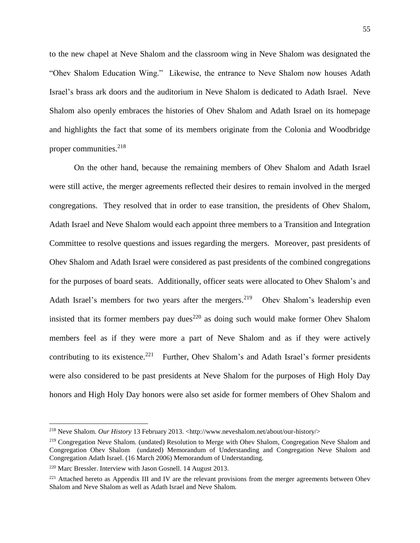to the new chapel at Neve Shalom and the classroom wing in Neve Shalom was designated the "Ohev Shalom Education Wing." Likewise, the entrance to Neve Shalom now houses Adath Israel's brass ark doors and the auditorium in Neve Shalom is dedicated to Adath Israel. Neve Shalom also openly embraces the histories of Ohev Shalom and Adath Israel on its homepage and highlights the fact that some of its members originate from the Colonia and Woodbridge proper communities. 218

On the other hand, because the remaining members of Ohev Shalom and Adath Israel were still active, the merger agreements reflected their desires to remain involved in the merged congregations. They resolved that in order to ease transition, the presidents of Ohev Shalom, Adath Israel and Neve Shalom would each appoint three members to a Transition and Integration Committee to resolve questions and issues regarding the mergers. Moreover, past presidents of Ohev Shalom and Adath Israel were considered as past presidents of the combined congregations for the purposes of board seats. Additionally, officer seats were allocated to Ohev Shalom's and Adath Israel's members for two years after the mergers.<sup>219</sup> Ohev Shalom's leadership even insisted that its former members pay dues<sup>220</sup> as doing such would make former Ohev Shalom members feel as if they were more a part of Neve Shalom and as if they were actively contributing to its existence.<sup>221</sup> Further, Ohev Shalom's and Adath Israel's former presidents were also considered to be past presidents at Neve Shalom for the purposes of High Holy Day honors and High Holy Day honors were also set aside for former members of Ohev Shalom and

<sup>&</sup>lt;sup>218</sup> Neve Shalom. *Our History* 13 February 2013. <http://www.neveshalom.net/about/our-history/>

<sup>&</sup>lt;sup>219</sup> Congregation Neve Shalom. (undated) Resolution to Merge with Ohev Shalom, Congregation Neve Shalom and Congregation Ohev Shalom (undated) Memorandum of Understanding and Congregation Neve Shalom and Congregation Adath Israel. (16 March 2006) Memorandum of Understanding.

<sup>220</sup> Marc Bressler. Interview with Jason Gosnell. 14 August 2013.

<sup>&</sup>lt;sup>221</sup> Attached hereto as Appendix III and IV are the relevant provisions from the merger agreements between Ohev Shalom and Neve Shalom as well as Adath Israel and Neve Shalom.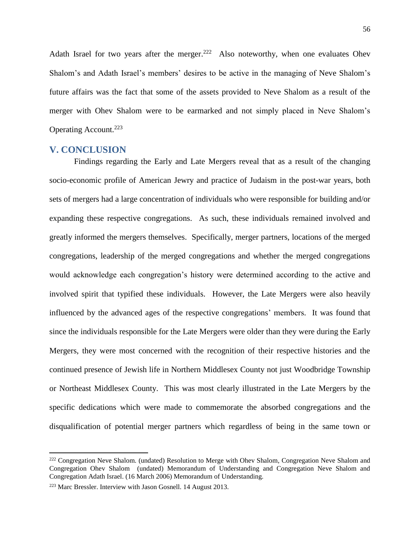Adath Israel for two years after the merger.<sup>222</sup> Also noteworthy, when one evaluates Ohev Shalom's and Adath Israel's members' desires to be active in the managing of Neve Shalom's future affairs was the fact that some of the assets provided to Neve Shalom as a result of the merger with Ohev Shalom were to be earmarked and not simply placed in Neve Shalom's Operating Account.<sup>223</sup>

## **V. CONCLUSION**

Findings regarding the Early and Late Mergers reveal that as a result of the changing socio-economic profile of American Jewry and practice of Judaism in the post-war years, both sets of mergers had a large concentration of individuals who were responsible for building and/or expanding these respective congregations. As such, these individuals remained involved and greatly informed the mergers themselves. Specifically, merger partners, locations of the merged congregations, leadership of the merged congregations and whether the merged congregations would acknowledge each congregation's history were determined according to the active and involved spirit that typified these individuals. However, the Late Mergers were also heavily influenced by the advanced ages of the respective congregations' members. It was found that since the individuals responsible for the Late Mergers were older than they were during the Early Mergers, they were most concerned with the recognition of their respective histories and the continued presence of Jewish life in Northern Middlesex County not just Woodbridge Township or Northeast Middlesex County. This was most clearly illustrated in the Late Mergers by the specific dedications which were made to commemorate the absorbed congregations and the disqualification of potential merger partners which regardless of being in the same town or

l

<sup>&</sup>lt;sup>222</sup> Congregation Neve Shalom. (undated) Resolution to Merge with Ohev Shalom, Congregation Neve Shalom and Congregation Ohev Shalom (undated) Memorandum of Understanding and Congregation Neve Shalom and Congregation Adath Israel. (16 March 2006) Memorandum of Understanding.

<sup>223</sup> Marc Bressler. Interview with Jason Gosnell. 14 August 2013.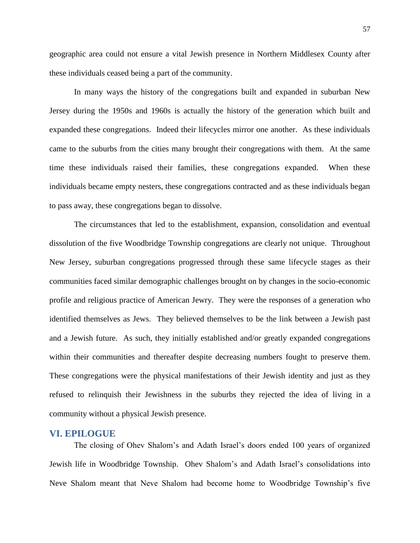geographic area could not ensure a vital Jewish presence in Northern Middlesex County after these individuals ceased being a part of the community.

In many ways the history of the congregations built and expanded in suburban New Jersey during the 1950s and 1960s is actually the history of the generation which built and expanded these congregations. Indeed their lifecycles mirror one another. As these individuals came to the suburbs from the cities many brought their congregations with them. At the same time these individuals raised their families, these congregations expanded. When these individuals became empty nesters, these congregations contracted and as these individuals began to pass away, these congregations began to dissolve.

The circumstances that led to the establishment, expansion, consolidation and eventual dissolution of the five Woodbridge Township congregations are clearly not unique. Throughout New Jersey, suburban congregations progressed through these same lifecycle stages as their communities faced similar demographic challenges brought on by changes in the socio-economic profile and religious practice of American Jewry. They were the responses of a generation who identified themselves as Jews. They believed themselves to be the link between a Jewish past and a Jewish future. As such, they initially established and/or greatly expanded congregations within their communities and thereafter despite decreasing numbers fought to preserve them. These congregations were the physical manifestations of their Jewish identity and just as they refused to relinquish their Jewishness in the suburbs they rejected the idea of living in a community without a physical Jewish presence.

## **VI. EPILOGUE**

The closing of Ohev Shalom's and Adath Israel's doors ended 100 years of organized Jewish life in Woodbridge Township. Ohev Shalom's and Adath Israel's consolidations into Neve Shalom meant that Neve Shalom had become home to Woodbridge Township's five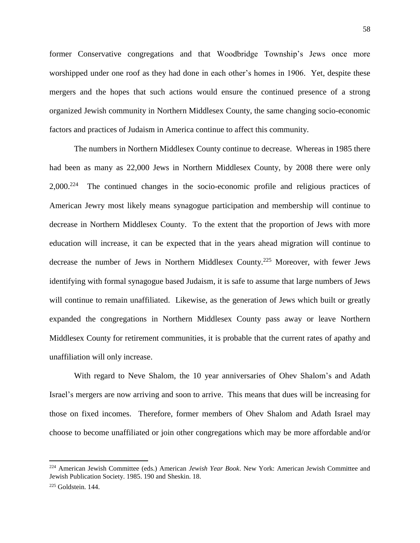former Conservative congregations and that Woodbridge Township's Jews once more worshipped under one roof as they had done in each other's homes in 1906. Yet, despite these mergers and the hopes that such actions would ensure the continued presence of a strong organized Jewish community in Northern Middlesex County, the same changing socio-economic factors and practices of Judaism in America continue to affect this community.

The numbers in Northern Middlesex County continue to decrease. Whereas in 1985 there had been as many as 22,000 Jews in Northern Middlesex County, by 2008 there were only 2,000.<sup>224</sup> The continued changes in the socio-economic profile and religious practices of American Jewry most likely means synagogue participation and membership will continue to decrease in Northern Middlesex County. To the extent that the proportion of Jews with more education will increase, it can be expected that in the years ahead migration will continue to decrease the number of Jews in Northern Middlesex County.<sup>225</sup> Moreover, with fewer Jews identifying with formal synagogue based Judaism, it is safe to assume that large numbers of Jews will continue to remain unaffiliated. Likewise, as the generation of Jews which built or greatly expanded the congregations in Northern Middlesex County pass away or leave Northern Middlesex County for retirement communities, it is probable that the current rates of apathy and unaffiliation will only increase.

With regard to Neve Shalom, the 10 year anniversaries of Ohev Shalom's and Adath Israel's mergers are now arriving and soon to arrive. This means that dues will be increasing for those on fixed incomes. Therefore, former members of Ohev Shalom and Adath Israel may choose to become unaffiliated or join other congregations which may be more affordable and/or

<sup>224</sup> American Jewish Committee (eds.) American *Jewish Year Book*. New York: American Jewish Committee and Jewish Publication Society. 1985. 190 and Sheskin. 18.

<sup>225</sup> Goldstein. 144.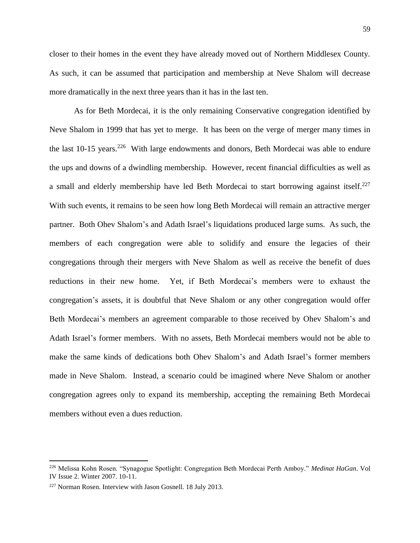closer to their homes in the event they have already moved out of Northern Middlesex County. As such, it can be assumed that participation and membership at Neve Shalom will decrease more dramatically in the next three years than it has in the last ten.

As for Beth Mordecai, it is the only remaining Conservative congregation identified by Neve Shalom in 1999 that has yet to merge. It has been on the verge of merger many times in the last 10-15 years.<sup>226</sup> With large endowments and donors, Beth Mordecai was able to endure the ups and downs of a dwindling membership. However, recent financial difficulties as well as a small and elderly membership have led Beth Mordecai to start borrowing against itself.<sup>227</sup> With such events, it remains to be seen how long Beth Mordecai will remain an attractive merger partner. Both Ohev Shalom's and Adath Israel's liquidations produced large sums. As such, the members of each congregation were able to solidify and ensure the legacies of their congregations through their mergers with Neve Shalom as well as receive the benefit of dues reductions in their new home. Yet, if Beth Mordecai's members were to exhaust the congregation's assets, it is doubtful that Neve Shalom or any other congregation would offer Beth Mordecai's members an agreement comparable to those received by Ohev Shalom's and Adath Israel's former members. With no assets, Beth Mordecai members would not be able to make the same kinds of dedications both Ohev Shalom's and Adath Israel's former members made in Neve Shalom. Instead, a scenario could be imagined where Neve Shalom or another congregation agrees only to expand its membership, accepting the remaining Beth Mordecai members without even a dues reduction.

<sup>226</sup> Melissa Kohn Rosen. "Synagogue Spotlight: Congregation Beth Mordecai Perth Amboy." *Medinat HaGan*. Vol IV Issue 2. Winter 2007. 10-11.

<sup>227</sup> Norman Rosen. Interview with Jason Gosnell. 18 July 2013.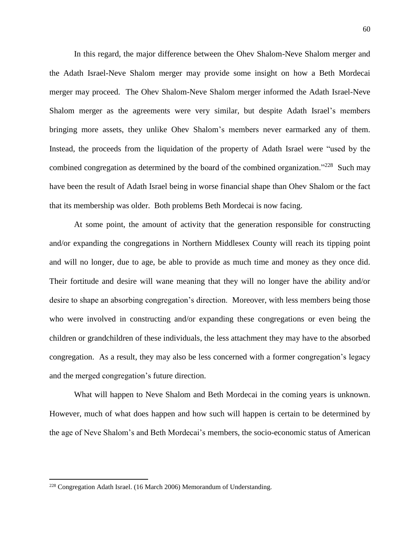In this regard, the major difference between the Ohev Shalom-Neve Shalom merger and the Adath Israel-Neve Shalom merger may provide some insight on how a Beth Mordecai merger may proceed. The Ohev Shalom-Neve Shalom merger informed the Adath Israel-Neve Shalom merger as the agreements were very similar, but despite Adath Israel's members bringing more assets, they unlike Ohev Shalom's members never earmarked any of them. Instead, the proceeds from the liquidation of the property of Adath Israel were "used by the combined congregation as determined by the board of the combined organization."<sup>228</sup> Such may have been the result of Adath Israel being in worse financial shape than Ohev Shalom or the fact that its membership was older. Both problems Beth Mordecai is now facing.

At some point, the amount of activity that the generation responsible for constructing and/or expanding the congregations in Northern Middlesex County will reach its tipping point and will no longer, due to age, be able to provide as much time and money as they once did. Their fortitude and desire will wane meaning that they will no longer have the ability and/or desire to shape an absorbing congregation's direction. Moreover, with less members being those who were involved in constructing and/or expanding these congregations or even being the children or grandchildren of these individuals, the less attachment they may have to the absorbed congregation. As a result, they may also be less concerned with a former congregation's legacy and the merged congregation's future direction.

What will happen to Neve Shalom and Beth Mordecai in the coming years is unknown. However, much of what does happen and how such will happen is certain to be determined by the age of Neve Shalom's and Beth Mordecai's members, the socio-economic status of American

<sup>228</sup> Congregation Adath Israel. (16 March 2006) Memorandum of Understanding.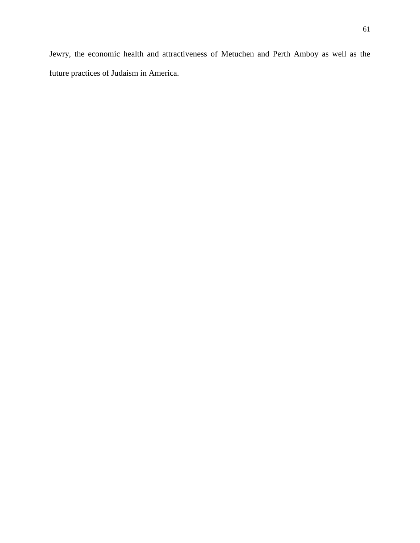Jewry, the economic health and attractiveness of Metuchen and Perth Amboy as well as the future practices of Judaism in America.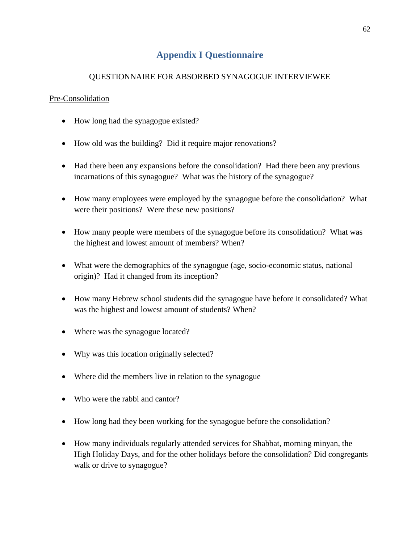# **Appendix I Questionnaire**

# QUESTIONNAIRE FOR ABSORBED SYNAGOGUE INTERVIEWEE

## Pre-Consolidation

- How long had the synagogue existed?
- How old was the building? Did it require major renovations?
- Had there been any expansions before the consolidation? Had there been any previous incarnations of this synagogue? What was the history of the synagogue?
- How many employees were employed by the synagogue before the consolidation? What were their positions? Were these new positions?
- How many people were members of the synagogue before its consolidation? What was the highest and lowest amount of members? When?
- What were the demographics of the synagogue (age, socio-economic status, national origin)? Had it changed from its inception?
- How many Hebrew school students did the synagogue have before it consolidated? What was the highest and lowest amount of students? When?
- Where was the synagogue located?
- Why was this location originally selected?
- Where did the members live in relation to the synagogue
- Who were the rabbi and cantor?
- How long had they been working for the synagogue before the consolidation?
- How many individuals regularly attended services for Shabbat, morning minyan, the High Holiday Days, and for the other holidays before the consolidation? Did congregants walk or drive to synagogue?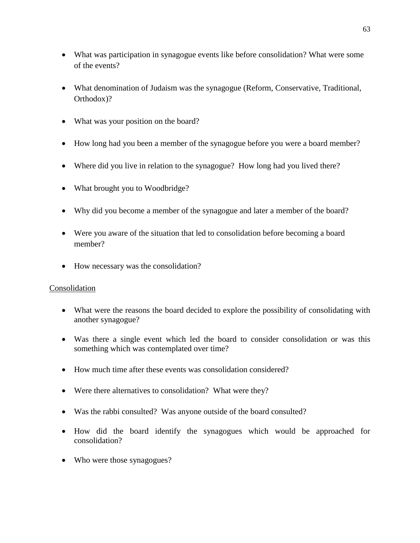- What was participation in synagogue events like before consolidation? What were some of the events?
- What denomination of Judaism was the synagogue (Reform, Conservative, Traditional, Orthodox)?
- What was your position on the board?
- How long had you been a member of the synagogue before you were a board member?
- Where did you live in relation to the synagogue? How long had you lived there?
- What brought you to Woodbridge?
- Why did you become a member of the synagogue and later a member of the board?
- Were you aware of the situation that led to consolidation before becoming a board member?
- How necessary was the consolidation?

## Consolidation

- What were the reasons the board decided to explore the possibility of consolidating with another synagogue?
- Was there a single event which led the board to consider consolidation or was this something which was contemplated over time?
- How much time after these events was consolidation considered?
- Were there alternatives to consolidation? What were they?
- Was the rabbi consulted? Was anyone outside of the board consulted?
- How did the board identify the synagogues which would be approached for consolidation?
- Who were those synagogues?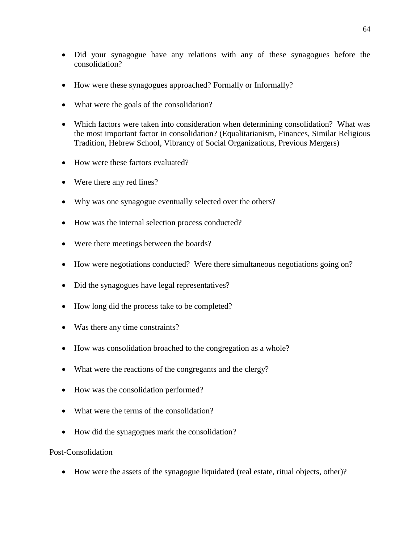- Did your synagogue have any relations with any of these synagogues before the consolidation?
- How were these synagogues approached? Formally or Informally?
- What were the goals of the consolidation?
- Which factors were taken into consideration when determining consolidation? What was the most important factor in consolidation? (Equalitarianism, Finances, Similar Religious Tradition, Hebrew School, Vibrancy of Social Organizations, Previous Mergers)
- How were these factors evaluated?
- Were there any red lines?
- Why was one synagogue eventually selected over the others?
- How was the internal selection process conducted?
- Were there meetings between the boards?
- How were negotiations conducted? Were there simultaneous negotiations going on?
- Did the synagogues have legal representatives?
- How long did the process take to be completed?
- Was there any time constraints?
- How was consolidation broached to the congregation as a whole?
- What were the reactions of the congregants and the clergy?
- How was the consolidation performed?
- What were the terms of the consolidation?
- How did the synagogues mark the consolidation?

## Post-Consolidation

How were the assets of the synagogue liquidated (real estate, ritual objects, other)?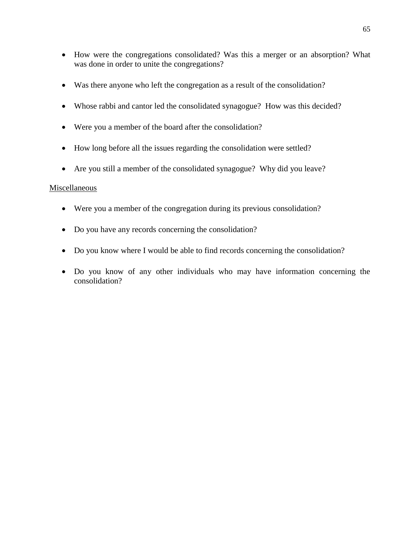- How were the congregations consolidated? Was this a merger or an absorption? What was done in order to unite the congregations?
- Was there anyone who left the congregation as a result of the consolidation?
- Whose rabbi and cantor led the consolidated synagogue? How was this decided?
- Were you a member of the board after the consolidation?
- How long before all the issues regarding the consolidation were settled?
- Are you still a member of the consolidated synagogue? Why did you leave?

### Miscellaneous

- Were you a member of the congregation during its previous consolidation?
- Do you have any records concerning the consolidation?
- Do you know where I would be able to find records concerning the consolidation?
- Do you know of any other individuals who may have information concerning the consolidation?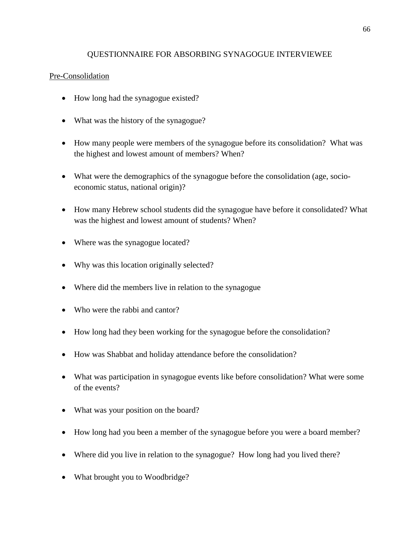## QUESTIONNAIRE FOR ABSORBING SYNAGOGUE INTERVIEWEE

## Pre-Consolidation

- How long had the synagogue existed?
- What was the history of the synagogue?
- How many people were members of the synagogue before its consolidation? What was the highest and lowest amount of members? When?
- What were the demographics of the synagogue before the consolidation (age, socioeconomic status, national origin)?
- How many Hebrew school students did the synagogue have before it consolidated? What was the highest and lowest amount of students? When?
- Where was the synagogue located?
- Why was this location originally selected?
- Where did the members live in relation to the synagogue
- Who were the rabbi and cantor?
- How long had they been working for the synagogue before the consolidation?
- How was Shabbat and holiday attendance before the consolidation?
- What was participation in synagogue events like before consolidation? What were some of the events?
- What was your position on the board?
- How long had you been a member of the synagogue before you were a board member?
- Where did you live in relation to the synagogue? How long had you lived there?
- What brought you to Woodbridge?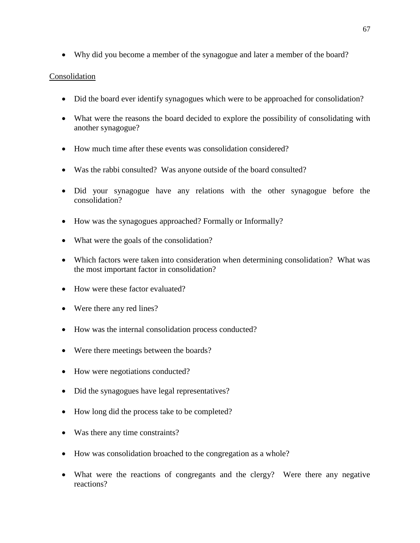Why did you become a member of the synagogue and later a member of the board?

## Consolidation

- Did the board ever identify synagogues which were to be approached for consolidation?
- What were the reasons the board decided to explore the possibility of consolidating with another synagogue?
- How much time after these events was consolidation considered?
- Was the rabbi consulted? Was anyone outside of the board consulted?
- Did your synagogue have any relations with the other synagogue before the consolidation?
- How was the synagogues approached? Formally or Informally?
- What were the goals of the consolidation?
- Which factors were taken into consideration when determining consolidation? What was the most important factor in consolidation?
- How were these factor evaluated?
- Were there any red lines?
- How was the internal consolidation process conducted?
- Were there meetings between the boards?
- How were negotiations conducted?
- Did the synagogues have legal representatives?
- How long did the process take to be completed?
- Was there any time constraints?
- How was consolidation broached to the congregation as a whole?
- What were the reactions of congregants and the clergy? Were there any negative reactions?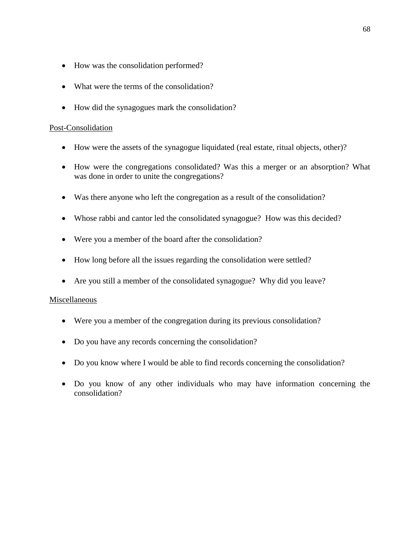- How was the consolidation performed?
- What were the terms of the consolidation?
- How did the synagogues mark the consolidation?

### Post-Consolidation

- How were the assets of the synagogue liquidated (real estate, ritual objects, other)?
- How were the congregations consolidated? Was this a merger or an absorption? What was done in order to unite the congregations?
- Was there anyone who left the congregation as a result of the consolidation?
- Whose rabbi and cantor led the consolidated synagogue? How was this decided?
- Were you a member of the board after the consolidation?
- How long before all the issues regarding the consolidation were settled?
- Are you still a member of the consolidated synagogue? Why did you leave?

### Miscellaneous

- Were you a member of the congregation during its previous consolidation?
- Do you have any records concerning the consolidation?
- Do you know where I would be able to find records concerning the consolidation?
- Do you know of any other individuals who may have information concerning the consolidation?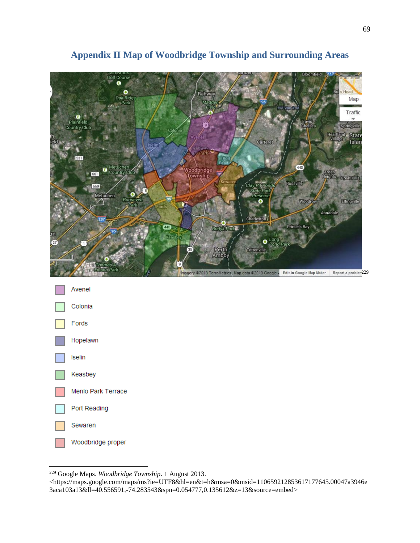

# **Appendix II Map of Woodbridge Township and Surrounding Areas**

<sup>229</sup> Google Maps. *Woodbridge Township*. 1 August 2013.

<sup>&</sup>lt;https://maps.google.com/maps/ms?ie=UTF8&hl=en&t=h&msa=0&msid=110659212853617177645.00047a3946e 3aca103a13&ll=40.556591,-74.283543&spn=0.054777,0.135612&z=13&source=embed>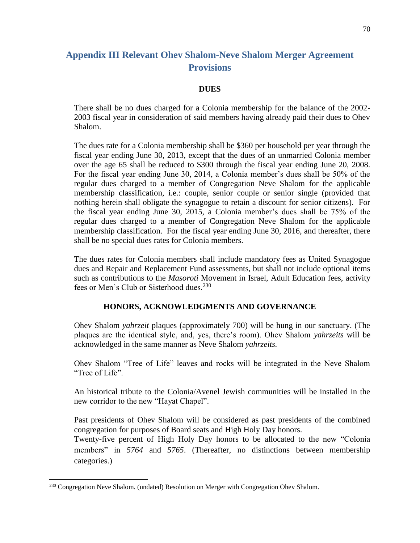## **Appendix III Relevant Ohev Shalom-Neve Shalom Merger Agreement Provisions**

### **DUES**

There shall be no dues charged for a Colonia membership for the balance of the 2002- 2003 fiscal year in consideration of said members having already paid their dues to Ohev Shalom.

The dues rate for a Colonia membership shall be \$360 per household per year through the fiscal year ending June 30, 2013, except that the dues of an unmarried Colonia member over the age 65 shall be reduced to \$300 through the fiscal year ending June 20, 2008. For the fiscal year ending June 30, 2014, a Colonia member's dues shall be 50% of the regular dues charged to a member of Congregation Neve Shalom for the applicable membership classification, i.e.: couple, senior couple or senior single (provided that nothing herein shall obligate the synagogue to retain a discount for senior citizens). For the fiscal year ending June 30, 2015, a Colonia member's dues shall be 75% of the regular dues charged to a member of Congregation Neve Shalom for the applicable membership classification. For the fiscal year ending June 30, 2016, and thereafter, there shall be no special dues rates for Colonia members.

The dues rates for Colonia members shall include mandatory fees as United Synagogue dues and Repair and Replacement Fund assessments, but shall not include optional items such as contributions to the *Masoroti* Movement in Israel, Adult Education fees, activity fees or Men's Club or Sisterhood dues.<sup>230</sup>

### **HONORS, ACKNOWLEDGMENTS AND GOVERNANCE**

Ohev Shalom *yahrzeit* plaques (approximately 700) will be hung in our sanctuary. (The plaques are the identical style, and, yes, there's room). Ohev Shalom *yahrzeits* will be acknowledged in the same manner as Neve Shalom *yahrzeits.*

Ohev Shalom "Tree of Life" leaves and rocks will be integrated in the Neve Shalom "Tree of Life".

An historical tribute to the Colonia/Avenel Jewish communities will be installed in the new corridor to the new "Hayat Chapel".

Past presidents of Ohev Shalom will be considered as past presidents of the combined congregation for purposes of Board seats and High Holy Day honors.

Twenty-five percent of High Holy Day honors to be allocated to the new "Colonia members" in *5764* and *5765*. (Thereafter, no distinctions between membership categories.)

<sup>230</sup> Congregation Neve Shalom. (undated) Resolution on Merger with Congregation Ohev Shalom.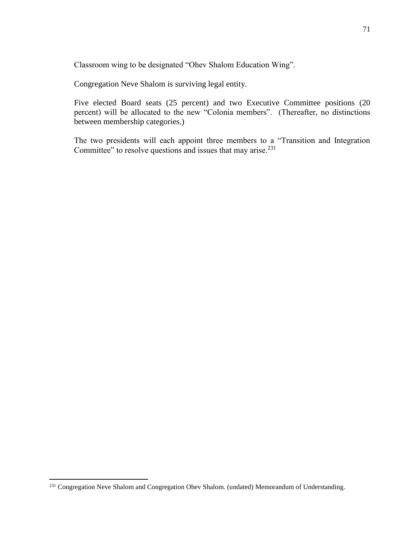Classroom wing to be designated "Ohev Shalom Education Wing".

Congregation Neve Shalom is surviving legal entity.

Five elected Board seats (25 percent) and two Executive Committee positions (20 percent) will be allocated to the new "Colonia members". (Thereafter, no distinctions between membership categories.)

The two presidents will each appoint three members to a "Transition and Integration Committee" to resolve questions and issues that may arise.<sup>231</sup>

<sup>&</sup>lt;sup>231</sup> Congregation Neve Shalom and Congregation Ohev Shalom. (undated) Memorandum of Understanding.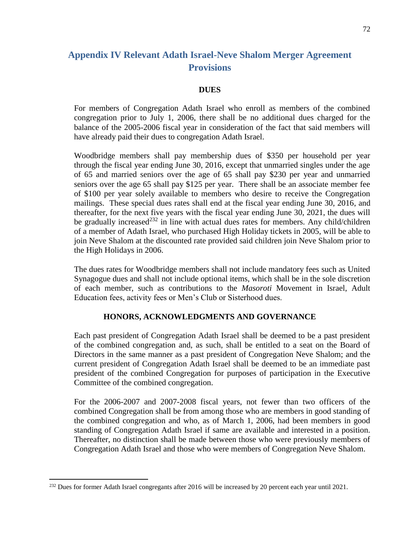## **Appendix IV Relevant Adath Israel-Neve Shalom Merger Agreement Provisions**

### **DUES**

For members of Congregation Adath Israel who enroll as members of the combined congregation prior to July 1, 2006, there shall be no additional dues charged for the balance of the 2005-2006 fiscal year in consideration of the fact that said members will have already paid their dues to congregation Adath Israel.

Woodbridge members shall pay membership dues of \$350 per household per year through the fiscal year ending June 30, 2016, except that unmarried singles under the age of 65 and married seniors over the age of 65 shall pay \$230 per year and unmarried seniors over the age 65 shall pay \$125 per year. There shall be an associate member fee of \$100 per year solely available to members who desire to receive the Congregation mailings. These special dues rates shall end at the fiscal year ending June 30, 2016, and thereafter, for the next five years with the fiscal year ending June 30, 2021, the dues will be gradually increased<sup>232</sup> in line with actual dues rates for members. Any child/children of a member of Adath Israel, who purchased High Holiday tickets in 2005, will be able to join Neve Shalom at the discounted rate provided said children join Neve Shalom prior to the High Holidays in 2006.

The dues rates for Woodbridge members shall not include mandatory fees such as United Synagogue dues and shall not include optional items, which shall be in the sole discretion of each member, such as contributions to the *Masoroti* Movement in Israel, Adult Education fees, activity fees or Men's Club or Sisterhood dues.

## **HONORS, ACKNOWLEDGMENTS AND GOVERNANCE**

Each past president of Congregation Adath Israel shall be deemed to be a past president of the combined congregation and, as such, shall be entitled to a seat on the Board of Directors in the same manner as a past president of Congregation Neve Shalom; and the current president of Congregation Adath Israel shall be deemed to be an immediate past president of the combined Congregation for purposes of participation in the Executive Committee of the combined congregation.

For the 2006-2007 and 2007-2008 fiscal years, not fewer than two officers of the combined Congregation shall be from among those who are members in good standing of the combined congregation and who, as of March 1, 2006, had been members in good standing of Congregation Adath Israel if same are available and interested in a position. Thereafter, no distinction shall be made between those who were previously members of Congregation Adath Israel and those who were members of Congregation Neve Shalom.

<sup>&</sup>lt;sup>232</sup> Dues for former Adath Israel congregants after 2016 will be increased by 20 percent each year until 2021.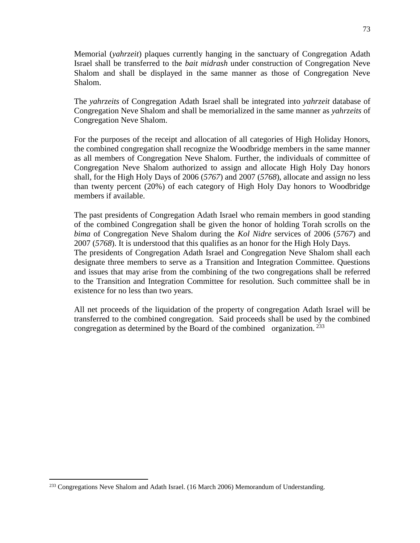Memorial (*yahrzeit*) plaques currently hanging in the sanctuary of Congregation Adath Israel shall be transferred to the *bait midrash* under construction of Congregation Neve Shalom and shall be displayed in the same manner as those of Congregation Neve Shalom.

The *yahrzeits* of Congregation Adath Israel shall be integrated into *yahrzeit* database of Congregation Neve Shalom and shall be memorialized in the same manner as *yahrzeits* of Congregation Neve Shalom.

For the purposes of the receipt and allocation of all categories of High Holiday Honors, the combined congregation shall recognize the Woodbridge members in the same manner as all members of Congregation Neve Shalom. Further, the individuals of committee of Congregation Neve Shalom authorized to assign and allocate High Holy Day honors shall, for the High Holy Days of 2006 (*5767*) and 2007 (*5768*), allocate and assign no less than twenty percent (20%) of each category of High Holy Day honors to Woodbridge members if available.

The past presidents of Congregation Adath Israel who remain members in good standing of the combined Congregation shall be given the honor of holding Torah scrolls on the *bima* of Congregation Neve Shalom during the *Kol Nidre* services of 2006 (*5767*) and 2007 (*5768*). It is understood that this qualifies as an honor for the High Holy Days. The presidents of Congregation Adath Israel and Congregation Neve Shalom shall each designate three members to serve as a Transition and Integration Committee. Questions and issues that may arise from the combining of the two congregations shall be referred to the Transition and Integration Committee for resolution. Such committee shall be in existence for no less than two years.

All net proceeds of the liquidation of the property of congregation Adath Israel will be transferred to the combined congregation. Said proceeds shall be used by the combined congregation as determined by the Board of the combined organization.  $233$ 

<sup>&</sup>lt;sup>233</sup> Congregations Neve Shalom and Adath Israel. (16 March 2006) Memorandum of Understanding.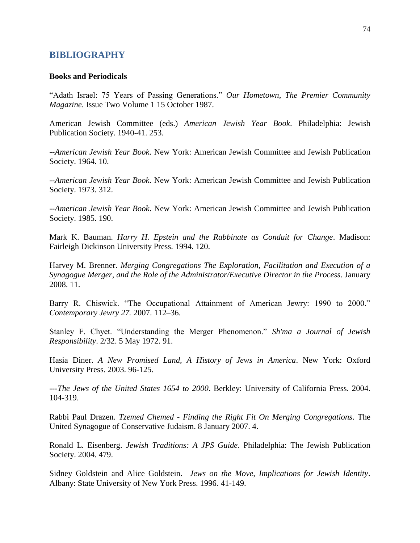### **BIBLIOGRAPHY**

#### **Books and Periodicals**

"Adath Israel: 75 Years of Passing Generations." *Our Hometown, The Premier Community Magazine*. Issue Two Volume 1 15 October 1987.

American Jewish Committee (eds.) *American Jewish Year Book*. Philadelphia: Jewish Publication Society. 1940-41. 253.

*--American Jewish Year Book*. New York: American Jewish Committee and Jewish Publication Society. 1964. 10.

--*American Jewish Year Book*. New York: American Jewish Committee and Jewish Publication Society. 1973. 312.

*--American Jewish Year Book*. New York: American Jewish Committee and Jewish Publication Society. 1985. 190.

Mark K. Bauman. *Harry H. Epstein and the Rabbinate as Conduit for Change*. Madison: Fairleigh Dickinson University Press. 1994. 120.

Harvey M. Brenner. *Merging Congregations The Exploration, Facilitation and Execution of a Synagogue Merger, and the Role of the Administrator/Executive Director in the Process*. January 2008. 11.

Barry R. Chiswick. "The Occupational Attainment of American Jewry: 1990 to 2000." *Contemporary Jewry 27.* 2007. 112–36.

Stanley F. Chyet. "Understanding the Merger Phenomenon." *Sh'ma a Journal of Jewish Responsibility*. 2/32. 5 May 1972. 91.

Hasia Diner. *A New Promised Land, A History of Jews in America*. New York: Oxford University Press. 2003. 96-125.

---*The Jews of the United States 1654 to 2000*. Berkley: University of California Press. 2004. 104-319.

Rabbi Paul Drazen. *Tzemed Chemed - Finding the Right Fit On Merging Congregations*. The United Synagogue of Conservative Judaism. 8 January 2007. 4.

Ronald L. Eisenberg. *Jewish Traditions: A JPS Guide*. Philadelphia: The Jewish Publication Society. 2004. 479.

Sidney Goldstein and Alice Goldstein. *Jews on the Move, Implications for Jewish Identity*. Albany: State University of New York Press. 1996. 41-149.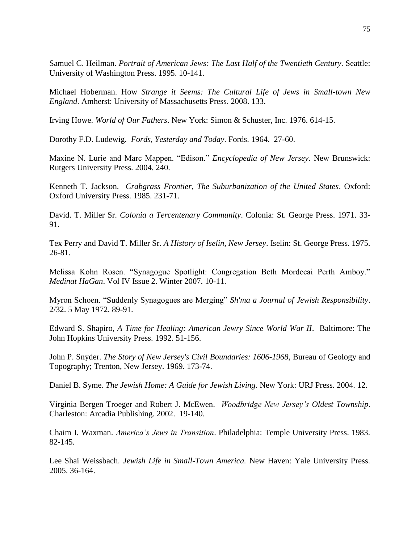Samuel C. Heilman. *Portrait of American Jews: The Last Half of the Twentieth Century*. Seattle: University of Washington Press. 1995. 10-141.

Michael Hoberman. How *Strange it Seems: The Cultural Life of Jews in Small-town New England*. Amherst: University of Massachusetts Press. 2008. 133.

Irving Howe. *World of Our Fathers*. New York: Simon & Schuster, Inc. 1976. 614-15.

Dorothy F.D. Ludewig. *Fords, Yesterday and Today*. Fords. 1964. 27-60.

Maxine N. Lurie and Marc Mappen. "Edison." *Encyclopedia of New Jersey*. New Brunswick: Rutgers University Press. 2004. 240.

Kenneth T. Jackson. *Crabgrass Frontier, The Suburbanization of the United States*. Oxford: Oxford University Press. 1985. 231-71.

David. T. Miller Sr. *Colonia a Tercentenary Community*. Colonia: St. George Press. 1971. 33- 91.

Tex Perry and David T. Miller Sr. *A History of Iselin, New Jersey*. Iselin: St. George Press. 1975. 26-81.

Melissa Kohn Rosen. "Synagogue Spotlight: Congregation Beth Mordecai Perth Amboy." *Medinat HaGan*. Vol IV Issue 2. Winter 2007. 10-11.

Myron Schoen. "Suddenly Synagogues are Merging" *Sh'ma a Journal of Jewish Responsibility*. 2/32. 5 May 1972. 89-91.

Edward S. Shapiro, *A Time for Healing: American Jewry Since World War II*. Baltimore: The John Hopkins University Press. 1992. 51-156.

John P. Snyder. *The Story of New Jersey's Civil Boundaries: 1606-1968*, Bureau of Geology and Topography; Trenton, New Jersey. 1969. 173-74.

Daniel B. Syme. *The Jewish Home: A Guide for Jewish Living*. New York: URJ Press. 2004. 12.

Virginia Bergen Troeger and Robert J. McEwen. *Woodbridge New Jersey's Oldest Township*. Charleston: Arcadia Publishing. 2002. 19-140.

Chaim I. Waxman. *America's Jews in Transition*. Philadelphia: Temple University Press. 1983. 82-145.

Lee Shai Weissbach. *Jewish Life in Small-Town America.* New Haven: Yale University Press. 2005. 36-164.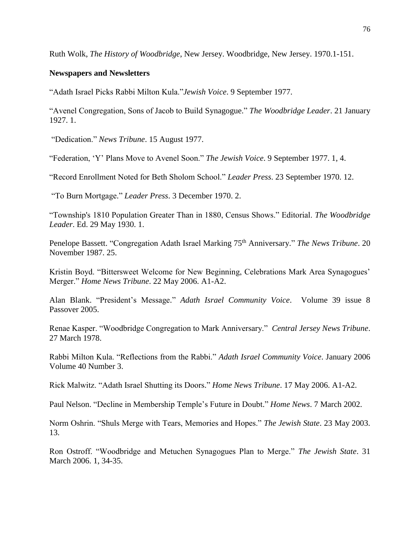Ruth Wolk, *The History of Woodbridge*, New Jersey. Woodbridge, New Jersey. 1970.1-151.

## **Newspapers and Newsletters**

"Adath Israel Picks Rabbi Milton Kula."*Jewish Voice*. 9 September 1977.

"Avenel Congregation, Sons of Jacob to Build Synagogue." *The Woodbridge Leader*. 21 January 1927. 1.

"Dedication." *News Tribune*. 15 August 1977.

"Federation, 'Y' Plans Move to Avenel Soon." *The Jewish Voice*. 9 September 1977. 1, 4.

"Record Enrollment Noted for Beth Sholom School." *Leader Press*. 23 September 1970. 12.

"To Burn Mortgage." *Leader Press*. 3 December 1970. 2.

"Township's 1810 Population Greater Than in 1880, Census Shows." Editorial. *The Woodbridge Leader*. Ed. 29 May 1930. 1.

Penelope Bassett. "Congregation Adath Israel Marking 75th Anniversary." *The News Tribune*. 20 November 1987. 25.

Kristin Boyd. "Bittersweet Welcome for New Beginning, Celebrations Mark Area Synagogues' Merger." *Home News Tribune*. 22 May 2006. A1-A2.

Alan Blank. "President's Message." *Adath Israel Community Voice*. Volume 39 issue 8 Passover 2005.

Renae Kasper. "Woodbridge Congregation to Mark Anniversary." *Central Jersey News Tribune*. 27 March 1978.

Rabbi Milton Kula. "Reflections from the Rabbi." *Adath Israel Community Voice*. January 2006 Volume 40 Number 3.

Rick Malwitz. "Adath Israel Shutting its Doors." *Home News Tribune*. 17 May 2006. A1-A2.

Paul Nelson. "Decline in Membership Temple's Future in Doubt." *Home News*. 7 March 2002.

Norm Oshrin. "Shuls Merge with Tears, Memories and Hopes." *The Jewish State*. 23 May 2003. 13.

Ron Ostroff. "Woodbridge and Metuchen Synagogues Plan to Merge." *The Jewish State*. 31 March 2006. 1, 34-35.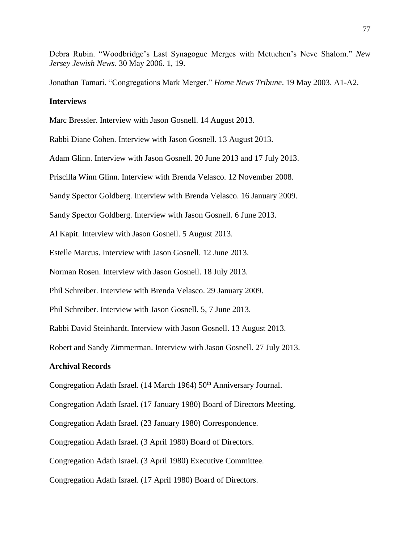Debra Rubin. "Woodbridge's Last Synagogue Merges with Metuchen's Neve Shalom." *New Jersey Jewish News*. 30 May 2006. 1, 19.

Jonathan Tamari. "Congregations Mark Merger." *Home News Tribune*. 19 May 2003. A1-A2.

### **Interviews**

Marc Bressler. Interview with Jason Gosnell. 14 August 2013.

Rabbi Diane Cohen. Interview with Jason Gosnell. 13 August 2013.

Adam Glinn. Interview with Jason Gosnell. 20 June 2013 and 17 July 2013.

Priscilla Winn Glinn. Interview with Brenda Velasco. 12 November 2008.

Sandy Spector Goldberg. Interview with Brenda Velasco. 16 January 2009.

Sandy Spector Goldberg. Interview with Jason Gosnell. 6 June 2013.

Al Kapit. Interview with Jason Gosnell. 5 August 2013.

Estelle Marcus. Interview with Jason Gosnell. 12 June 2013.

Norman Rosen. Interview with Jason Gosnell. 18 July 2013.

Phil Schreiber. Interview with Brenda Velasco. 29 January 2009.

Phil Schreiber. Interview with Jason Gosnell. 5, 7 June 2013.

Rabbi David Steinhardt. Interview with Jason Gosnell. 13 August 2013.

Robert and Sandy Zimmerman. Interview with Jason Gosnell. 27 July 2013.

## **Archival Records**

Congregation Adath Israel. (14 March 1964) 50<sup>th</sup> Anniversary Journal.

Congregation Adath Israel. (17 January 1980) Board of Directors Meeting.

Congregation Adath Israel. (23 January 1980) Correspondence.

Congregation Adath Israel. (3 April 1980) Board of Directors.

Congregation Adath Israel. (3 April 1980) Executive Committee.

Congregation Adath Israel. (17 April 1980) Board of Directors.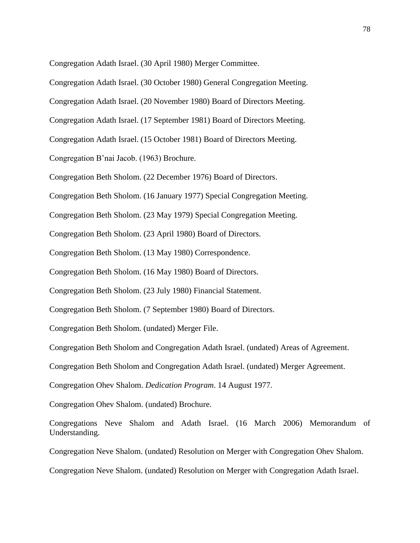Congregation Adath Israel. (30 April 1980) Merger Committee.

Congregation Adath Israel. (30 October 1980) General Congregation Meeting. Congregation Adath Israel. (20 November 1980) Board of Directors Meeting. Congregation Adath Israel. (17 September 1981) Board of Directors Meeting. Congregation Adath Israel. (15 October 1981) Board of Directors Meeting. Congregation B'nai Jacob. (1963) Brochure. Congregation Beth Sholom. (22 December 1976) Board of Directors. Congregation Beth Sholom. (16 January 1977) Special Congregation Meeting. Congregation Beth Sholom. (23 May 1979) Special Congregation Meeting. Congregation Beth Sholom. (23 April 1980) Board of Directors.

Congregation Beth Sholom. (13 May 1980) Correspondence.

Congregation Beth Sholom. (16 May 1980) Board of Directors.

Congregation Beth Sholom. (23 July 1980) Financial Statement.

Congregation Beth Sholom. (7 September 1980) Board of Directors.

Congregation Beth Sholom. (undated) Merger File.

Congregation Beth Sholom and Congregation Adath Israel. (undated) Areas of Agreement.

Congregation Beth Sholom and Congregation Adath Israel. (undated) Merger Agreement.

Congregation Ohev Shalom. *Dedication Program*. 14 August 1977.

Congregation Ohev Shalom. (undated) Brochure.

Congregations Neve Shalom and Adath Israel. (16 March 2006) Memorandum of Understanding.

Congregation Neve Shalom. (undated) Resolution on Merger with Congregation Ohev Shalom.

Congregation Neve Shalom. (undated) Resolution on Merger with Congregation Adath Israel.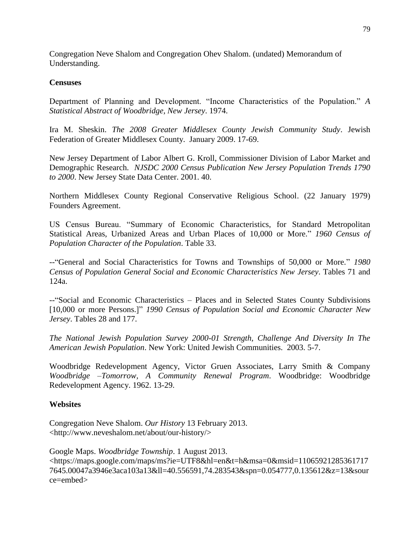Congregation Neve Shalom and Congregation Ohev Shalom. (undated) Memorandum of Understanding.

### **Censuses**

Department of Planning and Development. "Income Characteristics of the Population." *A Statistical Abstract of Woodbridge, New Jersey*. 1974.

Ira M. Sheskin. *The 2008 Greater Middlesex County Jewish Community Study*. Jewish Federation of Greater Middlesex County. January 2009. 17-69.

New Jersey Department of Labor Albert G. Kroll, Commissioner Division of Labor Market and Demographic Research. *NJSDC 2000 Census Publication New Jersey Population Trends 1790 to 2000*. New Jersey State Data Center. 2001. 40.

Northern Middlesex County Regional Conservative Religious School. (22 January 1979) Founders Agreement.

US Census Bureau. "Summary of Economic Characteristics, for Standard Metropolitan Statistical Areas, Urbanized Areas and Urban Places of 10,000 or More." *1960 Census of Population Character of the Population*. Table 33.

--"General and Social Characteristics for Towns and Townships of 50,000 or More." *1980 Census of Population General Social and Economic Characteristics New Jersey*. Tables 71 and 124a.

--"Social and Economic Characteristics – Places and in Selected States County Subdivisions [10,000 or more Persons.]" *1990 Census of Population Social and Economic Character New Jersey*. Tables 28 and 177.

*The National Jewish Population Survey 2000-01 Strength, Challenge And Diversity In The American Jewish Population*. New York: United Jewish Communities. 2003. 5-7.

Woodbridge Redevelopment Agency, Victor Gruen Associates, Larry Smith & Company *Woodbridge –Tomorrow, A Community Renewal Program*. Woodbridge: Woodbridge Redevelopment Agency. 1962. 13-29.

## **Websites**

Congregation Neve Shalom. *Our History* 13 February 2013. <http://www.neveshalom.net/about/our-history/>

Google Maps. *Woodbridge Township*. 1 August 2013. <https://maps.google.com/maps/ms?ie=UTF8&hl=en&t=h&msa=0&msid=11065921285361717 7645.00047a3946e3aca103a13&ll=40.556591,74.283543&spn=0.054777,0.135612&z=13&sour ce=embed>